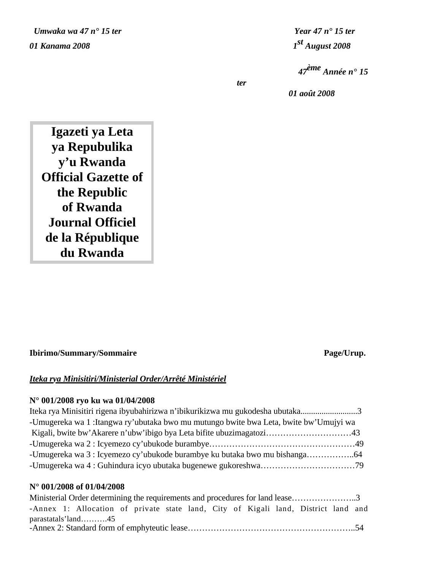*Umwaka wa 47 n*<sup>o</sup> 15 ter *Year 47 n*<sup>o</sup> 15 ter *01 Kanama 2008 1st August 2008*

*<sup>47</sup>ème Année n° 15* 

 *01 août 2008*

*ter* 

**Igazeti ya Leta ya Repubulika y'u Rwanda Official Gazette of the Republic of Rwanda Journal Officiel de la République du Rwanda**

# **Ibirimo/Summary/Sommaire** Page/Urup.

# *Iteka rya Minisitiri/Ministerial Order/Arrêté Ministériel*

# **N° 001/2008 ryo ku wa 01/04/2008**

| Iteka rya Minisitiri rigena ibyubahirizwa n'ibikurikizwa mu gukodesha ubutaka3        |  |
|---------------------------------------------------------------------------------------|--|
| -Umugereka wa 1: Itangwa ry'ubutaka bwo mu mutungo bwite bwa Leta, bwite bw'Umujyi wa |  |
|                                                                                       |  |
|                                                                                       |  |
|                                                                                       |  |
|                                                                                       |  |

# **N° 001/2008 of 01/04/2008**

|  | Ministerial Order determining the requirements and procedures for land lease3      |  |  |  |  |  |  |
|--|------------------------------------------------------------------------------------|--|--|--|--|--|--|
|  | -Annex 1: Allocation of private state land, City of Kigali land, District land and |  |  |  |  |  |  |
|  | $parastatals'$ land45                                                              |  |  |  |  |  |  |
|  |                                                                                    |  |  |  |  |  |  |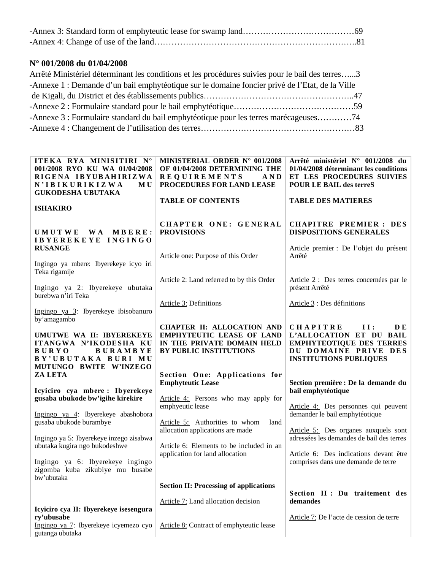# **N° 001/2008 du 01/04/2008**

| Arrêté Ministériel déterminant les conditions et les procédures suivies pour le bail des terres3 |  |
|--------------------------------------------------------------------------------------------------|--|
| -Annexe 1 : Demande d'un bail emphytéotique sur le domaine foncier privé de l'Etat, de la Ville  |  |
|                                                                                                  |  |
|                                                                                                  |  |
| -Annexe 3 : Formulaire standard du bail emphytéotique pour les terres marécageuses74             |  |
|                                                                                                  |  |
|                                                                                                  |  |

| ITEKA RYA MINISITIRI N°<br>001/2008 RYO KU WA 01/04/2008<br>RIGENA IBYUBAHIRIZWA<br>N'IBIKURIKIZWA<br>M U<br><b>GUKODESHA UBUTAKA</b> | MINISTERIAL ORDER N° 001/2008<br>OF 01/04/2008 DETERMINING THE<br><b>REQUIREMENTS</b><br>AND<br>PROCEDURES FOR LAND LEASE | Arrêté ministériel N° 001/2008 du<br>01/04/2008 déterminant les conditions<br>ET LES PROCEDURES SUIVIES<br><b>POUR LE BAIL des terreS</b> |
|---------------------------------------------------------------------------------------------------------------------------------------|---------------------------------------------------------------------------------------------------------------------------|-------------------------------------------------------------------------------------------------------------------------------------------|
| <b>ISHAKIRO</b>                                                                                                                       | <b>TABLE OF CONTENTS</b>                                                                                                  | <b>TABLE DES MATIERES</b>                                                                                                                 |
| UMUTWE<br><b>WA</b><br>MBERE:<br>IBYEREKEYE INGINGO<br><b>RUSANGE</b>                                                                 | CHAPTER ONE: GENERAL<br><b>PROVISIONS</b><br>Article one: Purpose of this Order                                           | <b>CHAPITRE PREMIER: DES</b><br><b>DISPOSITIONS GENERALES</b><br>Article premier : De l'objet du présent<br>Arrêté                        |
| Ingingo ya mbere: Ibyerekeye icyo iri<br>Teka rigamije                                                                                | Article 2: Land referred to by this Order                                                                                 | Article 2 : Des terres concernées par le                                                                                                  |
| Ingingo ya 2: Ibyerekeye ubutaka<br>burebwa n'iri Teka                                                                                | Article 3: Definitions                                                                                                    | présent Arrêté<br>Article 3 : Des définitions                                                                                             |
| Ingingo ya 3: Ibyerekeye ibisobanuro<br>by'amagambo                                                                                   | <b>CHAPTER II: ALLOCATION AND</b>                                                                                         | <b>CHAPITRE</b><br>II:<br>DE.                                                                                                             |
| UMUTWE WA II: IBYEREKEYE<br>ITANGWA N'IKODESHA KU<br><b>BURYO</b><br><b>BURAMBYE</b><br>BY'UBUTAKA BURI MU<br>MUTUNGO BWITE W'INZEGO  | <b>EMPHYTEUTIC LEASE OF LAND</b><br>IN THE PRIVATE DOMAIN HELD<br><b>BY PUBLIC INSTITUTIONS</b>                           | L'ALLOCATION ET DU BAIL<br><b>EMPHYTEOTIQUE DES TERRES</b><br>DU DOMAINE PRIVE DES<br><b>INSTITUTIONS PUBLIQUES</b>                       |
| <b>ZA LETA</b><br>Icyiciro cya mbere: Ibyerekeye                                                                                      | Section One: Applications for<br><b>Emphyteutic Lease</b>                                                                 | Section première : De la demande du<br>bail emphytéotique                                                                                 |
| gusaba ubukode bw'igihe kirekire<br>Ingingo ya 4: Ibyerekeye abashobora                                                               | Article 4: Persons who may apply for<br>emphyeutic lease                                                                  | Article 4: Des personnes qui peuvent<br>demander le bail emphytéotique                                                                    |
| gusaba ubukode burambye<br>Ingingo ya 5: Ibyerekeye inzego zisabwa                                                                    | Article 5: Authorities to whom<br>land<br>allocation applications are made                                                | Article 5: Des organes auxquels sont<br>adressées les demandes de bail des terres                                                         |
| ubutaka kugira ngo bukodeshwe<br>Ingingo ya 6: Ibyerekeye ingingo                                                                     | Article 6: Elements to be included in an<br>application for land allocation                                               | Article 6: Des indications devant être<br>comprises dans une demande de terre                                                             |
| zigomba kuba zikubiye mu busabe<br>bw'ubutaka                                                                                         | <b>Section II: Processing of applications</b>                                                                             |                                                                                                                                           |
|                                                                                                                                       | Article 7: Land allocation decision                                                                                       | Section II: Du traitement des<br>demandes                                                                                                 |
| Icyiciro cya II: Ibyerekeye isesengura<br>ry'ubusabe<br>Ingingo ya 7: Ibyerekeye icyemezo cyo<br>gutanga ubutaka                      | Article 8: Contract of emphyteutic lease                                                                                  | Article 7: De l'acte de cession de terre                                                                                                  |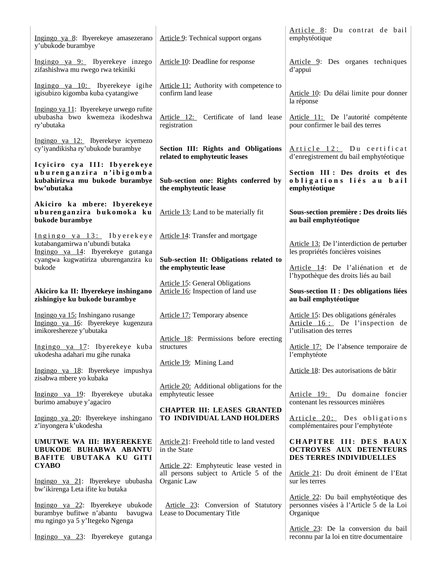| Ingingo ya 8: Ibyerekeye amasezerano<br>y'ubukode burambye                                                                               | Article 9: Technical support organs                                                               | Article 8: Du contrat de bail<br>emphytéotique                                                      |
|------------------------------------------------------------------------------------------------------------------------------------------|---------------------------------------------------------------------------------------------------|-----------------------------------------------------------------------------------------------------|
| Ingingo ya 9: Ibyerekeye inzego<br>zifashishwa mu rwego rwa tekiniki                                                                     | Article 10: Deadline for response                                                                 | Article 9: Des organes techniques<br>d'appui                                                        |
| Ingingo ya 10: Ibyerekeye igihe<br>igisubizo kigomba kuba cyatangiwe                                                                     | Article 11: Authority with competence to<br>confirm land lease                                    | Article 10: Du délai limite pour donner<br>la réponse                                               |
| Ingingo ya 11: Ibyerekeye urwego rufite<br>ububasha bwo kwemeza ikodeshwa<br>ry'ubutaka                                                  | Article 12: Certificate of land lease<br>registration                                             | Article 11: De l'autorité compétente<br>pour confirmer le bail des terres                           |
| Ingingo ya 12: Ibyerekeye icyemezo<br>cy'iyandikisha ry'ubukode burambye                                                                 | Section III: Rights and Obligations<br>related to emphyteutic leases                              | Article 12: Du certificat<br>d'enregistrement du bail emphytéotique                                 |
| Icyiciro cya III: Ibyerekeye<br>uburenganzira n'ibigomba<br>kubahirizwa mu bukode burambye<br>bw'ubutaka                                 | Sub-section one: Rights conferred by<br>the emphyteutic lease                                     | Section III : Des droits et des<br>obligations liés au bail<br>emphytéotique                        |
| Akiciro ka mbere: Ibyerekeye<br>uburenganzira bukomoka ku<br>bukode burambye                                                             | Article 13: Land to be materially fit                                                             | Sous-section première : Des droits liés<br>au bail emphytéotique                                    |
| Ingingo ya 13: Ibyerekeye<br>kutabangamirwa n'ubundi butaka<br>Ingingo ya 14: Ibyerekeye gutanga<br>cyangwa kugwatiriza uburenganzira ku | Article 14: Transfer and mortgage<br>Sub-section II: Obligations related to                       | Article 13: De l'interdiction de perturber<br>les propriétés foncières voisines                     |
| bukode                                                                                                                                   | the emphyteutic lease                                                                             | Article 14: De l'aliénation et de<br>l'hypothèque des droits liés au bail                           |
| Akiciro ka II: Ibyerekeye inshingano<br>zishingiye ku bukode burambye                                                                    | <b>Article 15: General Obligations</b><br>Article 16: Inspection of land use                      | Sous-section II : Des obligations liées<br>au bail emphytéotique                                    |
| Ingingo ya 15: Inshingano rusange<br>Ingingo ya 16: Ibyerekeye kugenzura<br>imikoreshereze y'ubutaka                                     | Article 17: Temporary absence                                                                     | Article 15: Des obligations générales<br>Article 16: De l'inspection de<br>l'utilisation des terres |
| Ingingo ya 17: Ibyerekeye kuba<br>ukodesha adahari mu gihe runaka                                                                        | Article 18: Permissions before erecting<br>structures                                             | Article 17: De l'absence temporaire de<br>l'emphytéote                                              |
| Ingingo ya 18: Ibyerekeye impushya<br>zisabwa mbere yo kubaka                                                                            | Article 19: Mining Land                                                                           | Article 18: Des autorisations de bâtir                                                              |
| Ingingo ya 19: Ibyerekeye ubutaka<br>burimo amabuye y'agaciro                                                                            | Article 20: Additional obligations for the<br>emphyteutic lessee                                  | Article 19: Du domaine foncier<br>contenant les ressources minières                                 |
| Ingingo ya 20: Ibyerekeye inshingano<br>z'inyongera k'ukodesha                                                                           | <b>CHAPTER III: LEASES GRANTED</b><br>TO INDIVIDUAL LAND HOLDERS                                  | Article 20: Des obligations<br>complémentaires pour l'emphytéote                                    |
| UMUTWE WA III: IBYEREKEYE<br>UBUKODE BUHABWA ABANTU<br>BAFITE UBUTAKA KU GITI                                                            | Article 21: Freehold title to land vested<br>in the State                                         | CHAPITRE III: DES BAUX<br><b>OCTROYES AUX DETENTEURS</b><br>DES TERRES INDIVIDUELLES                |
| <b>CYABO</b><br>Ingingo ya 21: Ibyerekeye ububasha                                                                                       | Article 22: Emphyteutic lease vested in<br>all persons subject to Article 5 of the<br>Organic Law | Article 21: Du droit éminent de l'Etat<br>sur les terres                                            |
| bw'ikirenga Leta ifite ku butaka<br>Ingingo ya 22: Ibyerekeye ubukode<br>burambye bufitwe n'abantu<br>bavugwa                            | Article 23: Conversion of Statutory<br>Lease to Documentary Title                                 | Article 22: Du bail emphytéotique des<br>personnes visées à l'Article 5 de la Loi<br>Organique      |
| mu ngingo ya 5 y'Itegeko Ngenga<br>Ingingo ya 23: Ibyerekeye gutanga                                                                     |                                                                                                   | Article 23: De la conversion du bail<br>reconnu par la loi en titre documentaire                    |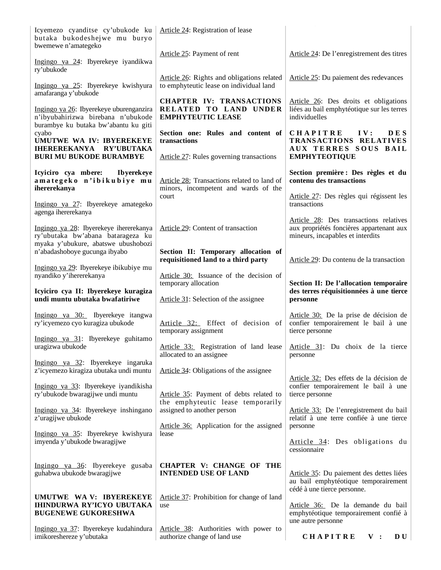| Icyemezo cyanditse cy'ubukode ku<br>butaka bukodeshejwe mu buryo<br>bwemewe n'amategeko                               | Article 24: Registration of lease                                                                    |                                                                                                                        |
|-----------------------------------------------------------------------------------------------------------------------|------------------------------------------------------------------------------------------------------|------------------------------------------------------------------------------------------------------------------------|
| Ingingo ya 24: Ibyerekeye iyandikwa<br>ry'ubukode                                                                     | Article 25: Payment of rent                                                                          | Article 24: De l'enregistrement des titres                                                                             |
| Ingingo ya 25: Ibyerekeye kwishyura<br>amafaranga y'ubukode                                                           | Article 26: Rights and obligations related<br>to emphyteutic lease on individual land                | Article 25: Du paiement des redevances                                                                                 |
| Ingingo ya 26: Ibyerekeye uburenganzira<br>n'ibyubahirizwa birebana n'ubukode<br>burambye ku butaka bw'abantu ku giti | <b>CHAPTER IV: TRANSACTIONS</b><br>RELATED TO LAND UNDER<br><b>EMPHYTEUTIC LEASE</b>                 | Article 26: Des droits et obligations<br>liées au bail emphytéotique sur les terres<br>individuelles                   |
| cyabo<br>UMUTWE WA IV: IBYEREKEYE<br><b>IHEREREKANYA RY'UBUTAKA</b><br><b>BURI MU BUKODE BURAMBYE</b>                 | Section one: Rules and content of<br>transactions<br>Article 27: Rules governing transactions        | <b>CHAPITRE</b><br><b>DES</b><br>IV:<br>TRANSACTIONS RELATIVES<br>AUX TERRES SOUS BAIL<br><b>EMPHYTEOTIQUE</b>         |
| <b>Ibyerekeye</b>                                                                                                     |                                                                                                      |                                                                                                                        |
| Icyiciro cya mbere:<br>amategeko n'ibikubiye mu<br>ihererekanya                                                       | Article 28: Transactions related to land of<br>minors, incompetent and wards of the                  | Section première : Des règles et du<br>contenu des transactions                                                        |
| Ingingo ya 27: Ibyerekeye amategeko<br>agenga ihererekanya                                                            | court                                                                                                | Article 27: Des règles qui régissent les<br>transactions                                                               |
| Ingingo ya 28: Ibyerekeye ihererekanya<br>ry'ubutaka bw'abana batarageza ku<br>myaka y'ubukure, abatswe ubushobozi    | Article 29: Content of transaction                                                                   | Article 28: Des transactions relatives<br>aux propriétés foncières appartenant aux<br>mineurs, incapables et interdits |
| n'abadashoboye gucunga ibyabo                                                                                         | Section II: Temporary allocation of<br>requisitioned land to a third party                           | Article 29: Du contenu de la transaction                                                                               |
| Ingingo ya 29: Ibyerekeye ibikubiye mu<br>nyandiko y'ihererekanya                                                     | Article 30: Issuance of the decision of<br>temporary allocation                                      | Section II: De l'allocation temporaire                                                                                 |
|                                                                                                                       |                                                                                                      |                                                                                                                        |
| Icyiciro cya II: Ibyerekeye kuragiza<br>undi muntu ubutaka bwafatiriwe                                                | Article 31: Selection of the assignee                                                                | des terres réquisitionnées à une tierce<br>personne                                                                    |
| Ingingo ya 30: Ibyerekeye itangwa<br>ry'icyemezo cyo kuragiza ubukode                                                 | Article 32: Effect of decision of<br>temporary assignment                                            | Article 30: De la prise de décision de<br>confier temporairement le bail à une<br>tierce personne                      |
| Ingingo ya 31: Ibyerekeye guhitamo<br>uragizwa ubukode                                                                | Article 33: Registration of land lease Article 31: Du choix de la tierce<br>allocated to an assignee | personne                                                                                                               |
| Ingingo ya 32: Ibyerekeye ingaruka<br>z'icyemezo kiragiza ubutaka undi muntu                                          | Article 34: Obligations of the assignee                                                              |                                                                                                                        |
| Ingingo ya 33: Ibyerekeye iyandikisha<br>ry'ubukode bwaragijwe undi muntu                                             | Article 35: Payment of debts related to                                                              | Article 32: Des effets de la décision de<br>confier temporairement le bail à une<br>tierce personne                    |
| Ingingo ya 34: Ibyerekeye inshingano<br>z'uragijwe ubukode                                                            | the emphyteutic lease temporarily<br>assigned to another person                                      | Article 33: De l'enregistrement du bail<br>relatif à une terre confiée à une tierce                                    |
| Ingingo ya 35: Ibyerekeye kwishyura<br>imyenda y'ubukode bwaragijwe                                                   | Article 36: Application for the assigned<br>lease                                                    | personne<br>Article 34: Des obligations du<br>cessionnaire                                                             |
| Ingingo ya 36: Ibyerekeye gusaba<br>guhabwa ubukode bwaragijwe                                                        | <b>CHAPTER V: CHANGE OF THE</b><br><b>INTENDED USE OF LAND</b>                                       | Article 35: Du paiement des dettes liées<br>au bail emphytéotique temporairement<br>cédé à une tierce personne.        |
| UMUTWE WA V: IBYEREKEYE<br><b>IHINDURWA RY'ICYO UBUTAKA</b><br><b>BUGENEWE GUKORESHWA</b>                             | Article 37: Prohibition for change of land<br>use                                                    | Article 36: De la demande du bail<br>emphytéotique temporairement confié à<br>une autre personne                       |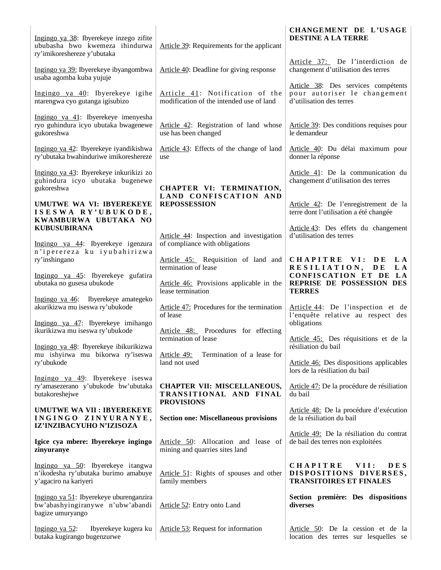|                                                                                                              |                                                                                   | CHANGEMENT DE L'USAGE                                                                             |
|--------------------------------------------------------------------------------------------------------------|-----------------------------------------------------------------------------------|---------------------------------------------------------------------------------------------------|
| Ingingo ya 38: Ibyerekeye inzego zifite<br>ububasha bwo kwemeza ihindurwa<br>ry'imikoreshereze y'ubutaka     | Article 39: Requirements for the applicant                                        | <b>DESTINE A LA TERRE</b>                                                                         |
| Ingingo ya 39: Ibyerekeye ibyangombwa<br>usaba agomba kuba yujuje                                            | Article 40: Deadline for giving response                                          | Article 37: De l'interdiction de<br>changement d'utilisation des terres                           |
| Ingingo ya 40: Ibyerekeye igihe<br>ntarengwa cyo gutanga igisubizo                                           | Article 41: Notification of the<br>modification of the intended use of land       | Article 38: Des services compétents<br>pour autoriser le changement<br>d'utilisation des terres   |
| Ingingo ya 41: Ibyerekeye imenyesha<br>ryo guhindura icyo ubutaka bwagenewe<br>gukoreshwa                    | Article 42: Registration of land whose<br>use has been changed                    | Article 39: Des conditions requises pour<br>le demandeur                                          |
| Ingingo ya 42: Ibyerekeye iyandikishwa<br>ry'ubutaka bwahinduriwe imikoreshereze                             | Article 43: Effects of the change of land<br>use                                  | Article 40: Du délai maximum pour<br>donner la réponse                                            |
| Ingingo ya 43: Ibyerekeye inkurikizi zo<br>guhindura icyo ubutaka bugenewe<br>gukoreshwa                     | CHAPTER VI: TERMINATION,<br>LAND CONFISCATION AND                                 | Article 41: De la communication du<br>changement d'utilisation des terres                         |
| UMUTWE WA VI: IBYEREKEYE<br>ISESWA RY'UBUKODE,<br>KWAMBURWA UBUTAKA NO                                       | <b>REPOSSESSION</b>                                                               | Article 42: De l'enregistrement de la<br>terre dont l'utilisation a été changée                   |
| <b>KUBUSUBIRANA</b><br>Ingingo ya 44: Ibyerekeye igenzura                                                    | Article 44: Inspection and investigation<br>of compliance with obligations        | Article 43: Des effets du changement<br>d'utilisation des terres                                  |
| n'iperereza ku iyubahirizwa<br>ry'inshingano                                                                 | Article 45: Requisition of land and<br>termination of lease                       | CHAPITRE VI:<br>D E<br>L A<br>RESILIATION, DE<br>L A                                              |
| Ingingo ya 45: Ibyerekeye gufatira<br>ubutaka no gusesa ubukode                                              | Article 46: Provisions applicable in the<br>lease termination                     | CONFISCATION ET DE LA<br>REPRISE DE POSSESSION DES<br><b>TERRES</b>                               |
| Ingingo ya 46: Ibyerekeye amategeko<br>akurikizwa mu iseswa ry'ubukode<br>Ingingo ya 47: Ibyerekeye imihango | Article 47: Procedures for the termination<br>of lease                            | Article 44: De l'inspection et de<br>l'enquête relative au respect des<br>obligations             |
| ikurikizwa mu iseswa ry'ubukode                                                                              | Article 48: Procedures for effecting<br>termination of lease                      | Article 45: Des réquisitions et de la                                                             |
| Ingingo ya 48: Ibyerekeye ibikurikizwa<br>mu ishyirwa mu bikorwa ry'iseswa<br>ry'ubukode                     | Article 49:<br>Termination of a lease for<br>land not used                        | résiliation du bail<br>Article 46: Des dispositions applicables                                   |
| Ingingo ya 49: Ibyerekeye iseswa<br>ry'amasezerano y'ubukode bw'ubutaka<br>butakoreshejwe                    | <b>CHAPTER VII: MISCELLANEOUS,</b><br>TRANSITIONAL AND FINAL<br><b>PROVISIONS</b> | lors de la résiliation du bail<br>Article 47: De la procédure de résiliation<br>du bail           |
| <b>UMUTWE WA VII : IBYEREKEYE</b><br>INGINGO ZINYURANYE,<br>IZ'INZIBACYUHO N'IZISOZA                         | <b>Section one: Miscellaneous provisions</b>                                      | Article 48: De la procédure d'exécution<br>de la résiliation du bail                              |
| Igice cya mbere: Ibyerekeye ingingo<br>zinyuranye                                                            | Article 50: Allocation and lease of<br>mining and quarries sites land             | Article 49: De la résiliation du contrat<br>de bail des terres non exploitées                     |
| Ingingo ya 50: Ibyerekeye itangwa<br>n'ikodesha ry'ubutaka burimo amabuye<br>y'agaciro na kariyeri           | Article 51: Rights of spouses and other<br>family members                         | <b>CHAPITRE</b><br>VII:<br><b>DES</b><br>DISPOSITIONS DIVERSES,<br><b>TRANSITOIRES ET FINALES</b> |
| Ingingo ya 51: Ibyerekeye uburenganzira<br>bw'abashyingiranywe n'ubw'abandi<br>bagize umuryango              | Article 52: Entry onto Land                                                       | Section première: Des dispositions<br>diverses                                                    |
| Ibyerekeye kugera ku<br>Ingingo ya $52$ :<br>butaka kugirango bugenzurwe                                     | Article 53: Request for information                                               | Article 50: De la cession et de la<br>location des terres sur lesquelles se                       |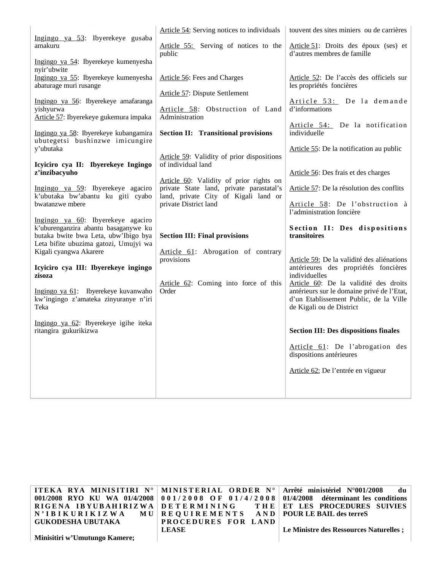|                                                                                                                                                            | Article 54: Serving notices to individuals                                          | touvent des sites miniers ou de carrières                                                                                                                 |
|------------------------------------------------------------------------------------------------------------------------------------------------------------|-------------------------------------------------------------------------------------|-----------------------------------------------------------------------------------------------------------------------------------------------------------|
| Ingingo ya 53: Ibyerekeye gusaba<br>amakuru                                                                                                                | Article 55: Serving of notices to the<br>public                                     | Article 51: Droits des époux (ses) et<br>d'autres membres de famille                                                                                      |
| Ingingo ya 54: Ibyerekeye kumenyesha<br>nyir'ubwite                                                                                                        |                                                                                     |                                                                                                                                                           |
| Ingingo ya 55: Ibyerekeye kumenyesha<br>abaturage muri rusange                                                                                             | Article 56: Fees and Charges                                                        | Article 52: De l'accès des officiels sur<br>les propriétés foncières                                                                                      |
| Ingingo ya 56: Ibyerekeye amafaranga<br>yishyurwa                                                                                                          | <b>Article 57: Dispute Settlement</b><br>Article 58: Obstruction of Land            | Article 53: De la demande<br>d'informations                                                                                                               |
| Article 57: Ibyerekeye gukemura impaka<br>Ingingo ya 58: Ibyerekeye kubangamira                                                                            | Administration<br><b>Section II: Transitional provisions</b>                        | Article 54: De la notification<br>individuelle                                                                                                            |
| ubutegetsi bushinzwe imicungire<br>y'ubutaka                                                                                                               |                                                                                     | Article 55: De la notification au public                                                                                                                  |
| Icyiciro cya II: Ibyerekeye Ingingo<br>z'inzibacyuho                                                                                                       | Article 59: Validity of prior dispositions<br>of individual land                    | Article 56: Des frais et des charges                                                                                                                      |
| Ingingo ya 59: Ibyerekeye agaciro                                                                                                                          | Article 60: Validity of prior rights on<br>private State land, private parastatal's | Article 57: De la résolution des conflits                                                                                                                 |
| k'ubutaka bw'abantu ku giti cyabo<br>bwatanzwe mbere                                                                                                       | land, private City of Kigali land or<br>private District land                       | Article 58: De l'obstruction à<br>l'administration foncière                                                                                               |
| Ingingo ya 60: Ibyerekeye agaciro<br>k'uburenganzira abantu basaganywe ku<br>butaka bwite bwa Leta, ubw'Ibigo bya<br>Leta bifite ubuzima gatozi, Umujyi wa | <b>Section III: Final provisions</b>                                                | Section II: Des dispositions<br>transitoires                                                                                                              |
| Kigali cyangwa Akarere                                                                                                                                     | Article 61: Abrogation of contrary<br>provisions                                    | Article 59: De la validité des aliénations                                                                                                                |
| Icyiciro cya III: Ibyerekeye ingingo<br>zisoza                                                                                                             |                                                                                     | antérieures des propriétés foncières<br>individuelles                                                                                                     |
| Ingingo ya 61: Ibyerekeye kuvanwaho<br>kw'ingingo z'amateka zinyuranye n'iri<br>Teka                                                                       | Article 62: Coming into force of this<br>Order                                      | Article 60: De la validité des droits<br>antérieurs sur le domaine privé de l'Etat,<br>d'un Etablissement Public, de la Ville<br>de Kigali ou de District |
| Ingingo ya 62: Ibyerekeye igihe iteka<br>ritangira gukurikizwa                                                                                             |                                                                                     | <b>Section III: Des dispositions finales</b>                                                                                                              |
|                                                                                                                                                            |                                                                                     | Article 61: De l'abrogation des<br>dispositions antérieures                                                                                               |
|                                                                                                                                                            |                                                                                     | Article 62: De l'entrée en vigueur                                                                                                                        |
|                                                                                                                                                            |                                                                                     |                                                                                                                                                           |

|                                                          |                     | ITEKA RYA MINISITIRI N°   MINISTERIAL ORDER N°   Arrêté ministériel N°001/2008 du       |
|----------------------------------------------------------|---------------------|-----------------------------------------------------------------------------------------|
|                                                          |                     | 001/2008 RYO KU WA 01/4/2008 001/2008 OF 01/4/2008 01/4/2008 déterminant les conditions |
|                                                          |                     | RIGENA IBYUBAHIRIZWA DETERMINING THE ET LES PROCEDURES SUIVIES                          |
| N'IBIKURIKIZWA MU REQUIREMENTS AND POURLEBAIL des terreS |                     |                                                                                         |
| GUKODESHA UBUTAKA                                        | PROCEDURES FOR LAND |                                                                                         |
|                                                          | <b>LEASE</b>        | Le Ministre des Ressources Naturelles ;                                                 |
| Minisitiri w'Umutungo Kamere;                            |                     |                                                                                         |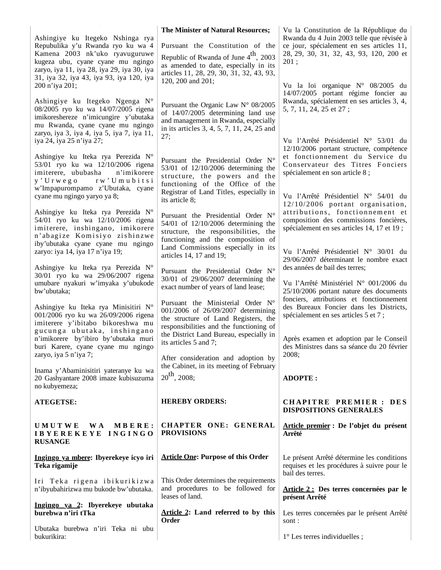|                                                                                                                                                                                                                                                          | The Minister of Natural Resources;                                                                                                                                                                                                                                    | Vu la Constitution de la République du                                                                                                                                                                                          |
|----------------------------------------------------------------------------------------------------------------------------------------------------------------------------------------------------------------------------------------------------------|-----------------------------------------------------------------------------------------------------------------------------------------------------------------------------------------------------------------------------------------------------------------------|---------------------------------------------------------------------------------------------------------------------------------------------------------------------------------------------------------------------------------|
| Ashingiye ku Itegeko Nshinga rya<br>Repubulika y'u Rwanda ryo ku wa 4<br>Kamena 2003 nk'uko ryavuguruwe<br>kugeza ubu, cyane cyane mu ngingo<br>zaryo, iya 11, iya 28, iya 29, iya 30, iya<br>31, iya 32, iya 43, iya 93, iya 120, iya<br>200 n'iya 201; | Pursuant the Constitution of the<br>Republic of Rwanda of June 4 <sup>th</sup> , 2003<br>as amended to date, especially in its<br>articles 11, 28, 29, 30, 31, 32, 43, 93,<br>120, 200 and 201;                                                                       | Rwanda du 4 Juin 2003 telle que révisée à<br>ce jour, spécialement en ses articles 11,<br>28, 29, 30, 31, 32, 43, 93, 120, 200 et<br>201:<br>Vu la loi organique $N^{\circ}$ 08/2005 du<br>14/07/2005 portant régime foncier au |
| Ashingiye ku Itegeko Ngenga N°<br>08/2005 ryo ku wa 14/07/2005 rigena<br>imikoreshereze n'imicungire y'ubutaka<br>mu Rwanda, cyane cyane mu ngingo<br>zaryo, iya 3, iya 4, iya 5, iya 7, iya 11,<br>iya 24, iya 25 n'iya 27;                             | Pursuant the Organic Law N° 08/2005<br>of 14/07/2005 determining land use<br>and management in Rwanda, especially<br>in its articles 3, 4, 5, 7, 11, 24, 25 and<br>27;                                                                                                | Rwanda, spécialement en ses articles 3, 4,<br>5, 7, 11, 24, 25 et 27;<br>Vu l'Arrêté Présidentiel N° 53/01 du                                                                                                                   |
| Ashingiye ku Iteka rya Perezida N°<br>53/01 ryo ku wa 12/10/2006 rigena<br>imiterere, ububasha<br>n'imikorere<br>rw'Umubitsi<br>$y'$ U r w e g o<br>w'Impapurompamo z'Ubutaka, cyane<br>cyane mu ngingo yaryo ya 8;                                      | Pursuant the Presidential Order N°<br>53/01 of 12/10/2006 determining the<br>structure, the powers and the<br>functioning of the Office of the<br>Registrar of Land Titles, especially in<br>its article 8;                                                           | 12/10/2006 portant structure, compétence<br>et fonctionnement du Service du<br>Conservateur des Titres Fonciers<br>spécialement en son article 8 ;<br>Vu l'Arrêté Présidentiel N° 54/01 du<br>12/10/2006 portant organisation,  |
| Ashingiye ku Iteka rya Perezida N°<br>54/01 ryo ku wa 12/10/2006 rigena<br>imiterere, inshingano, imikorere<br>n'abagize Komisiyo zishinzwe<br>iby'ubutaka cyane cyane mu ngingo<br>zaryo: iya 14, iya 17 n'iya 19;                                      | Pursuant the Presidential Order N°<br>54/01 of 12/10/2006 determining the<br>structure, the responsibilities, the<br>functioning and the composition of<br>Land Commissions especially in its<br>articles 14, 17 and 19;                                              | attributions, fonctionnement et<br>composition des commissions foncières,<br>spécialement en ses articles 14, 17 et 19;<br>Vu l'Arrêté Présidentiel N° 30/01 du                                                                 |
| Ashingiye ku Iteka rya Perezida N°<br>30/01 ryo ku wa 29/06/2007 rigena<br>umubare nyakuri w'imyaka y'ubukode<br>bw'ubutaka;                                                                                                                             | Pursuant the Presidential Order N°<br>30/01 of 29/06/2007 determining the<br>exact number of years of land lease;                                                                                                                                                     | 29/06/2007 déterminant le nombre exact<br>des années de bail des terres;<br>Vu l'Arrêté Ministériel N° 001/2006 du<br>25/10/2006 portant nature des documents                                                                   |
| Ashingiye ku Iteka rya Minisitiri N°<br>001/2006 ryo ku wa 26/09/2006 rigena<br>imiterere y'ibitabo bikoreshwa mu<br>gucunga ubutaka, inshingano<br>n'imikorere by'ibiro by'ubutaka muri<br>buri Karere, cyane cyane mu ngingo<br>zaryo, iya 5 n'iya 7;  | Pursuant the Ministerial Order N°<br>001/2006 of 26/09/2007 determining<br>the structure of Land Registers, the<br>responsibilities and the functioning of<br>the District Land Bureau, especially in<br>its articles 5 and 7;<br>After consideration and adoption by | fonciers, attributions et fonctionnement<br>des Bureaux Foncier dans les Districts,<br>spécialement en ses articles 5 et 7;<br>Après examen et adoption par le Conseil<br>des Ministres dans sa séance du 20 février<br>2008;   |
| Inama y'Abaminisitiri yateranye ku wa<br>20 Gashyantare 2008 imaze kubisuzuma<br>no kubyemeza;                                                                                                                                                           | the Cabinet, in its meeting of February<br>$20^{th}$ , 2008;                                                                                                                                                                                                          | <b>ADOPTE:</b>                                                                                                                                                                                                                  |
| <b>ATEGETSE:</b>                                                                                                                                                                                                                                         | <b>HEREBY ORDERS:</b>                                                                                                                                                                                                                                                 | <b>CHAPITRE PREMIER: DES</b><br><b>DISPOSITIONS GENERALES</b>                                                                                                                                                                   |
| UMUTWE<br>W A<br>MBERE:<br>IBYEREKEYE INGINGO<br><b>RUSANGE</b>                                                                                                                                                                                          | CHAPTER ONE: GENERAL<br><b>PROVISIONS</b>                                                                                                                                                                                                                             | Article premier : De l'objet du présent<br>Arrêté                                                                                                                                                                               |
| Ingingo ya mbere: Ibyerekeye icyo iri<br>Teka rigamije                                                                                                                                                                                                   | <b>Article One: Purpose of this Order</b>                                                                                                                                                                                                                             | Le présent Arrêté détermine les conditions<br>requises et les procédures à suivre pour le<br>bail des terres.                                                                                                                   |
| Iri Teka rigena ibikurikizwa<br>n'ibyubahirizwa mu bukode bw'ubutaka.                                                                                                                                                                                    | This Order determines the requirements<br>and procedures to be followed for<br>leases of land.                                                                                                                                                                        | Article 2 : Des terres concernées par le<br>présent Arrêté                                                                                                                                                                      |
| Ingingo ya 2: Ibyerekeye ubutaka<br>burebwa n'iri tTka                                                                                                                                                                                                   | Article 2: Land referred to by this<br>Order                                                                                                                                                                                                                          | Les terres concernées par le présent Arrêté<br>sont :                                                                                                                                                                           |
| Ubutaka burebwa n'iri Teka ni ubu<br>bukurikira:                                                                                                                                                                                                         |                                                                                                                                                                                                                                                                       | $1^\circ$ Les terres individuelles;                                                                                                                                                                                             |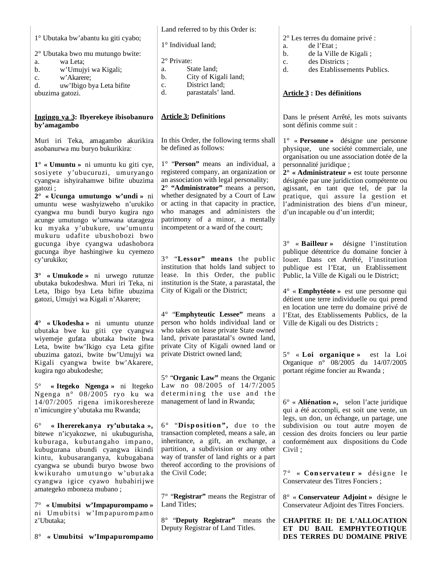| 1° Ubutaka bw'abantu ku giti cyabo;<br>2° Ubutaka bwo mu mutungo bwite:<br>wa Leta:<br>a.<br>w'Umujyi wa Kigali;<br>b.<br>w'Akarere;<br>c.<br>uw'Ibigo bya Leta bifite<br>d.<br>ubuzima gatozi.                                                                                                                                                                                                        | 1° Individual land;<br>2° Private:<br>State land;<br>a.<br>City of Kigali land;<br>b.<br>District land;<br>c.<br>parastatals' land.<br>d.                                                                                                                                                                                                                                                                                                    | $2^{\circ}$ Les terres du domaine privé :<br>de l'Etat;<br>a.<br>de la Ville de Kigali;<br>b.<br>des Districts;<br>c.<br>des Etablissements Publics.<br>d.<br><b>Article 3 : Des définitions</b>                                                                                                                                                                                                                                         |
|--------------------------------------------------------------------------------------------------------------------------------------------------------------------------------------------------------------------------------------------------------------------------------------------------------------------------------------------------------------------------------------------------------|----------------------------------------------------------------------------------------------------------------------------------------------------------------------------------------------------------------------------------------------------------------------------------------------------------------------------------------------------------------------------------------------------------------------------------------------|------------------------------------------------------------------------------------------------------------------------------------------------------------------------------------------------------------------------------------------------------------------------------------------------------------------------------------------------------------------------------------------------------------------------------------------|
| Ingingo ya 3: Ibyerekeye ibisobanuro<br>by'amagambo                                                                                                                                                                                                                                                                                                                                                    | <b>Article 3: Definitions</b>                                                                                                                                                                                                                                                                                                                                                                                                                | Dans le présent Arrêté, les mots suivants<br>sont définis comme suit :                                                                                                                                                                                                                                                                                                                                                                   |
| Muri iri Teka, amagambo akurikira<br>asobanurwa mu buryo bukurikira:<br>$1^\circ$ « Umuntu » ni umuntu ku giti cye,<br>sosiyete y'ubucuruzi, umuryango<br>cyangwa ishyirahamwe bifite ubuzima<br>gatozi;<br>$2^{\circ}$ « Ucunga umutungo w'undi » ni<br>umuntu wese washyizweho n'urukiko<br>cyangwa mu bundi buryo kugira ngo<br>acunge umutungo w'umwana utarageza<br>ku myaka y'ubukure, uw'umuntu | In this Order, the following terms shall<br>be defined as follows:<br>1° "Person" means an individual, a<br>registered company, an organization or<br>an association with legal personality;<br>$2^{\circ}$ "Administrator" means a person,<br>whether designated by a Court of Law<br>or acting in that capacity in practice,<br>who manages and administers the<br>patrimony of a minor, a mentally<br>incompetent or a ward of the court; | $1^{\circ}$ « <b>Personne</b> » désigne une personne<br>physique, une société commerciale, une<br>organisation ou une association dotée de la<br>personnalité juridique;<br>$2^{\circ}$ « Administrateur » est toute personne<br>désignée par une juridiction compétente ou<br>agissant, en tant que tel, de par la<br>pratique, qui assure la gestion et<br>l'administration des biens d'un mineur,<br>d'un incapable ou d'un interdit; |
| mukuru udafite ubushobozi bwo<br>gucunga ibye cyangwa udashobora<br>gucunga ibye hashingiwe ku cyemezo<br>cy'urukiko;<br>$3^{\circ}$ « Umukode » ni urwego rutunze<br>ubutaka bukodeshwa. Muri iri Teka, ni<br>Leta, Ibigo bya Leta bifite ubuzima<br>gatozi, Umujyi wa Kigali n'Akarere;                                                                                                              | 3° "Lessor" means the public<br>institution that holds land subject to<br>lease. In this Order, the public<br>institution is the State, a parastatal, the<br>City of Kigali or the District;                                                                                                                                                                                                                                                 | $3^{\circ}$ « <b>Bailleur</b> » désigne l'institution<br>publique détentrice du domaine foncier à<br>louer. Dans cet Arrêté, l'institution<br>publique est l'Etat, un Etablissement<br>Public, la Ville de Kigali ou le District;<br>$4^{\circ}$ « <b>Emphytéote</b> » est une personne qui<br>détient une terre individuelle ou qui prend                                                                                               |
| $4^{\circ}$ « Ukodesha » ni umuntu utunze<br>ubutaka bwe ku giti cye cyangwa<br>wiyemeje gufata ubutaka bwite bwa<br>Leta, bwite bw'Ikigo cya Leta gifite<br>ubuzima gatozi, bwite bw'Umujyi wa<br>Kigali cyangwa bwite bw'Akarere,<br>kugira ngo abukodeshe;                                                                                                                                          | 4° "Emphyteutic Lessee" means a<br>person who holds individual land or<br>who takes on lease private State owned<br>land, private parastatal's owned land,<br>private City of Kigali owned land or<br>private District owned land;                                                                                                                                                                                                           | en location une terre du domaine privé de<br>l'Etat, des Etablissements Publics, de la<br>Ville de Kigali ou des Districts ;<br>$5^{\circ}$<br>« Loi organique » est la Loi<br>Organique nº 08/2005 du 14/07/2005<br>portant régime foncier au Rwanda;                                                                                                                                                                                   |
| $5^{\circ}$<br>« Itegeko Ngenga » ni Itegeko<br>Ngenga n° 08/2005 ryo ku wa<br>14/07/2005 rigena imikoreshereze<br>n'imicungire y'ubutaka mu Rwanda;                                                                                                                                                                                                                                                   | 5° "Organic Law" means the Organic<br>Law no 08/2005 of 14/7/2005<br>determining the use and the<br>management of land in Rwanda;                                                                                                                                                                                                                                                                                                            | $6^{\circ}$ « Aliénation », selon l'acte juridique<br>qui a été accompli, est soit une vente, un<br>legs, un don, un échange, un partage, une                                                                                                                                                                                                                                                                                            |
| $6^{\circ}$<br>« Ihererekanya ry'ubutaka »,<br>bitewe n'icyakozwe, ni ukubugurisha,<br>kuburaga, kubutangaho impano,<br>kubugurana ubundi cyangwa ikindi<br>kintu, kubusaranganya, kubugabana<br>cyangwa se ubundi buryo bwose bwo                                                                                                                                                                     | 6° "Disposition", due to the<br>transaction completed, means a sale, an<br>inheritance, a gift, an exchange, a<br>partition, a subdivision or any other<br>way of transfer of land rights or a part<br>thereof according to the provisions of                                                                                                                                                                                                | subdivision ou tout autre moyen de<br>cession des droits fonciers ou leur partie<br>conformément aux dispositions du Code<br>Civil;                                                                                                                                                                                                                                                                                                      |
| kwikuraho umutungo w'ubutaka<br>cyangwa igice cyawo hubahirijwe<br>amategeko mboneza mubano;                                                                                                                                                                                                                                                                                                           | the Civil Code;<br>7° "Registrar" means the Registrar of                                                                                                                                                                                                                                                                                                                                                                                     | 7° « Conservateur » désigne le<br>Conservateur des Titres Fonciers;<br>8° « Conservateur Adjoint » désigne le                                                                                                                                                                                                                                                                                                                            |
| 7° « Umubitsi w'Impapurompamo »<br>ni Umubitsi w'Impapurompamo<br>z'Ubutaka;                                                                                                                                                                                                                                                                                                                           | Land Titles;<br>8° "Deputy Registrar" means the                                                                                                                                                                                                                                                                                                                                                                                              | Conservateur Adjoint des Titres Fonciers.<br><b>CHAPITRE II: DE L'ALLOCATION</b>                                                                                                                                                                                                                                                                                                                                                         |
| « Umubitsi w'Impapurompamo<br>$8^{\circ}$                                                                                                                                                                                                                                                                                                                                                              | Deputy Registrar of Land Titles.                                                                                                                                                                                                                                                                                                                                                                                                             | ET DU BAIL EMPHYTEOTIQUE<br>DES TERRES DU DOMAINE PRIVE                                                                                                                                                                                                                                                                                                                                                                                  |

Land referred to by this Order is: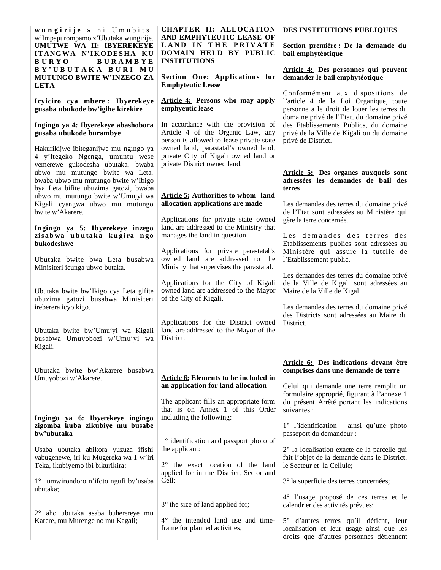| wungirije » ni Umubitsi<br>CHAPTER II: ALLOCATION<br>AND EMPHYTEUTIC LEASE OF<br>w'Impapurompamo z'Ubutaka wungirije.<br>LAND IN THE PRIVATE<br>UMUTWE WA II: IBYEREKEYE<br>DOMAIN HELD BY PUBLIC<br>ITANGWA N'IKODESHA KU<br><b>INSTITUTIONS</b><br><b>BURAMBYE</b><br><b>BURYO</b> |                                                                                                                                                                                                      | DES INSTITUTIONS PUBLIQUES<br>Section première : De la demande du<br>bail emphytéotique                                                                                              |  |  |  |
|--------------------------------------------------------------------------------------------------------------------------------------------------------------------------------------------------------------------------------------------------------------------------------------|------------------------------------------------------------------------------------------------------------------------------------------------------------------------------------------------------|--------------------------------------------------------------------------------------------------------------------------------------------------------------------------------------|--|--|--|
| BY'UBUTAKA BURI MU<br>MUTUNGO BWITE W'INZEGO ZA<br><b>LETA</b>                                                                                                                                                                                                                       | Section One: Applications for<br><b>Emphyteutic Lease</b>                                                                                                                                            | Article 4: Des personnes qui peuvent<br>demander le bail emphytéotique                                                                                                               |  |  |  |
| Icyiciro cya mbere: Ibyerekeye<br>gusaba ubukode bw'igihe kirekire                                                                                                                                                                                                                   | <b>Article 4: Persons who may apply</b><br>emphyeutic lease                                                                                                                                          | Conformément aux dispositions de<br>l'article 4 de la Loi Organique, toute<br>personne a le droit de louer les terres du<br>domaine privé de l'Etat, du domaine privé                |  |  |  |
| Ingingo ya 4: Ibyerekeye abashobora<br>gusaba ubukode burambye<br>Hakurikijwe ibiteganijwe mu ngingo ya<br>4 y'Itegeko Ngenga, umuntu wese                                                                                                                                           | In accordance with the provision of<br>Article 4 of the Organic Law, any<br>person is allowed to lease private state<br>owned land, parastatal's owned land,<br>private City of Kigali owned land or | des Etablissements Publics, du domaine<br>privé de la Ville de Kigali ou du domaine<br>privé de District.                                                                            |  |  |  |
| yemerewe gukodesha ubutaka, bwaba<br>ubwo mu mutungo bwite wa Leta,<br>bwaba ubwo mu mutungo bwite w'Ibigo<br>bya Leta bifite ubuzima gatozi, bwaba<br>ubwo mu mutungo bwite w'Umujyi wa<br>Kigali cyangwa ubwo mu mutungo<br>bwite w'Akarere.                                       | private District owned land.<br><b>Article 5: Authorities to whom land</b><br>allocation applications are made                                                                                       | <b>Article 5:</b> Des organes auxquels sont<br>adressées les demandes de bail des<br>terres<br>Les demandes des terres du domaine privé<br>de l'Etat sont adressées au Ministère qui |  |  |  |
| Ingingo ya 5: Ibyerekeye inzego<br>zisabwa ubutaka kugira ngo<br>bukodeshwe<br>Ubutaka bwite bwa Leta busabwa                                                                                                                                                                        | Applications for private state owned<br>land are addressed to the Ministry that<br>manages the land in question.<br>Applications for private parastatal's<br>owned land are addressed to the         | gère la terre concernée.<br>Les demandes des terres des<br>Etablissements publics sont adressées au<br>Ministère qui assure la tutelle de<br>l'Etablissement public.                 |  |  |  |
| Minisiteri icunga ubwo butaka.<br>Ubutaka bwite bw'Ikigo cya Leta gifite<br>ubuzima gatozi busabwa Minisiteri<br>ireberera icyo kigo.                                                                                                                                                | Ministry that supervises the parastatal.<br>Applications for the City of Kigali<br>owned land are addressed to the Mayor<br>of the City of Kigali.                                                   | Les demandes des terres du domaine privé<br>de la Ville de Kigali sont adressées au<br>Maire de la Ville de Kigali.<br>Les demandes des terres du domaine privé                      |  |  |  |
| Ubutaka bwite bw'Umujyi wa Kigali<br>busabwa Umuyobozi w'Umujyi wa<br>Kigali.                                                                                                                                                                                                        | Applications for the District owned<br>land are addressed to the Mayor of the<br>District.                                                                                                           | des Districts sont adressées au Maire du<br>District.                                                                                                                                |  |  |  |
| Ubutaka bwite bw'Akarere busabwa<br>Umuyobozi w'Akarere.                                                                                                                                                                                                                             | <b>Article 6: Elements to be included in</b><br>an application for land allocation                                                                                                                   | Article 6: Des indications devant être<br>comprises dans une demande de terre<br>Celui qui demande une terre remplit un<br>formulaire approprié, figurant à l'annexe 1               |  |  |  |
| Ingingo ya 6: Ibyerekeye ingingo<br>zigomba kuba zikubiye mu busabe<br>bw'ubutaka                                                                                                                                                                                                    | The applicant fills an appropriate form<br>that is on Annex 1 of this Order<br>including the following:<br>1° identification and passport photo of                                                   | du présent Arrêté portant les indications<br>suivantes :<br>1° l'identification<br>ainsi qu'une photo<br>passeport du demandeur :                                                    |  |  |  |
| Usaba ubutaka abikora yuzuza ifishi<br>yabugenewe, iri ku Mugereka wa 1 w'iri<br>Teka, ikubiyemo ibi bikurikira:                                                                                                                                                                     | the applicant:<br>2° the exact location of the land<br>applied for in the District, Sector and                                                                                                       | 2° la localisation exacte de la parcelle qui<br>fait l'objet de la demande dans le District,<br>le Secteur et la Cellule;                                                            |  |  |  |
| 1° umwirondoro n'ifoto ngufi by'usaba<br>ubutaka;                                                                                                                                                                                                                                    | Cell;                                                                                                                                                                                                | 3° la superficie des terres concernées;<br>4° l'usage proposé de ces terres et le                                                                                                    |  |  |  |
| aho ubutaka asaba buherereye mu<br>$2^{\circ}$<br>Karere, mu Murenge no mu Kagali;                                                                                                                                                                                                   | 3° the size of land applied for;<br>4° the intended land use and time-<br>frame for planned activities;                                                                                              | calendrier des activités prévues;<br>5° d'autres terres qu'il détient, leur<br>localisation et leur usage ainsi que les<br>droits que d'autres personnes détiennent                  |  |  |  |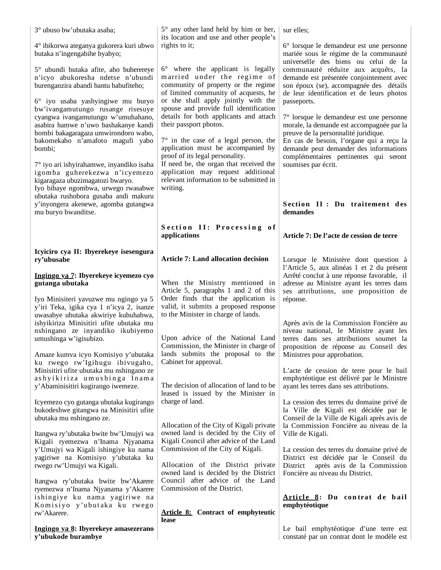| 3° ubuso bw'ubutaka asaba;                                                                                                                                           | 5° any other land held by him or her,                                                                                                             | sur elles;                                                                                                                                                                    |
|----------------------------------------------------------------------------------------------------------------------------------------------------------------------|---------------------------------------------------------------------------------------------------------------------------------------------------|-------------------------------------------------------------------------------------------------------------------------------------------------------------------------------|
| 4° ibikorwa ateganya gukorera kuri ubwo<br>butaka n'ingengabihe byabyo;                                                                                              | its location and use and other people's<br>rights to it;                                                                                          | 6° lorsque le demandeur est une personne<br>mariée sous le régime de la communauté<br>universelle des biens ou celui de la                                                    |
| 5° ubundi butaka afite, aho buherereye<br>n'icyo abukoresha ndetse n'ubundi<br>burenganzira abandi bantu babufiteho;                                                 | 6° where the applicant is legally<br>married under the regime of<br>community of property or the regime<br>of limited community of acquests, he   | communauté réduite aux acquêts, la<br>demande est présentée conjointement avec<br>son époux (se), accompagnée des détails<br>de leur identification et de leurs photos        |
| 6° iyo usaba yashyingiwe mu buryo<br>bw'ivangamutungo rusange risesuye<br>cyangwa ivangamutungo w'umuhahano,<br>asabira hamwe n'uwo bashakanye kandi                 | or she shall apply jointly with the<br>spouse and provide full identification<br>details for both applicants and attach<br>their passport photos. | passeports.<br>7° lorsque le demandeur est une personne<br>morale, la demande est accompagnée par la                                                                          |
| bombi bakagaragaza umwirondoro wabo,<br>bakomekaho n'amafoto magufi yabo<br>bombi;                                                                                   | $7^\circ$ in the case of a legal person, the<br>application must be accompanied by<br>proof of its legal personality.                             | preuve de la personnalité juridique.<br>En cas de besoin, l'organe qui a reçu la<br>demande peut demander des informations<br>complémentaires pertinentes qui seront          |
| 7° iyo ari ishyirahamwe, inyandiko isaba<br>igomba guherekezwa n'icyemezo<br>kigaragaza ubuzimagatozi bwaryo.<br>Iyo bibaye ngombwa, urwego rwasabwe                 | If need be, the organ that received the<br>application may request additional<br>relevant information to be submitted in<br>writing.              | soumises par écrit.                                                                                                                                                           |
| ubutaka rushobora gusaba andi makuru<br>y'inyongera akenewe, agomba gutangwa<br>mu buryo bwanditse.                                                                  |                                                                                                                                                   | Section II: Du traitement des<br>demandes                                                                                                                                     |
|                                                                                                                                                                      | Section II: Processing of<br>applications                                                                                                         | Article 7: De l'acte de cession de terre                                                                                                                                      |
| Icyiciro cya II: Ibyerekeye isesengura<br>ry'ubusabe                                                                                                                 | <b>Article 7: Land allocation decision</b>                                                                                                        | Lorsque le Ministère dont question à                                                                                                                                          |
| Ingingo ya 7: Ibyerekeye icyemezo cyo<br>gutanga ubutaka                                                                                                             | When the Ministry mentioned in<br>Article 5, paragraphs 1 and 2 of this<br>Order finds that the application is                                    | l'Article 5, aux alinéas 1 et 2 du présent<br>Arrêté conclut à une réponse favorable, il<br>adresse au Ministre ayant les terres dans<br>ses attributions, une proposition de |
| Iyo Minisiteri yavuzwe mu ngingo ya 5<br>y'iri Teka, igika cya 1 n'icya 2, isanze<br>uwasabye ubutaka akwiriye kubuhabwa,<br>ishyikiriza Minisitiri ufite ubutaka mu | valid, it submits a proposed response<br>to the Minister in charge of lands.                                                                      | réponse.<br>Après avis de la Commission Foncière au                                                                                                                           |
| nshingano ze inyandiko ikubiyemo<br>umushinga w'igisubizo.                                                                                                           | Upon advice of the National Land<br>Commission, the Minister in charge of                                                                         | niveau national, le Ministre ayant les<br>terres dans ses attributions soumet la<br>proposition de réponse au Conseil des                                                     |
| Amaze kumva icyo Komisiyo y'ubutaka<br>ku rwego rw'Igihugu ibivugaho,<br>Minisitiri ufite ubutaka mu nshingano ze                                                    | lands submits the proposal to the<br>Cabinet for approval.                                                                                        | Ministres pour approbation.<br>L'acte de cession de terre pour le bail                                                                                                        |
| ashyikiriza umushinga Inama<br>y'Abaminisitiri kugirango iwemeze.                                                                                                    | The decision of allocation of land to be<br>leased is issued by the Minister in                                                                   | emphytéotique est délivré par le Ministre<br>ayant les terres dans ses attributions.                                                                                          |
| Icyemezo cyo gutanga ubutaka kugirango<br>bukodeshwe gitangwa na Minisitiri ufite<br>ubutaka mu nshingano ze.                                                        | charge of land.                                                                                                                                   | La cession des terres du domaine privé de<br>la Ville de Kigali est décidée par le<br>Conseil de la Ville de Kigali après avis de                                             |
| Itangwa ry'ubutaka bwite bw'Umujyi wa<br>Kigali ryemezwa n'Inama Njyanama                                                                                            | Allocation of the City of Kigali private<br>owned land is decided by the City of<br>Kigali Council after advice of the Land                       | la Commission Foncière au niveau de la<br>Ville de Kigali.                                                                                                                    |
| y'Umujyi wa Kigali ishingiye ku nama<br>yagiriwe na Komisiyo y'ubutaka ku<br>rwego rw'Umujyi wa Kigali.                                                              | Commission of the City of Kigali.<br>Allocation of the District private<br>owned land is decided by the District                                  | La cession des terres du domaine privé de<br>District est décidée par le Conseil du<br>après avis de la Commission<br>District<br>Foncière au niveau du District.             |
| Itangwa ry'ubutaka bwite bw'Akarere<br>ryemezwa n'Inama Njyanama y'Akarere<br>ishingiye ku nama yagiriwe na                                                          | Council after advice of the Land<br>Commission of the District.                                                                                   |                                                                                                                                                                               |
| Komisiyo y'ubutaka ku rwego<br>rw'Akarere.                                                                                                                           | <b>Article 8:</b> Contract of emphyteutic<br>lease                                                                                                | Article 8: Du contrat de bail<br>emphytéotique                                                                                                                                |
| Ingingo ya 8: Ibyerekeye amasezerano<br>y'ubukode burambye                                                                                                           |                                                                                                                                                   | Le bail emphytéotique d'une terre est<br>constaté par un contrat dont le modèle est                                                                                           |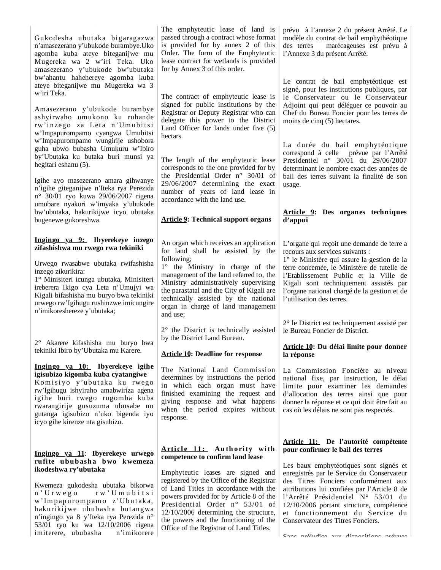| marécageuses est prévu à                                                                                                                                                                                                                                                                                                                                                                                                                                                                                               |  |  |
|------------------------------------------------------------------------------------------------------------------------------------------------------------------------------------------------------------------------------------------------------------------------------------------------------------------------------------------------------------------------------------------------------------------------------------------------------------------------------------------------------------------------|--|--|
| prévu à l'annexe 2 du présent Arrêté. Le<br>modèle du contrat de bail emphythéotique<br>des terres<br>l'Annexe 3 du présent Arrêté.                                                                                                                                                                                                                                                                                                                                                                                    |  |  |
| Le contrat de bail emphytéotique est<br>signé, pour les institutions publiques, par<br>le Conservateur ou le Conservateur<br>Adjoint qui peut déléguer ce pouvoir au<br>Chef du Bureau Foncier pour les terres de<br>moins de cinq (5) hectares.<br>La durée du bail emphytéotique<br>correspond à celle prévue par l'Arrêté<br>Presidentiel $n^{\circ}$ 30/01 du 29/06/2007<br>determinant le nombre exact des années de<br>bail des terres suivant la finalité de son<br>usage.<br>Article 9: Des organes techniques |  |  |
| d'appui                                                                                                                                                                                                                                                                                                                                                                                                                                                                                                                |  |  |
| L'organe qui reçoit une demande de terre a<br>recours aux services suivants :<br>1° le Ministère qui assure la gestion de la<br>terre concernée, le Ministère de tutelle de<br>l'Etablissement Public et la Ville de<br>Kigali sont techniquement assistés par<br>l'organe national chargé de la gestion et de<br>l'utilisation des terres.                                                                                                                                                                            |  |  |
| 2° le District est techniquement assisté par<br>le Bureau Foncier de District.<br>Article 10: Du délai limite pour donner                                                                                                                                                                                                                                                                                                                                                                                              |  |  |
| la réponse                                                                                                                                                                                                                                                                                                                                                                                                                                                                                                             |  |  |
| La Commission Foncière au niveau<br>national fixe, par instruction, le délai<br>limite pour examiner les demandes<br>d'allocation des terres ainsi que pour<br>donner la réponse et ce qui doit être fait au<br>cas où les délais ne sont pas respectés.                                                                                                                                                                                                                                                               |  |  |
| Article 11: De l'autorité compétente<br>pour confirmer le bail des terres<br>Les baux emphytéotiques sont signés et                                                                                                                                                                                                                                                                                                                                                                                                    |  |  |
|                                                                                                                                                                                                                                                                                                                                                                                                                                                                                                                        |  |  |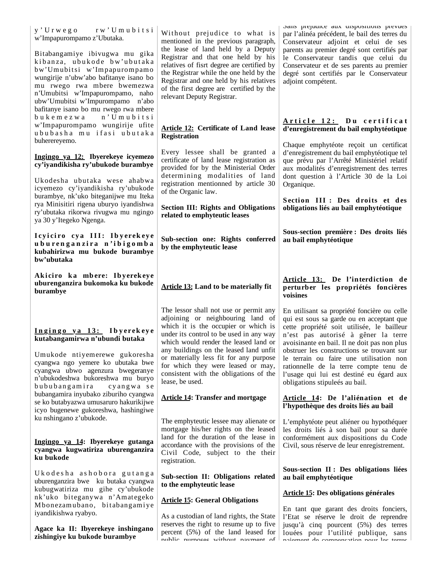y ' U r w e g o r w ' U m u b i t s i w'Impapurompamo z'Ubutaka.

Bitabangamiye ibivugwa mu gika kibanza, ubukode bw'ubutaka bw'Umubitsi w'Impapurompamo wungirije n'ubw'abo bafitanye isano bo mu rwego rwa mbere bwemezwa n'Umubitsi w'Impapurompamo, naho ubw'Umubitsi w'Impurompamo n'abo bafitanye isano bo mu rwego rwa mbere b u k e m e z w a n ' U m u b i t s i w'Impapurompamo wungirije ufite u b u b a s h a m u i f a s i u b u t a k a buherereyemo.

#### **Ingingo ya 12: Ibyerekeye icyemezo cy'iyandikisha ry'ubukode burambye**

Ukodesha ubutaka wese ahabwa icyemezo cy'iyandikisha ry'ubukode burambye, nk'uko biteganijwe mu Iteka rya Minisitiri rigena uburyo iyandishwa ry'ubutaka rikorwa rivugwa mu ngingo ya 30 y'Itegeko Ngenga.

I cyiciro cy a III: Ibyerekeye **u b u r e n g a n z i r a n ' i b i g o m b a kubahirizwa mu bukode burambye bw'ubutaka**

Akiciro ka mbere: Ibyerekeye **uburenganzira bukomoka ku bukode burambye**

### **I n g i n g o y a 1 3 : I b y erek ey e kutabangamirwa n'ubundi butaka**

Umukode ntiyemerewe gukoresha cyangwa ngo yemere ko ubutaka bwe cyangwa ubwo agenzura bwegeranye n'ubukodeshwa bukoreshwa mu buryo bububangamira cyangwa se bubangamira inyubako ziburiho cyangwa se ko butabyazwa umusaruro hakurikijwe icyo bugenewe gukoreshwa, hashingiwe ku nshingano z'ubukode.

#### **Ingingo ya 14: Ibyerekeye gutanga cyangwa kugwatiriza uburenganzira ku bukode**

U k o d e s h a a s h o b o r a gut ang a uburenganzira bwe ku butaka cyangwa kubugwatiriza mu gihe cy'ubukode nk'uko biteganywa n'Amategeko Mbonezamubano, bitabangamiye iyandikishwa ryabyo.

**Agace ka II: Ibyerekeye inshingano zishingiye ku bukode burambye**

Without prejudice to what is mentioned in the previous paragraph, the lease of land held by a Deputy Registrar and that one held by his relatives of fisrt degree are certified by the Registrar while the one held by the Registrar and one held by his relatives of the first degree are certified by the relevant Deputy Registrar.

**Article 12: Certificate of Land lease** 

Every lessee shall be granted a certificate of land lease registration as provided for by the Ministerial Order determining modalities of land registration mentionned by article 30

**Section III: Rights and Obligations** 

**Sub-section one: Rights conferred** 

**Article 13: Land to be materially fit**

The lessor shall not use or permit any adjoining or neighbouring land of which it is the occupier or which is under its control to be used in any way which would render the leased land or any buildings on the leased land unfit or materially less fit for any purpose for which they were leased or may, consistent with the obligations of the

**Article 14: Transfer and mortgage**

The emphyteutic lessee may alienate or mortgage his/her rights on the leased land for the duration of the lease in accordance with the provisions of the Civil Code, subject to the their

**Sub-section II: Obligations related** 

As a custodian of land rights, the State reserves the right to resume up to five percent (5%) of the land leased for public purposes without payment of

**Article 15: General Obligations**

**to the emphyteutic lease**

**related to emphyteutic leases**

**by the emphyteutic lease** 

lease, be used.

registration.

**Registration**

of the Organic law.

Sans préjudice aux dispositions prévues par l'alinéa précédent, le bail des terres du Conservateur adjoint et celui de ses parents au premier degré sont certifiés par le Conservateur tandis que celui du Conservateur et de ses parents au premier degré sont certifiés par le Conservateur adjoint compétent.

#### **A r t i c l e 1 2 : D u c e r t i f i c a t d'enregistrement du bail emphytéotique**

Chaque emphytéote reçoit un certificat d'enregistrement du bail emphytéotique tel que prévu par l'Arrêté Ministériel relatif aux modalités d'enregistrement des terres dont question à l'Article 30 de la Loi Organique.

Section III : Des droits et des **obligations liés au bail emphytéotique**

**Sous-section première : Des droits liés au bail emphytéotique** 

#### **Article 13: De l'interdiction de perturber les propriétés foncières voisines**

En utilisant sa propriété foncière ou celle qui est sous sa garde ou en acceptant que cette propriété soit utilisée, le bailleur n'est pas autorisé à gêner la terre avoisinante en bail. Il ne doit pas non plus obstruer les constructions se trouvant sur le terrain ou faire une utilisation non rationnelle de la terre compte tenu de l'usage qui lui est destiné eu égard aux obligations stipuleés au bail.

### **Article 14: De l'aliénation et de l'hypothèque des droits liés au bail**

L'emphytéote peut aliéner ou hypothéquer les droits liés à son bail pour sa durée conformément aux dispositions du Code Civil, sous réserve de leur enregistrement.

### **Sous-section II : Des obligations liées au bail emphytéotique**

## **Article 15: Des obligations générales**

En tant que garant des droits fonciers, l'Etat se réserve le droit de reprendre jusqu'à cinq pourcent (5%) des terres louées pour l'utilité publique, sans paiement de compensation pour les terres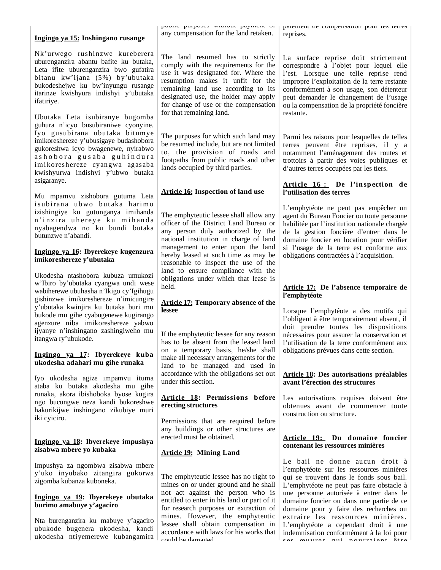| <u>Ingingo ya 15:</u> Inshingano rusange                                                                                                                                                                                                                                                                      | reprises.                                                                                                                                                                                                                                                                                                                                                                                                                                                                                                                                                                                                                                                                                                                                                                     |                                                                                                                                                                                                                                   |  |  |
|---------------------------------------------------------------------------------------------------------------------------------------------------------------------------------------------------------------------------------------------------------------------------------------------------------------|-------------------------------------------------------------------------------------------------------------------------------------------------------------------------------------------------------------------------------------------------------------------------------------------------------------------------------------------------------------------------------------------------------------------------------------------------------------------------------------------------------------------------------------------------------------------------------------------------------------------------------------------------------------------------------------------------------------------------------------------------------------------------------|-----------------------------------------------------------------------------------------------------------------------------------------------------------------------------------------------------------------------------------|--|--|
| Nk'urwego rushinzwe kureberera<br>uburenganzira abantu bafite ku butaka,<br>Leta ifite uburenganzira bwo gufatira<br>bitanu kw'ijana (5%) by'ubutaka<br>bukodeshejwe ku bw'inyungu rusange<br>itarinze kwishyura indishyi y'ubutaka<br>ifatiriye.                                                             | any compensation for the land retaken.<br>The land resumed has to strictly<br>comply with the requirements for the<br>use it was designated for. Where the<br>resumption makes it unfit for the<br>remaining land use according to its<br>designated use, the holder may apply<br>for change of use or the compensation<br>for that remaining land.<br>lands occupied by third parties.<br><b>Article 16: Inspection of land use</b><br>land to ensure compliance with the<br>held.<br>gishinzwe imikoreshereze n'imicungire<br><b>Article 17: Temporary absence of the</b><br>lessee<br>has to be absent from the leased land<br>land to be managed and used in<br>under this section.<br>erecting structures<br>erected must be obtained.<br><b>Article 19: Mining Land</b> |                                                                                                                                                                                                                                   |  |  |
| Ubutaka Leta isubiranye bugomba<br>guhura n'icyo busubiraniwe cyonyine.<br>Iyo gusubirana ubutaka bitumye<br>imikoreshereze y'ubusigaye budashobora<br>gukoreshwa icyo bwagenewe, nyirabwo<br>ashobora gusaba guhindura<br>imikoreshereze cyangwa agasaba<br>kwishyurwa indishyi y'ubwo butaka<br>asigaranye. | The purposes for which such land may<br>be resumed include, but are not limited<br>to, the provision of roads and<br>footpaths from public roads and other                                                                                                                                                                                                                                                                                                                                                                                                                                                                                                                                                                                                                    | restante.<br>Parmi les raisons pour lesquelles de telles<br>terres peuvent être reprises, il y a<br>notamment l'aménagement des routes et<br>trottoirs à partir des voies publiques et<br>d'autres terres occupées par les tiers. |  |  |
| Mu mpamvu zishobora gutuma Leta                                                                                                                                                                                                                                                                               | Article 16: De l'inspection de<br>l'utilisation des terres                                                                                                                                                                                                                                                                                                                                                                                                                                                                                                                                                                                                                                                                                                                    |                                                                                                                                                                                                                                   |  |  |
| isubirana ubwo butaka harimo<br>izishingiye ku gutunganya imihanda<br>n'inzira uhereye ku mihanda<br>nyabagendwa no ku bundi butaka<br>butunzwe n'abandi.                                                                                                                                                     | The emphyteutic lessee shall allow any<br>officer of the District Land Bureau or<br>any person duly authorized by the<br>national institution in charge of land                                                                                                                                                                                                                                                                                                                                                                                                                                                                                                                                                                                                               | L'emphytéote ne peut pas empêcher un<br>agent du Bureau Foncier ou toute personne<br>habilitée par l'institution nationale chargée<br>de la gestion foncière d'entrer dans le<br>domaine foncier en location pour vérifier        |  |  |
| <u>Ingingo ya 16</u> : Ibyerekeye kugenzura<br>imikoreshereze y'ubutaka                                                                                                                                                                                                                                       | management to enter upon the land<br>hereby leased at such time as may be<br>reasonable to inspect the use of the                                                                                                                                                                                                                                                                                                                                                                                                                                                                                                                                                                                                                                                             | si l'usage de la terre est conforme aux<br>obligations contractées à l'acquisition.                                                                                                                                               |  |  |
| Ukodesha ntashobora kubuza umukozi<br>w'Ibiro by'ubutaka cyangwa undi wese<br>wabiherewe ubuhasha n'Ikigo cy'Igihugu                                                                                                                                                                                          | obligations under which that lease is                                                                                                                                                                                                                                                                                                                                                                                                                                                                                                                                                                                                                                                                                                                                         | Article 17: De l'absence temporaire de<br>l'emphytéote                                                                                                                                                                            |  |  |
| y'ubutaka kwinjira ku butaka buri mu<br>bukode mu gihe cyabugenewe kugirango<br>agenzure niba imikoreshereze yabwo<br>ijyanye n'inshingano zashingiweho mu<br>itangwa ry'ubukode.                                                                                                                             | If the emphyteutic lessee for any reason                                                                                                                                                                                                                                                                                                                                                                                                                                                                                                                                                                                                                                                                                                                                      | Lorsque l'emphytéote a des motifs qui<br>l'obligent à être temporairement absent, il<br>doit prendre toutes les dispositions<br>nécessaires pour assurer la conservation et<br>l'utilisation de la terre conformément aux         |  |  |
| <u>Ingingo ya 17</u> : Ibyerekeye kuba<br>ukodesha adahari mu gihe runaka                                                                                                                                                                                                                                     | on a temporary basis, he/she shall<br>make all necessary arrangements for the                                                                                                                                                                                                                                                                                                                                                                                                                                                                                                                                                                                                                                                                                                 | obligations prévues dans cette section.                                                                                                                                                                                           |  |  |
| Iyo ukodesha agize impamvu ituma<br>ataba ku butaka akodesha mu gihe                                                                                                                                                                                                                                          | accordance with the obligations set out                                                                                                                                                                                                                                                                                                                                                                                                                                                                                                                                                                                                                                                                                                                                       | <b>Article 18: Des autorisations préalables</b><br>avant l'érection des structures                                                                                                                                                |  |  |
| runaka, akora ibishoboka byose kugira<br>ngo bucungwe neza kandi bukoreshwe<br>hakurikijwe inshingano zikubiye muri                                                                                                                                                                                           | <b>Article 18: Permissions before</b>                                                                                                                                                                                                                                                                                                                                                                                                                                                                                                                                                                                                                                                                                                                                         | Les autorisations requises doivent être<br>obtenues avant de commencer toute<br>construction ou structure.                                                                                                                        |  |  |
| iki cyiciro.<br><u>Ingingo ya 18:</u> Ibyerekeye impushya                                                                                                                                                                                                                                                     | Permissions that are required before<br>any buildings or other structures are                                                                                                                                                                                                                                                                                                                                                                                                                                                                                                                                                                                                                                                                                                 | Article 19: Du domaine foncier<br>contenant les ressources minières                                                                                                                                                               |  |  |
| zisabwa mbere yo kubaka                                                                                                                                                                                                                                                                                       |                                                                                                                                                                                                                                                                                                                                                                                                                                                                                                                                                                                                                                                                                                                                                                               |                                                                                                                                                                                                                                   |  |  |
| Impushya za ngombwa zisabwa mbere<br>y'uko inyubako zitangira gukorwa<br>zigomba kubanza kuboneka.                                                                                                                                                                                                            | The emphyteutic lessee has no right to<br>mines on or under ground and he shall                                                                                                                                                                                                                                                                                                                                                                                                                                                                                                                                                                                                                                                                                               | Le bail ne donne aucun droit à<br>l'emphytéote sur les ressources minières<br>qui se trouvent dans le fonds sous bail.<br>L'emphytéote ne peut pas faire obstacle à                                                               |  |  |
| <u>Ingingo ya 19</u> : Ibyerekeye ubutaka<br>burimo amabuye y'agaciro                                                                                                                                                                                                                                         | not act against the person who is<br>entitled to enter in his land or part of it<br>for research purposes or extraction of                                                                                                                                                                                                                                                                                                                                                                                                                                                                                                                                                                                                                                                    | une personne autorisée à entrer dans le<br>domaine foncier ou dans une partie de ce<br>domaine pour y faire des recherches ou                                                                                                     |  |  |
| NT.                                                                                                                                                                                                                                                                                                           | mines. However, the emphyteutic                                                                                                                                                                                                                                                                                                                                                                                                                                                                                                                                                                                                                                                                                                                                               | extraire les ressources minières.                                                                                                                                                                                                 |  |  |

lessee shall obtain compensation in accordance with laws for his works that

could be damaged

public purposes without payment of

Nta burenganzira ku mabuye y'agaciro ubukode bugenera ukodesha, kandi ukodesha ntiyemerewe kubangamira

indemnisation conformément à la loi pour sos œuvreos qui nourrainnt Âtro

L'emphytéote a cependant droit à une

paiement de compensation pour les terres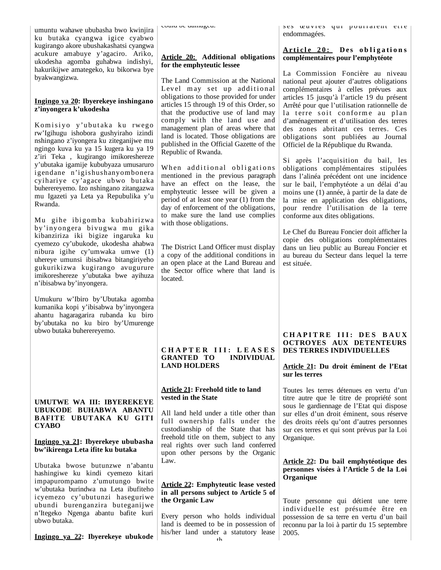umuntu wahawe ububasha bwo kwinjira ku butaka cyangwa igice cyabwo kugirango akore ubushakashatsi cyangwa acukure amabuye y'agaciro. Ariko, ukodesha agomba guhabwa indishyi, hakurikijwe amategeko, ku bikorwa bye byakwangizwa.

### **Ingingo ya 20: Ibyerekeye inshingano z'inyongera k'ukodesha**

Komisiyo y'ubutaka ku rwego rw'Igihugu ishobora gushyiraho izindi nshingano z'iyongera ku ziteganijwe mu ngingo kuva ku ya 15 kugera ku ya 19 z'iri Teka , kugirango imikoreshereze y'ubutaka igamije kububyaza umusaruro igendane n'igishushanyombonera cyihariye cy'agace ubwo butaka buherereyemo. Izo nshingano zitangazwa mu Igazeti ya Leta ya Repubulika y'u Rwanda.

Mu gihe ibigomba kubahirizwa by'inyongera bivugwa mu gika kibanziriza iki bigize ingaruka ku cyemezo cy'ubukode, ukodesha ahabwa nibura igihe cy'umwaka umwe (1) uhereye umunsi ibisabwa bitangiriyeho gukurikizwa kugirango avugurure imikoreshereze y'ubutaka bwe ayihuza n'ibisabwa by'inyongera.

Umukuru w'Ibiro by'Ubutaka agomba kumanika kopi y'ibisabwa by'inyongera ahantu hagaragarira rubanda ku biro by'ubutaka no ku biro by'Umurenge ubwo butaka buherereyemo.

## **UMUTWE WA III: IBYEREKEYE UBUKODE BUHABWA ABANTU BAFITE UBUTAKA KU GITI CYABO**

### **Ingingo ya 21: Ibyerekeye ububasha bw'ikirenga Leta ifite ku butaka**

Ubutaka bwose butunzwe n'abantu hashingiwe ku kindi cyemezo kitari impapurompamo z'umutungo bwite w'ubutaka burindwa na Leta ibufiteho icyemezo cy'ubutunzi haseguriwe ubundi burenganzira buteganijwe n'Itegeko Ngenga abantu bafite kuri ubwo butaka.

**Ingingo ya 22: Ibyerekeye ubukode**

could be damaged.

## **Article 20: Additional obligations for the emphyteutic lessee**

The Land Commission at the National Level may set up additional obligations to those provided for under articles 15 through 19 of this Order, so that the productive use of land may comply with the land use and management plan of areas where that land is located. Those obligations are published in the Official Gazette of the Republic of Rwanda.

When additional obligations mentioned in the previous paragraph have an effect on the lease, the emphyteutic lessee will be given a period of at least one year (1) from the day of enforcement of the obligations, to make sure the land use complies with those obligations.

The District Land Officer must display a copy of the additional conditions in an open place at the Land Bureau and the Sector office where that land is located.

### **C H A P T E R I I I : L E A S E S GRANTED TO INDIVIDUAL LAND HOLDERS**

### **Article 21: Freehold title to land vested in the State**

All land held under a title other than full ownership falls under the custodianship of the State that has freehold title on them, subject to any real rights over such land conferred upon other persons by the Organic Law.

### **Article 22: Emphyteutic lease vested in all persons subject to Article 5 of the Organic Law**

Every person who holds individual land is deemed to be in possession of his/her land under a statutory lease ses œuvres qui pourraient ette endommagées.

### **A r ti c l e 2 0 : Des o b l i g a ti o n s complémentaires pour l'emphytéote**

La Commission Foncière au niveau national peut ajouter d'autres obligations complémentaires à celles prévues aux articles 15 jusqu'à l'article 19 du présent Arrêté pour que l'utilisation rationnelle de la terre soit conforme au plan d'aménagement et d'utilisation des terres des zones abritant ces terres. Ces obligations sont publiées au Journal Officiel de la République du Rwanda.

Si après l'acquisition du bail, les obligations complémentaires stipulées dans l'alinéa précédent ont une incidence sur le bail, l'emphytéote a un délai d'au moins une (1) année, à partir de la date de la mise en application des obligations, pour rendre l'utilisation de la terre conforme aux dites obligations.

Le Chef du Bureau Foncier doit afficher la copie des obligations complémentaires dans un lieu public au Bureau Foncier et au bureau du Secteur dans lequel la terre est située.

## **C H A P I T R E I I I : D E S B A U X OCTROYES AUX DETENTEURS DES TERRES INDIVIDUELLES**

### **Article 21: Du droit éminent de l'Etat sur les terres**

Toutes les terres détenues en vertu d'un titre autre que le titre de propriété sont sous le gardiennage de l'Etat qui dispose sur elles d'un droit éminent, sous réserve des droits réels qu'ont d'autres personnes sur ces terres et qui sont prévus par la Loi Organique.

### **Article 22: Du bail emphytéotique des personnes visées à l'Article 5 de la Loi Organique**

Toute personne qui détient une terre individuelle est présumée être en possession de sa terre en vertu d'un bail reconnu par la loi à partir du 15 septembre 2005.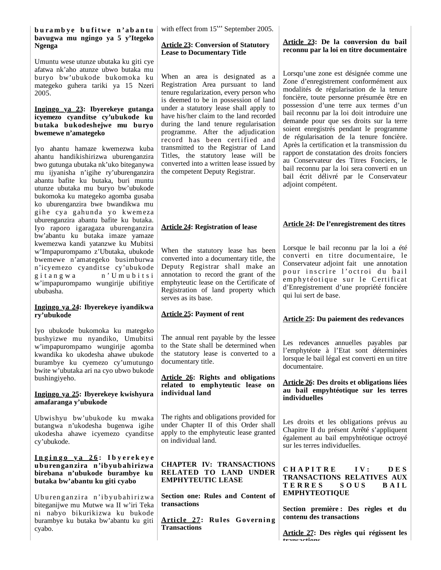### burambye bufitwe n'abantu | **bavugwa mu ngingo ya 5 y'Itegeko Ngenga**

Umuntu wese utunze ubutaka ku giti cye afatwa nk'aho atunze ubwo butaka mu buryo bw'ubukode bukomoka ku mategeko guhera tariki ya 15 Nzeri 2005.

#### **Ingingo ya 23: Ibyerekeye gutanga icyemezo cyanditse cy'ubukode ku butaka bukodeshejwe mu buryo bwemewe n'amategeko**

Iyo ahantu hamaze kwemezwa kuba ahantu handikishirizwa uburenganzira bwo gutunga ubutaka nk'uko biteganywa mu ijyanisha n'igihe ry'uburenganzira abantu bafite ku butaka, buri muntu utunze ubutaka mu buryo bw'ubukode bukomoka ku mategeko agomba gusaba ko uburenganzira bwe bwandikwa mu gihe cya gahunda yo kwemeza uburenganzira abantu bafite ku butaka. Iyo raporo igaragaza uburenganzira bw'abantu ku butaka imaze yamaze kwemezwa kandi yatanzwe ku Mubitsi w'Impapurompamo z'Ubutaka, ubukode bwemewe n'amategeko busimburwa n'icyemezo cyanditse cy'ubukode git angwa n' U mu bit si w'impapurompamo wungirije ubifitiye ububasha.

### **Ingingo ya 24: Ibyerekeye iyandikwa ry'ubukode**

Iyo ubukode bukomoka ku mategeko bushyizwe mu nyandiko, Umubitsi w'impapurompamo wungirije agomba kwandika ko ukodesha ahawe ubukode burambye ku cyemezo cy'umutungo bwite w'ubutaka ari na cyo ubwo bukode bushingiyeho.

### **Ingingo ya 25: Ibyerekeye kwishyura amafaranga y'ubukode**

Ubwishyu bw'ubukode ku mwaka butangwa n'ukodesha bugenwa igihe ukodesha ahawe icyemezo cyanditse cy'ubukode.

#### **I n g i n g o y a 2 6 : I b y e r e k e y e uburenganzira n'ibyubahirizwa birebana n'ubukode burambye ku butaka bw'abantu ku giti cyabo**

Uburenganzira n'ibyubahirizwa biteganijwe mu Mutwe wa II w'iri Teka ni nabyo bikurikizwa ku bukode burambye ku butaka bw'abantu ku giti cyabo.

with effect from  $15<sup>th</sup>$  September 2005.

### **Article 23: Conversion of Statutory Lease to Documentary Title**

When an area is designated as a Registration Area pursuant to land tenure regularization, every person who is deemed to be in possession of land under a statutory lease shall apply to have his/her claim to the land recorded during the land tenure regularisation programme. After the adjudication record has been certified and transmitted to the Registrar of Land Titles, the statutory lease will be converted into a written lease issued by the competent Deputy Registrar.

**Article 24: Registration of lease**

serves as its base.

documentary title.

**Article 25: Payment of rent**

## **Article 23: De la conversion du bail reconnu par la loi en titre documentaire**

Lorsqu'une zone est désignée comme une Zone d'enregistrement conformément aux modalités de régularisation de la tenure foncière, toute personne présumée être en possession d'une terre aux termes d'un bail reconnu par la loi doit introduire une demande pour que ses droits sur la terre soient enregistrés pendant le programme de régularisation de la tenure foncière. Après la certification et la transmission du rapport de constatation des droits fonciers au Conservateur des Titres Fonciers, le bail reconnu par la loi sera converti en un bail écrit délivré par le Conservateur adjoint compétent.

## **Article 24: De l'enregistrement des titres**

When the statutory lease has been converted into a documentary title, the Deputy Registrar shall make an annotation to record the grant of the emphyteutic lease on the Certificate of Registration of land property which Lorsque le bail reconnu par la loi a été converti en titre documentaire, le Conservateur adjoint fait une annotation pour inscrire l'octroi du bail em phytéotique sur le Certificat d'Enregistrement d'une propriété foncière qui lui sert de base.

## **Article 25: Du paiement des redevances**

Les redevances annuelles payables par l'emphytéote à l'Etat sont déterminées lorsque le bail légal est converti en un titre documentaire.

**Article 26: Des droits et obligations liées au bail empyhtéotique sur les terres individuelles**

Les droits et les obligations prévus au Chapitre II du présent Arrêté s'appliquent également au bail empyhtéotique octroyé sur les terres individuelles.

**C H A P I T R E I V : D E S TRANSACTIONS RELATIVES AUX T E R R E S S O U S B A I L EMPHYTEOTIQUE** 

**Section première : Des règles et du contenu des transactions**

**Article 27: Des règles qui régissent les transactions**

### **Article 26: Rights and obligations related to emphyteutic lease on individual land**

The annual rent payable by the lessee to the State shall be determined when the statutory lease is converted to a

The rights and obligations provided for under Chapter II of this Order shall apply to the emphyteutic lease granted on individual land.

### **CHAPTER IV: TRANSACTIONS RELATED TO LAND UNDER EMPHYTEUTIC LEASE**

**Section one: Rules and Content of transactions** 

Article 27: Rules Governing **Transactions**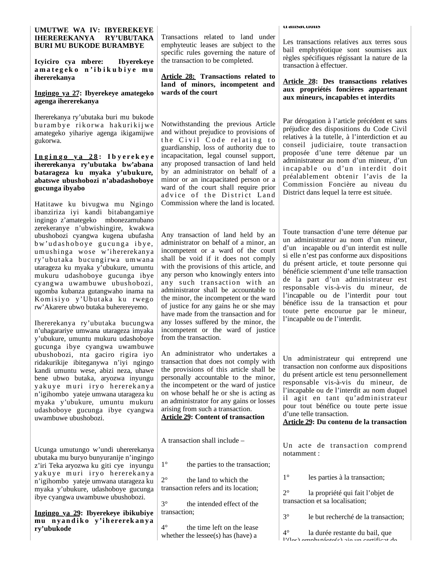### **UMUTWE WA IV: IBYEREKEYE IHEREREKANYA RY'UBUTAKA BURI MU BUKODE BURAMBYE**

**Icyiciro cya mbere: Ibyerekeye a m a t e g e k o n ' i b i k u b i y e m u ihererekanya**

#### **Ingingo ya 27: Ibyerekeye amategeko agenga ihererekanya**

Ihererekanya ry'ubutaka buri mu bukode buram bye rikorwa hakurikijwe amategeko yihariye agenga ikigamijwe gukorwa.

#### **I n g i n g o y a 2 8 : I b y e r e k e y e ihererekanya ry'ubutaka bw'abana batarageza ku myaka y'ubukure, abatswe ubushobozi n'abadashoboye gucunga ibyabo**

Hatitawe ku bivugwa mu Ngingo ibanziriza iyi kandi bitabangamiye ingingo z'amategeko mbonezamubano zerekeranye n'ubwishingire, kwakwa ubushobozi cyangwa kugena ubufasha bw'udashoboye gucunga ibye, umushinga wose w'ihererekanya ry'ubutaka bucungirwa umwana utarageza ku myaka y'ubukure, umuntu mukuru udashoboye gucunga ibye cyangwa uwambuwe ubushobozi, ugomba kubanza gutangwaho inama na Komisiyo y'Ubutaka ku rwego rw'Akarere ubwo butaka buherereyemo.

Ihererekanya ry'ubutaka bucungwa n'uhagarariye umwana utarageza imyaka y'ubukure, umuntu mukuru udashoboye gucunga ibye cyangwa uwambuwe ubushobozi, nta gaciro rigira iyo ridakurikije ibiteganywa n'iyi ngingo kandi umuntu wese, abizi neza, uhawe bene ubwo butaka, aryozwa inyungu yakuye muri iryo hererekanya n'igihombo yateje umwana utarageza ku myaka y'ubukure, umuntu mukuru udashoboye gucunga ibye cyangwa uwambuwe ubushobozi.

Ucunga umutungo w'undi uhererekanya ubutaka mu buryo bunyuranije n'ingingo z'iri Teka aryozwa ku giti cye inyungu y akuye muri iryo hererekanya n'igihombo yateje umwana utarageza ku myaka y'ubukure, udashoboye gucunga ibye cyangwa uwambuwe ubushobozi.

### **Ingingo ya 29: Ibyerekeye ibikubiye mu n yan d i k o y'i h ererek an ya ry'ubukode**

Transactions related to land under emphyteutic leases are subject to the specific rules governing the nature of the transaction to be completed.

**Article 28: Transactions related to land of minors, incompetent and wards of the court**

Notwithstanding the previous Article and without prejudice to provisions of the Civil Code relating to guardianship, loss of authority due to incapacitation, legal counsel support, any proposed transaction of land held by an administrator on behalf of a minor or an incapacitated person or a ward of the court shall require prior advice of the District Land Commission where the land is located.

Any transaction of land held by an administrator on behalf of a minor, an incompetent or a ward of the court shall be void if it does not comply with the provisions of this article, and any person who knowingly enters into any such transaction with an administrator shall be accountable to the minor, the incompetent or the ward of justice for any gains he or she may have made from the transaction and for any losses suffered by the minor, the incompetent or the ward of justice from the transaction.

An administrator who undertakes a transaction that does not comply with the provisions of this article shall be personally accountable to the minor, the incompetent or the ward of justice on whose behalf he or she is acting as an administrator for any gains or losses arising from such a transaction.

**Article 29: Content of transaction** 

A transaction shall include –

- 1° the parties to the transaction;
- 2° the land to which the transaction refers and its location;
- 3° the intended effect of the transaction;

the time left on the lease whether the lessee(s) has (have) a

#### **transactions**

Les transactions relatives aux terres sous bail emphytéotique sont soumises aux règles spécifiques régissant la nature de la transaction à effectuer.

### **Article 28: Des transactions relatives aux propriétés foncières appartenant aux mineurs, incapables et interdits**

Par dérogation à l'article précédent et sans préjudice des dispositions du Code Civil relatives à la tutelle, à l'interdiction et au conseil judiciaire, toute transaction proposée d'une terre détenue par un administrateur au nom d'un mineur, d'un incapable ou d'un interdit doit préalablement obtenir l'avis de la Commission Foncière au niveau du District dans lequel la terre est située.

Toute transaction d'une terre détenue par un administrateur au nom d'un mineur, d'un incapable ou d'un interdit est nulle si elle n'est pas conforme aux dispositions du présent article, et toute personne qui bénéficie sciemment d'une telle transaction de la part d'un administrateur est responsable vis-à-vis du mineur, de l'incapable ou de l'interdit pour tout bénéfice issu de la transaction et pour toute perte encourue par le mineur, l'incapable ou de l'interdit.

Un administrateur qui entreprend une transaction non conforme aux dispositions du présent article est tenu personnellement responsable vis-à-vis du mineur, de l'incapable ou de l'interdit au nom duquel il agit en tant qu'administrateur pour tout bénéfice ou toute perte issue d'une telle transaction.

**Article 29: Du contenu de la transaction**

Un acte de transaction comprend notamment :

1° les parties à la transaction;

2° la propriété qui fait l'objet de transaction et sa localisation;

3° le but recherché de la transaction;

4° la durée restante du bail, que l'(les) emphytéote(s) aie un certificat de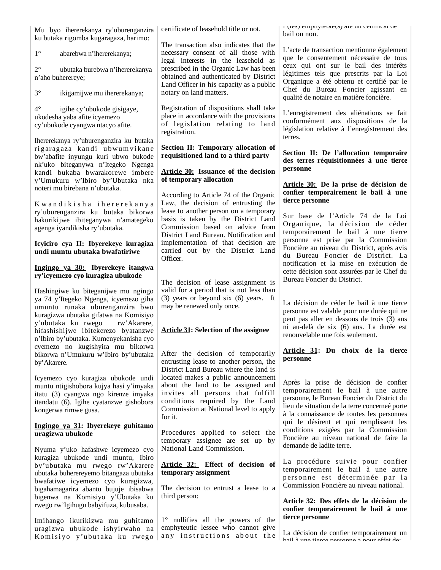Mu byo ihererekanya ry'uburenganzira ku butaka rigomba kugaragaza, harimo:

1° abarebwa n'ihererekanya;

2° ubutaka burebwa n'ihererekanya n'aho buherereye;

3° ikigamijwe mu ihererekanya;

4° igihe cy'ubukode gisigaye, ukodesha yaba afite icyemezo cy'ubukode cyangwa ntacyo afite.

Ihererekanya ry'uburenganzira ku butaka rigaragaza kandi ubwumvikane bw'abafite inyungu kuri ubwo bukode nk'uko biteganywa n'Itegeko Ngenga kandi bukaba bwarakorewe imbere y'Umukuru w'Ibiro by'Ubutaka nka noteri mu birebana n'ubutaka.

Kwandikisha ihererekanya ry'uburenganzira ku butaka bikorwa hakurikijwe ibiteganywa n'amategeko agenga iyandikisha ry'ubutaka.

**Icyiciro cya II: Ibyerekeye kuragiza undi muntu ubutaka bwafatiriwe** 

### **Ingingo ya 30: Ibyerekeye itangwa ry'icyemezo cyo kuragiza ubukode**

Hashingiwe ku biteganijwe mu ngingo ya 74 y'Itegeko Ngenga, icyemezo giha umuntu runaka uburenganzira bwo kuragizwa ubutaka gifatwa na Komisiyo y'ubutaka ku rwego rw'Akarere, hifashishijwe ibitekerezo byatanzwe n'Ibiro by'ubutaka. Kumenyekanisha cyo cyemezo no kugishyira mu bikorwa bikorwa n'Umukuru w'Ibiro by'ubutaka by'Akarere.

Icyemezo cyo kuragiza ubukode undi muntu ntigishobora kujya hasi y'imyaka itatu (3) cyangwa ngo kirenze imyaka itandatu (6). Igihe cyatanzwe gishobora kongerwa rimwe gusa.

### **Ingingo ya 31: Ibyerekeye guhitamo uragizwa ubukode**

Nyuma y'uko hafashwe icyemezo cyo kuragiza ubukode undi muntu, Ibiro by'ubutaka mu rwego rw'Akarere ubutaka buherereyemo bitangaza ubutaka bwafatiwe icyemezo cyo kuragizwa, bigahamagarira abantu bujuje ibisabwa bigenwa na Komisiyo y'Ubutaka ku rwego rw'Igihugu babyifuza, kubusaba.

Imihango ikurikizwa mu guhitamo uragizwa ubukode ishyirwaho na Komisiyo y'ubutaka ku rwego certificate of leasehold title or not.

The transaction also indicates that the necessary consent of all those with legal interests in the leasehold as prescribed in the Organic Law has been obtained and authenticated by District Land Officer in his capacity as a public notary on land matters.

Registration of dispositions shall take place in accordance with the provisions of legislation relating to land registration.

### **Section II: Temporary allocation of requisitioned land to a third party**

### **Article 30: Issuance of the decision of temporary allocation**

According to Article 74 of the Organic Law, the decision of entrusting the lease to another person on a temporary basis is taken by the District Land Commission based on advice from District Land Bureau. Notification and implementation of that decision are carried out by the District Land Officer.

The decision of lease assignment is valid for a period that is not less than (3) years or beyond six (6) years. It may be renewed only once.

## **Article 31: Selection of the assignee**

After the decision of temporarily entrusting lease to another person, the District Land Bureau where the land is located makes a public announcement about the land to be assigned and invites all persons that fulfill conditions required by the Land Commission at National level to apply for it.

Procedures applied to select the temporary assignee are set up by National Land Commission.

### **Article 32: Effect of decision of temporary assignment**

The decision to entrust a lease to a third person:

1° nullifies all the powers of the emphyteutic lessee who cannot give any instructions about the l (les) emphytéote(s) aie un certificat de bail ou non.

L'acte de transaction mentionne également que le consentement nécessaire de tous ceux qui ont sur le bail des intérêts légitimes tels que prescrits par la Loi Organique a été obtenu et certifié par le Chef du Bureau Foncier agissant en qualité de notaire en matière foncière.

L'enregistrement des aliénations se fait conformément aux dispositions de la législation relative à l'enregistrement des terres.

**Section II: De l'allocation temporaire des terres réquisitionnées à une tierce personne** 

**Article 30: De la prise de décision de confier temporairement le bail à une tierce personne**

Sur base de l'Article 74 de la Loi Organique, la décision de céder temporairement le bail à une tierce personne est prise par la Commission Foncière au niveau du District, après avis du Bureau Foncier de District. La notification et la mise en exécution de cette décision sont assurées par le Chef du Bureau Foncier du District.

La décision de céder le bail à une tierce personne est valable pour une durée qui ne peut pas aller en dessous de trois (3) ans ni au-delà de six (6) ans. La durée est renouvelable une fois seulement.

## **Article 31: Du choix de la tierce personne**

Après la prise de décision de confier temporairement le bail à une autre personne, le Bureau Foncier du District du lieu de situation de la terre concerneé porte à la connaissance de toutes les personnes qui le désirent et qui remplissent les conditions exigées par la Commission Foncière au niveau national de faire la demande de ladite terre.

La procédure suivie pour confier temporairement le bail à une autre personne est déterminée par la Commission Foncière au niveau national.

### **Article 32: Des effets de la décision de confier temporairement le bail à une tierce personne**

La décision de confier temporairement un bail à une tierce personne a pour effet de: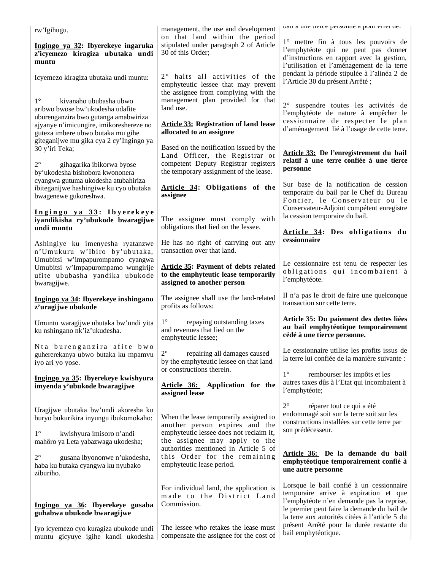| 191111911 |  |
|-----------|--|

## **Ingingo ya 32: Ibyerekeye ingaruka z'icyemezo kiragiza ubutaka undi muntu**

Icyemezo kiragiza ubutaka undi muntu:

1° kivanaho ububasha ubwo aribwo bwose bw'ukodesha udafite uburenganzira bwo gutanga amabwiriza ajyanye n'imicungire, imikoreshereze no guteza imbere ubwo butaka mu gihe giteganijwe mu gika cya 2 cy'Ingingo ya 30 y'iri Teka;

2° gihagarika ibikorwa byose by'ukodesha bishobora kwononera cyangwa gutuma ukodesha atubahiriza ibiteganijwe hashingiwe ku cyo ubutaka bwagenewe gukoreshwa.

## **I n g i n g o y a 3 3 : I b y e r e k e y e iyandikisha ry'ubukode bwaragijwe undi muntu**

Ashingiye ku imenyesha ryatanzwe n'Umukuru w'Ibiro by'ubutaka, Umubitsi w'impapurompamo cyangwa Umubitsi w'Impapurompamo wungirije ufite ububasha yandika ubukode bwaragijwe.

## **Ingingo ya 34: Ibyerekeye inshingano z'uragijwe ubukode**

Umuntu waragijwe ubutaka bw'undi yita ku nshingano nk'iz'ukudesha.

Nta burenganzira afite bwo guhererekanya ubwo butaka ku mpamvu iyo ari yo yose.

## **Ingingo ya 35: Ibyerekeye kwishyura imyenda y'ubukode bwaragijwe**

Uragijwe ubutaka bw'undi akoresha ku buryo bukurikira inyungu ibukomokaho:

1° kwishyura imisoro n'andi mahôro ya Leta yabazwaga ukodesha;

2° gusana ibyononwe n'ukodesha, haba ku butaka cyangwa ku nyubako ziburiho.

# **Ingingo ya 36: Ibyerekeye gusaba guhabwa ubukode bwaragijwe**

Iyo icyemezo cyo kuragiza ubukode undi muntu gicyuye igihe kandi ukodesha

management, the use and development on that land within the period stipulated under paragraph 2 of Article 30 of this Order;

 $2^{\circ}$  halts all activities of the emphyteutic lessee that may prevent the assignee from complying with the management plan provided for that land use.

# **Article 33: Registration of land lease allocated to an assignee**

Based on the notification issued by the Land Officer, the Registrar or competent Deputy Registrar registers the temporary assignment of the lease.

**Article 34: Obligations of the assignee**

The assignee must comply with obligations that lied on the lessee.

He has no right of carrying out any transaction over that land.

## **Article 35: Payment of debts related to the emphyteutic lease temporarily assigned to another person**

The assignee shall use the land-related profits as follows:

1° repaying outstanding taxes and revenues that lied on the emphyteutic lessee;

2° repairing all damages caused by the emphyteutic lessee on that land or constructions therein.

**Article 36: Application for the assigned lease**

When the lease temporarily assigned to another person expires and the emphyteutic lessee does not reclaim it, the assignee may apply to the authorities mentioned in Article 5 of this Order for the remaining emphyteutic lease period.

For individual land, the application is made to the District Land Commission.

The lessee who retakes the lease must compensate the assignee for the cost of bail à une tierce personne a pour effet de:

1° mettre fin à tous les pouvoirs de l'emphytéote qui ne peut pas donner d'instructions en rapport avec la gestion, l'utilisation et l'aménagement de la terre pendant la période stipulée à l'alinéa 2 de l'Article 30 du présent Arrêté ;

2° suspendre toutes les activités de l'emphytéote de nature à empêcher le cessionnaire de respecter le plan d'aménagement lié à l'usage de cette terre.

## **Article 33: De l'enregistrement du bail relatif à une terre confiée à une tierce personne**

Sur base de la notification de cession temporaire du bail par le Chef du Bureau Foncier, le Conservateur ou le Conservateur-Adjoint compétent enregistre la cession temporaire du bail.

Article 34: Des obligations du **cessionnaire**

Le cessionnaire est tenu de respecter les obligations qui incombaient à l'emphytéote.

Il n'a pas le droit de faire une quelconque transaction sur cette terre.

## **Article 35: Du paiement des dettes liées au bail emphytéotique temporairement cédé à une tierce personne.**

Le cessionnaire utilise les profits issus de la terre lui confiée de la manière suivante :

1° rembourser les impôts et les autres taxes dûs à l'Etat qui incombaient à l'emphytéote;

2° réparer tout ce qui a été endommagé soit sur la terre soit sur les constructions installées sur cette terre par son prédécesseur.

## **Article 36: De la demande du bail emphytéotique temporairement confié à une autre personne**

Lorsque le bail confié à un cessionnaire temporaire arrive à expiration et que l'emphytéote n'en demande pas la reprise, le premier peut faire la demande du bail de la terre aux autorités citées à l'article 5 du présent Arrêté pour la durée restante du bail emphytéotique.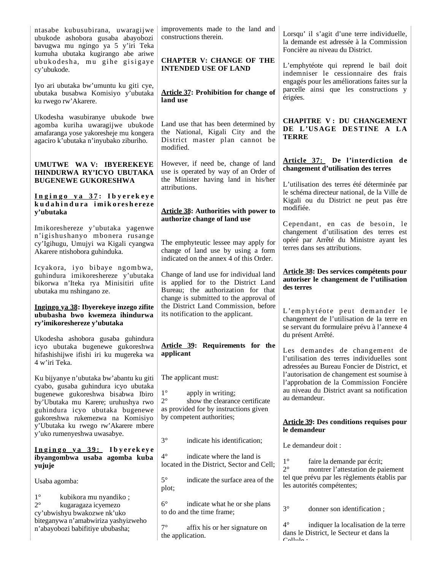|                                                                                                                                                             | improvements made to the land and                                                                                                                             |                                                                                                                                                    |  |  |  |
|-------------------------------------------------------------------------------------------------------------------------------------------------------------|---------------------------------------------------------------------------------------------------------------------------------------------------------------|----------------------------------------------------------------------------------------------------------------------------------------------------|--|--|--|
| ntasabe kubusubirana, uwaragijwe<br>ubukode ashobora gusaba abayobozi<br>bavugwa mu ngingo ya 5 y'iri Teka<br>kumuha ubutaka kugirango abe ariwe            | constructions therein.                                                                                                                                        | Lorsqu' il s'agit d'une terre individuelle,<br>la demande est adressée à la Commission<br>Foncière au niveau du District.                          |  |  |  |
| ubukodesha, mu gihe gisigaye<br>cy'ubukode.                                                                                                                 | <b>CHAPTER V: CHANGE OF THE</b><br><b>INTENDED USE OF LAND</b>                                                                                                | L'emphytéote qui reprend le bail doit<br>indemniser le cessionnaire des frais                                                                      |  |  |  |
| Iyo ari ubutaka bw'umuntu ku giti cye,<br>ubutaka busabwa Komisiyo y'ubutaka<br>ku rwego rw'Akarere.                                                        | <b>Article 37: Prohibition for change of</b><br>land use                                                                                                      | engagés pour les améliorations faites sur la<br>parcelle ainsi que les constructions y<br>érigées.                                                 |  |  |  |
| Ukodesha wasubiranye ubukode bwe<br>agomba kuriha uwaragijwe ubukode<br>amafaranga yose yakoresheje mu kongera<br>agaciro k'ubutaka n'inyubako ziburiho.    | Land use that has been determined by<br>the National, Kigali City and the<br>District master plan cannot be<br>modified.                                      | <b>CHAPITRE V: DU CHANGEMENT</b><br>DE L'USAGE DESTINE A LA<br><b>TERRE</b>                                                                        |  |  |  |
| UMUTWE WA V: IBYEREKEYE<br><b>IHINDURWA RY'ICYO UBUTAKA</b><br><b>BUGENEWE GUKORESHWA</b>                                                                   | However, if need be, change of land<br>use is operated by way of an Order of<br>the Minister having land in his/her                                           | Article 37: De l'interdiction de<br>changement d'utilisation des terres                                                                            |  |  |  |
| Ingingo ya 37: Ibyerekeye<br>kudahindura imikoreshereze                                                                                                     | attributions.                                                                                                                                                 | L'utilisation des terres été déterminée par<br>le schéma directeur national, de la Ville de<br>Kigali ou du District ne peut pas être<br>modifiée. |  |  |  |
| y'ubutaka                                                                                                                                                   | <b>Article 38: Authorities with power to</b><br>authorize change of land use                                                                                  |                                                                                                                                                    |  |  |  |
| Imikoreshereze y'ubutaka yagenwe                                                                                                                            |                                                                                                                                                               | Cependant, en cas de besoin, le<br>changement d'utilisation des terres est                                                                         |  |  |  |
| n'igishushanyo mbonera rusange<br>cy'Igihugu, Umujyi wa Kigali cyangwa<br>Akarere ntishobora guhinduka.                                                     | The emphyteutic lessee may apply for<br>change of land use by using a form<br>indicated on the annex 4 of this Order.                                         | opéré par Arrêté du Ministre ayant les<br>terres dans ses attributions.                                                                            |  |  |  |
| Icyakora, iyo bibaye ngombwa,<br>guhindura imikoreshereze y'ubutaka<br>bikorwa n'Iteka rya Minisitiri ufite<br>ubutaka mu nshingano ze.                     | Change of land use for individual land<br>is applied for to the District Land<br>Bureau; the authorization for that<br>change is submitted to the approval of | Article 38: Des services compétents pour<br>autoriser le changement de l'utilisation<br>des terres                                                 |  |  |  |
| Ingingo ya 38: Ibyerekeye inzego zifite<br>ububasha bwo kwemeza ihindurwa<br>ry'imikoreshereze y'ubutaka                                                    | the District Land Commission, before<br>its notification to the applicant.                                                                                    | L'emphytéote peut demander le<br>changement de l'utilisation de la terre en<br>se servant du formulaire prévu à l'annexe 4<br>du présent Arrêté.   |  |  |  |
| Ukodesha ashobora gusaba guhindura<br>icyo ubutaka bugenewe gukoreshwa<br>hifashishijwe ifishi iri ku mugereka wa<br>4 w'iri Teka.                          | Article 39: Requirements for the<br>applicant                                                                                                                 | Les demandes de changement de<br>l'utilisation des terres individuelles sont                                                                       |  |  |  |
|                                                                                                                                                             | The applicant must:                                                                                                                                           | adressées au Bureau Foncier de District, et<br>l'autorisation de changement est soumise à                                                          |  |  |  |
| Ku bijyanye n'ubutaka bw'abantu ku giti<br>cyabo, gusaba guhindura icyo ubutaka<br>bugenewe gukoreshwa bisabwa Ibiro<br>by'Ubutaka mu Karere; uruhushya rwo | $1^{\circ}$<br>apply in writing;<br>$2^{\circ}$<br>show the clearance certificate<br>as provided for by instructions given                                    | l'approbation de la Commission Foncière<br>au niveau du District avant sa notification<br>au demandeur.                                            |  |  |  |
| guhindura icyo ubutaka bugenewe<br>gukoreshwa rukemezwa na Komisiyo<br>y'Ubutaka ku rwego rw'Akarere mbere<br>y'uko rumenyeshwa uwasabye.                   | by competent authorities;                                                                                                                                     | <b>Article 39: Des conditions requises pour</b><br>le demandeur                                                                                    |  |  |  |
| Ingingo ya 39: Ibyerekeye                                                                                                                                   | $3^\circ$<br>indicate his identification;                                                                                                                     | Le demandeur doit :                                                                                                                                |  |  |  |
| ibyangombwa usaba agomba kuba<br>yujuje                                                                                                                     | $4^{\circ}$<br>indicate where the land is<br>located in the District, Sector and Cell;                                                                        | $1^{\circ}$<br>faire la demande par écrit;<br>$2^{\circ}$<br>montrer l'attestation de paiement                                                     |  |  |  |
| Usaba agomba:                                                                                                                                               | $5^{\circ}$<br>indicate the surface area of the<br>plot;                                                                                                      | tel que prévu par les règlements établis par<br>les autorités compétentes;                                                                         |  |  |  |
| $1^{\circ}$<br>kubikora mu nyandiko;<br>$2^{\circ}$<br>kugaragaza icyemezo<br>cy'ubwishyu bwakozwe nk'uko                                                   | $6^{\circ}$<br>indicate what he or she plans<br>to do and the time frame;                                                                                     | $3^\circ$<br>donner son identification;                                                                                                            |  |  |  |
| biteganywa n'amabwiriza yashyizweho<br>n'abayobozi babifitiye ububasha;                                                                                     | $7^{\circ}$<br>affix his or her signature on<br>the application.                                                                                              | $4^{\circ}$<br>indiquer la localisation de la terre<br>dans le District, le Secteur et dans la<br>$C21112$ .                                       |  |  |  |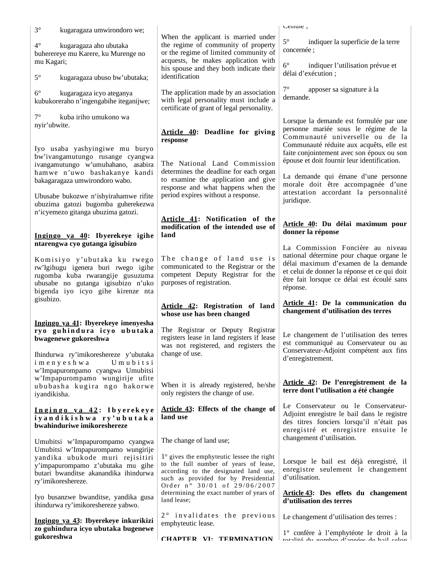| $3^\circ$<br>kugaragaza umwirondoro we;                                                                                                                                           |                                                                                                                                                                                                            | cenuie,                                                                                                                                                                                                                                                                  |  |  |
|-----------------------------------------------------------------------------------------------------------------------------------------------------------------------------------|------------------------------------------------------------------------------------------------------------------------------------------------------------------------------------------------------------|--------------------------------------------------------------------------------------------------------------------------------------------------------------------------------------------------------------------------------------------------------------------------|--|--|
| $4^\circ$<br>kugaragaza aho ubutaka<br>buherereye mu Karere, ku Murenge no<br>mu Kagari;                                                                                          | When the applicant is married under<br>the regime of community of property<br>or the regime of limited community of<br>acquests, he makes application with<br>his spouse and they both indicate their      | $5^\circ$<br>indiquer la superficie de la terre<br>concernée ;<br>$6^{\circ}$<br>indiquer l'utilisation prévue et                                                                                                                                                        |  |  |
| $5^{\circ}$<br>kugaragaza ubuso bw'ubutaka;                                                                                                                                       | identification                                                                                                                                                                                             | délai d'exécution :                                                                                                                                                                                                                                                      |  |  |
| $6^{\circ}$<br>kugaragaza icyo ateganya<br>kubukoreraho n'ingengabihe iteganijwe;                                                                                                 | The application made by an association<br>with legal personality must include a<br>certificate of grant of legal personality.                                                                              | $7^{\circ}$<br>apposer sa signature à la<br>demande.                                                                                                                                                                                                                     |  |  |
| $7^\circ$<br>kuba iriho umukono wa<br>nyir'ubwite.                                                                                                                                | Article 40: Deadline for giving<br>response                                                                                                                                                                | Lorsque la demande est formulée par une<br>personne mariée sous le régime de la<br>Communauté universelle ou de la                                                                                                                                                       |  |  |
| Iyo usaba yashyingiwe mu buryo<br>bw'ivangamutungo rusange cyangwa<br>ivangamutungo w'umuhahano, asabira<br>hamwe n'uwo bashakanye kandi                                          | The National Land Commission<br>determines the deadline for each organ                                                                                                                                     | Communauté réduite aux acquêts, elle est<br>faite conjointement avec son époux ou son<br>épouse et doit fournir leur identification.<br>La demande qui émane d'une personne<br>morale doit être accompagnée d'une<br>attestation accordant la personnalité<br>juridique. |  |  |
| bakagaragaza umwirondoro wabo.<br>Ubusabe bukozwe n'ishyirahamwe rifite<br>ubuzima gatozi bugomba guherekezwa                                                                     | to examine the application and give<br>response and what happens when the<br>period expires without a response.                                                                                            |                                                                                                                                                                                                                                                                          |  |  |
| n'icyemezo gitanga ubuzima gatozi.<br>Ingingo ya 40: Ibyerekeye igihe                                                                                                             | Article 41: Notification of the<br>modification of the intended use of<br>land                                                                                                                             | Article 40: Du délai maximum pour<br>donner la réponse                                                                                                                                                                                                                   |  |  |
| ntarengwa cyo gutanga igisubizo                                                                                                                                                   |                                                                                                                                                                                                            | La Commission Foncière au niveau                                                                                                                                                                                                                                         |  |  |
| Komisiyo y'ubutaka ku rwego<br>rw'Igihugu igenera buri rwego igihe<br>rugomba kuba rwarangije gusuzuma<br>ubusabe no gutanga igisubizo n'uko<br>bigenda iyo icyo gihe kirenze nta | The change of land use is<br>communicated to the Registrar or the<br>competent Deputy Registrar for the<br>purposes of registration.                                                                       | national détermine pour chaque organe le<br>délai maximum d'examen de la demande<br>et celui de donner la réponse et ce qui doit<br>être fait lorsque ce délai est écoulé sans<br>réponse.                                                                               |  |  |
| gisubizo.                                                                                                                                                                         | Article 42: Registration of land<br>whose use has been changed                                                                                                                                             | Article 41: De la communication du<br>changement d'utilisation des terres                                                                                                                                                                                                |  |  |
| Ingingo ya 41: Ibyerekeye imenyesha<br>ryo guhindura icyo ubutaka<br>bwagenewe gukoreshwa<br>Ihindurwa ry'imikoreshereze y'ubutaka                                                | The Registrar or Deputy Registrar<br>registers lease in land registers if lease<br>was not registered, and registers the<br>change of use.                                                                 | Le changement de l'utilisation des terres<br>est communiqué au Conservateur ou au<br>Conservateur-Adjoint compétent aux fins                                                                                                                                             |  |  |
| imenyeshwa<br>Umubitsi<br>w'Impapurompamo cyangwa Umubitsi                                                                                                                        |                                                                                                                                                                                                            | d'enregistrement.                                                                                                                                                                                                                                                        |  |  |
| w'Impapurompamo wungirije ufite<br>ububasha kugira ngo hakorwe<br>iyandikisha.                                                                                                    | When it is already registered, he/she<br>only registers the change of use.                                                                                                                                 | Article 42: De l'enregistrement de la<br>terre dont l'utilisation a été changée                                                                                                                                                                                          |  |  |
| Ingingo ya 42: Ibyerekeye<br>iyandikishwa ry'ubutaka<br>bwahinduriwe imikoreshereze                                                                                               | Article 43: Effects of the change of<br>land use                                                                                                                                                           | Le Conservateur ou le Conservateur-<br>Adjoint enregistre le bail dans le registre<br>des titres fonciers lorsqu'il n'était pas<br>enregistré et enregistre ensuite le                                                                                                   |  |  |
| Umubitsi w'Impapurompamo cyangwa<br>Umubitsi w'Impapurompamo wungirije                                                                                                            | The change of land use;                                                                                                                                                                                    | changement d'utilisation.                                                                                                                                                                                                                                                |  |  |
| yandika ubukode muri rejisitiri<br>y'impapurompamo z'ubutaka mu gihe<br>butari bwanditse akanandika ihindurwa<br>ry'imikoreshereze.                                               | $1^\circ$ gives the emphyteutic lessee the right<br>to the full number of years of lease,<br>according to the designated land use,<br>such as provided for by Presidential<br>Order n° 30/01 of 29/06/2007 | Lorsque le bail est déjà enregistré, il<br>enregistre seulement le changement<br>d'utilisation.                                                                                                                                                                          |  |  |
| Iyo busanzwe bwanditse, yandika gusa<br>ihindurwa ry'imikoreshereze yabwo.                                                                                                        | determining the exact number of years of<br>land lease;                                                                                                                                                    | Article 43: Des effets du changement<br>d'utilisation des terres                                                                                                                                                                                                         |  |  |
| Ingingo ya 43: Ibyerekeye inkurikizi<br>zo guhindura icyo ubutaka bugenewe                                                                                                        | 2° invalidates the previous<br>emphyteutic lease.                                                                                                                                                          | Le changement d'utilisation des terres :                                                                                                                                                                                                                                 |  |  |
| gukoreshwa                                                                                                                                                                        | CHAPTER VI TERMINATION                                                                                                                                                                                     | 1° confère à l'emphytéote le droit à la<br>totalité du nombre d'années de boil solon                                                                                                                                                                                     |  |  |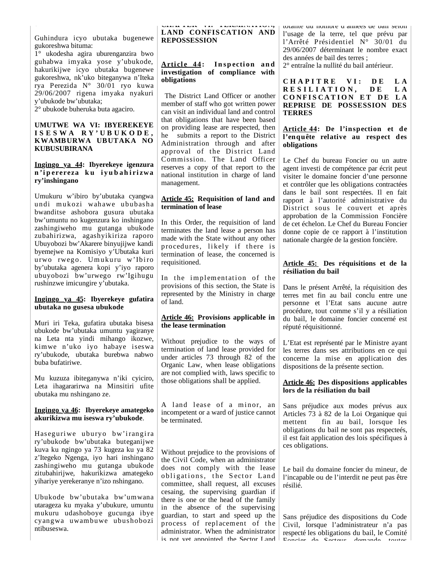Guhindura icyo ubutaka bugenewe gukoreshwa bituma:

1° ukodesha agira uburenganzira bwo guhabwa imyaka yose y'ubukode, hakurikijwe icyo ubutaka bugenewe gukoreshwa, nk'uko biteganywa n'Iteka rya Perezida N° 30/01 ryo kuwa 29/06/2007 rigena imyaka nyakuri y'ubukode bw'ubutaka;

2° ubukode buheruka buta agaciro.

#### **UMUTWE WA VI: IBYEREKEYE I S E S W A R Y ' U B U K O D E , KWAMBURWA UBUTAKA NO KUBUSUBIRANA**

#### **Ingingo ya 44: Ibyerekeye igenzura n 'i p erereza k u i y u b a h i ri zwa ry'inshingano**

Umukuru w'ibiro by'ubutaka cyangwa undi mukozi wahawe ububasha bwanditse ashobora gusura ubutaka bw'umuntu no kugenzura ko inshingano zashingiweho mu gutanga ubukode zubahirizwa, agashyikiriza raporo Ubuyobozi bw'Akarere binyujijwe kandi byemejwe na Komisiyo y'Ubutaka kuri urwo rwego. Umukuru w'Ibiro by'ubutaka agenera kopi y'iyo raporo ubuyobozi bw'urwego rw'Igihugu rushinzwe imicungire y'ubutaka.

#### **Ingingo ya 45: Ibyerekeye gufatira ubutaka no gusesa ubukode**

Muri iri Teka, gufatira ubutaka bisesa ubukode bw'ubutaka umuntu yagiranye na Leta nta yindi mihango ikozwe, kimwe n'uko iyo habaye iseswa ry'ubukode, ubutaka burebwa nabwo buba bufatiriwe.

Mu kuzuza ibiteganywa n'iki cyiciro, Leta ihagararirwa na Minsitiri ufite ubutaka mu nshingano ze.

#### **Ingingo ya 46: Ibyerekeye amategeko akurikizwa mu iseswa ry'ubukode**.

Has eguriwe uburyo bw'irangira ry'ubukode bw'ubutaka buteganijwe kuva ku ngingo ya 73 kugeza ku ya 82 z'Itegeko Ngenga, iyo hari inshingano zashingiweho mu gutanga ubukode zitubahirijwe, hakurikizwa amategeko yihariye yerekeranye n'izo nshingano.

Ubukode bw'ubutaka bw'umwana utarageza ku myaka y'ubukure, umuntu mukuru udashoboye gucunga ibye cyangwa uwambuwe ubushobozi ntibuseswa.

**CHAPTER VI: TERMINATION, LAND CONFIS CATION AND REPOSSESSION**

## Article 44: Inspection and **investigation of compliance with obligations**

 The District Land Officer or another member of staff who got written power can visit an individual land and control that obligations that have been based on providing lease are respected, then he submits a report to the District Administration through and after approval of the District Land Commission. The Land Officer reserves a copy of that report to the national institution in charge of land management.

#### **Article 45: Requisition of land and termination of lease**

In this Order, the requisition of land terminates the land lease a person has made with the State without any other procedures, likely if there is termination of lease, the concerned is requisitioned.

In the implementation of the provisions of this section, the State is represented by the Ministry in charge of land.

#### **Article 46: Provisions applicable in the lease termination**

Without prejudice to the ways of termination of land lease provided for under articles 73 through 82 of the Organic Law, when lease obligations are not complied with, laws specific to those obligations shall be applied.

A land lease of a minor, an incompetent or a ward of justice cannot be terminated.

Without prejudice to the provisions of the Civil Code, when an administrator does not comply with the lease obligations, the Sector Land committee, shall request, all excuses cesaing, the supervising guardian if there is one or the head of the family in the absence of the supervising guardian, to start and speed up the process of replacement of the administrator. When the administrator is not vet annointed the Sector Land

totalité du nombre d années de bail selon l'usage de la terre, tel que prévu par l'Arrêté Présidentiel N° 30/01 du 29/06/2007 déterminant le nombre exact des années de bail des terres ; 2° entraîne la nullité du bail antérieur.

**C H A P I T R E V I : D E L A R E S I L I A T I O N , D E L A CONFISCATION ET DE LA REPRISE DE POSSESSION DES TERRES**

### **Article 44: De l'inspection et de l'enquête relative au respect des obligations**

Le Chef du bureau Foncier ou un autre agent investi de compétence par écrit peut visiter le domaine foncier d'une personne et contrôler que les obligations contractées dans le bail sont respectées. Il en fait rapport à l'autorité administrative du District sous le couvert et après approbation de la Commission Foncière de cet échelon. Le Chef du Bureau Foncier donne copie de ce rapport à l'institution nationale chargée de la gestion foncière.

#### **Article 45: Des réquisitions et de la résiliation du bail**

Dans le présent Arrêté, la réquisition des terres met fin au bail conclu entre une personne et l'Etat sans aucune autre procédure, tout comme s'il y a résiliation du bail, le domaine foncier concerné est réputé réquisitionné.

L'Etat est représenté par le Ministre ayant les terres dans ses attributions en ce qui concerne la mise en application des dispositions de la présente section.

### **Article 46: Des dispositions applicables lors de la résiliation du bail**

Sans préjudice aux modes prévus aux Articles 73 à 82 de la Loi Organique qui mettent fin au bail, lorsque les obligations du bail ne sont pas respecteés, il est fait application des lois spécifiques à ces obligations.

Le bail du domaine foncier du mineur, de l'incapable ou de l'interdit ne peut pas être résilié.

Sans préjudice des dispositions du Code Civil, lorsque l'administrateur n'a pas respecté les obligations du bail, le Comité Foncier de Secteur demande toutes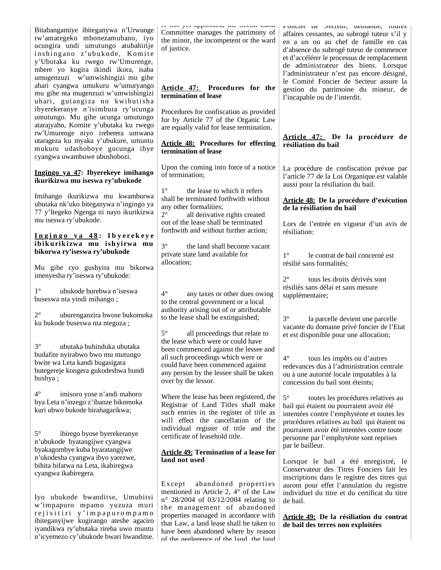| Bitabangamiye ibiteganywa n'Urwunge<br>rw'amategeko mbonezamubano, iyo<br>ucungira undi umutungo atubahirije<br>inshingano z'ubukode, Komite<br>y'Ubutaka ku rwego rw'Umurenge,<br>mbere yo kugira ikindi ikora, isaba<br>umugenzuzi w'umwishingizi mu gihe<br>ahari cyangwa umukuru w'umuryango<br>mu gihe nta mugenzuzi w'umwishingizi<br>uhari, gutangiza no kwihutisha<br>ibyerekeranye n'isimbura ry'ucunga<br>umutungo. Mu gihe ucunga umutungo<br>atarajyaho, Komite y'ubutaka ku rwego | to not jut appointed, the locate Land<br>Committee manages the patrimony of<br>the minor, the incompetent or the ward<br>of justice.<br>Article 47: Procedures for the<br>termination of lease<br>Procedures for confiscation as provided<br>for by Article 77 of the Organic Law<br>are equally valid for lease termination. | noncier de secteur, demande, toutes<br>affaires cessantes, au subrogé tuteur s'il y<br>en a un ou au chef de famille en cas<br>d'absence du subrogé tuteur de commencer<br>et d'accélérer le processus de remplacement<br>de administrateur des biens. Lorsque<br>l'administrateur n'est pas encore désigné,<br>le Comité Foncier de Secteur assure la<br>gestion du patrimoine du mineur, de<br>l'incapable ou de l'interdit. |
|------------------------------------------------------------------------------------------------------------------------------------------------------------------------------------------------------------------------------------------------------------------------------------------------------------------------------------------------------------------------------------------------------------------------------------------------------------------------------------------------|-------------------------------------------------------------------------------------------------------------------------------------------------------------------------------------------------------------------------------------------------------------------------------------------------------------------------------|--------------------------------------------------------------------------------------------------------------------------------------------------------------------------------------------------------------------------------------------------------------------------------------------------------------------------------------------------------------------------------------------------------------------------------|
| rw'Umurenge niyo ireberera umwana<br>utarageza ku myaka y'ubukure, umuntu<br>mukuru udashoboye gucunga ibye<br>cyangwa uwambuwe ubushobozi.                                                                                                                                                                                                                                                                                                                                                    | <b>Article 48: Procedures for effecting</b><br>termination of lease                                                                                                                                                                                                                                                           | Article 47: De la procédure de<br>résiliation du bail                                                                                                                                                                                                                                                                                                                                                                          |
| Ingingo ya 47: Ibyerekeye imihango<br>ikurikizwa mu iseswa ry'ubukode                                                                                                                                                                                                                                                                                                                                                                                                                          | Upon the coming into force of a notice<br>of termination;                                                                                                                                                                                                                                                                     | La procédure de confiscation prévue par<br>l'article 77 de la Loi Organique.est valable<br>aussi pour la résiliation du bail.                                                                                                                                                                                                                                                                                                  |
| Imihango ikurikizwa mu kwamburwa<br>ubutaka nk'uko biteganywa n'ingingo ya<br>77 y'Itegeko Ngenga ni nayo ikurikizwa<br>mu iseswa ry'ubukode.                                                                                                                                                                                                                                                                                                                                                  | $1^{\circ}$<br>the lease to which it refers<br>shall be terminated forthwith without<br>any other formalities;<br>$2^{\circ}$<br>all derivative rights created<br>out of the lease shall be terminated                                                                                                                        | Article 48: De la procédure d'exécution<br>de la résiliation du bail<br>Lors de l'entrée en vigueur d'un avis de                                                                                                                                                                                                                                                                                                               |
| Ingingo ya 48: Ibyerekeye<br>ibikurikizwa mu ishyirwa mu<br>bikorwa ry'iseswa ry'ubukode                                                                                                                                                                                                                                                                                                                                                                                                       | forthwith and without further action;<br>$3^\circ$<br>the land shall become vacant<br>private state land available for                                                                                                                                                                                                        | résiliation:<br>$1^{\circ}$<br>le contrat de bail concerné est                                                                                                                                                                                                                                                                                                                                                                 |
| Mu gihe cyo gushyira mu bikorwa<br>imenyesha ry'iseswa ry'ubukode:                                                                                                                                                                                                                                                                                                                                                                                                                             | allocation;                                                                                                                                                                                                                                                                                                                   | résilié sans formalités;<br>$2^{\circ}$<br>tous les droits dérivés sont                                                                                                                                                                                                                                                                                                                                                        |
| $1^{\circ}$<br>ubukode burebwa n'iseswa<br>buseswa nta yindi mihango;<br>$2^{\circ}$<br>uburenganzira bwose bukomoka                                                                                                                                                                                                                                                                                                                                                                           | $4^\circ$<br>any taxes or other dues owing<br>to the central government or a local<br>authority arising out of or attributable                                                                                                                                                                                                | résiliés sans délai et sans mesure<br>supplémentaire;                                                                                                                                                                                                                                                                                                                                                                          |
| ku bukode buseswa nta nteguza;<br>ubutaka buhinduka ubutaka<br>$3^{\circ}$                                                                                                                                                                                                                                                                                                                                                                                                                     | to the lease shall be extinguished;<br>$5^\circ$<br>all proceedings that relate to<br>the lease which were or could have<br>been commenced against the lessee and                                                                                                                                                             | $3^\circ$<br>la parcelle devient une parcelle<br>vacante du domaine privé foncier de l'Etat<br>et est disponible pour une allocation;                                                                                                                                                                                                                                                                                          |
| budafite nyirabwo bwo mu mutungo<br>bwite wa Leta kandi bugasigara<br>butegereje kongera gukodeshwa bundi<br>bushya;                                                                                                                                                                                                                                                                                                                                                                           | all such proceedings which were or<br>could have been commenced against<br>any person by the lessee shall be taken<br>over by the lessor.                                                                                                                                                                                     | $4^\circ$<br>tous les impôts ou d'autres<br>redevances dus à l'administration centrale<br>ou à une autorité locale imputables à la<br>concession du bail sont éteints;                                                                                                                                                                                                                                                         |
| $4^{\circ}$<br>imisoro yose n'andi mahoro<br>bya Leta n'inzego z'ibanze bikomoka<br>kuri ubwo bukode birahagarikwa;                                                                                                                                                                                                                                                                                                                                                                            | Where the lease has been registered, the<br>Registrar of Land Titles shall make<br>such entries in the register of title as<br>will effect the cancellation of the<br>individual register of title and the                                                                                                                    | $5^{\circ}$<br>toutes les procédures relatives au<br>bail qui étaient ou pourraient avoir été<br>intentées contre l'emphytéote et toutes les<br>procédures relatives au bail qui étaient ou                                                                                                                                                                                                                                    |
| $5^{\circ}$<br>ibirego byose byerekeranye<br>n'ubukode byatangijwe cyangwa<br>byakagombye kuba byaratangijwe                                                                                                                                                                                                                                                                                                                                                                                   | certificate of leasehold title.                                                                                                                                                                                                                                                                                               | pourraient avoir été intentées contre toute<br>personne par l'emphytéote sont reprises<br>par le bailleur.                                                                                                                                                                                                                                                                                                                     |
| n'ukodesha cyangwa ibyo yarezwe,<br>bihita bifatwa na Leta, ikabiregwa<br>cyangwa ikabiregera.                                                                                                                                                                                                                                                                                                                                                                                                 | <b>Article 49: Termination of a lease for</b><br>land not used                                                                                                                                                                                                                                                                | Lorsque le bail a été enregistré, le<br>Conservateur des Titres Fonciers fait les<br>inscriptions dans le registre des titres qui                                                                                                                                                                                                                                                                                              |
| Iyo ubukode bwanditse, Umubitsi<br>w'impapuro mpamo yuzuza muri                                                                                                                                                                                                                                                                                                                                                                                                                                | abandoned properties<br>Except<br>mentioned in Article 2, 4° of the Law<br>$n^{\circ}$ 28/2004 of 03/12/2004 relating to<br>the management of abandoned                                                                                                                                                                       | auront pour effet l'annulation du registre<br>individuel du titre et du certificat du titre<br>de bail.                                                                                                                                                                                                                                                                                                                        |
| rejisitiri y'impapurompamo<br>ibiteganyijwe kugirango ateshe agaciro<br>iyandikwa ry'ubutaka rireba uwo muntu<br>n'icyemezo cy'ubukode bwari bwanditse.                                                                                                                                                                                                                                                                                                                                        | properties managed in accordance with<br>that Law, a land lease shall be taken to<br>have been abandoned where by reason<br>of the neglegence of the land the land                                                                                                                                                            | Article 49: De la résiliation du contrat<br>de bail des terres non exploitées                                                                                                                                                                                                                                                                                                                                                  |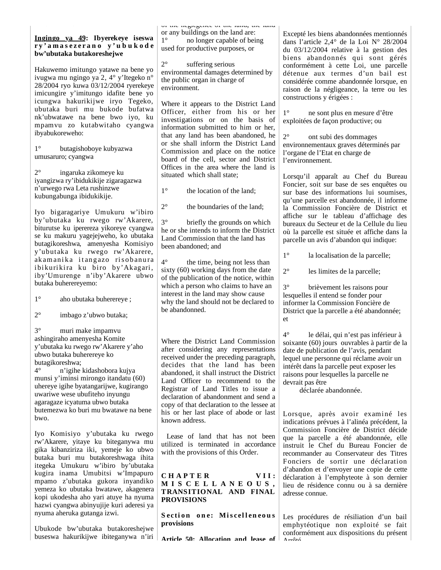#### **Ingingo ya 49: Ibyerekeye iseswa r y ' a m a s e z e r a n o y ' u b u k o d e bw'ubutaka butakoreshejwe**

Hakuwemo imitungo yatawe na bene yo ivugwa mu ngingo ya 2, 4° y'Itegeko n° 28/2004 ryo kuwa 03/12/2004 ryerekeye imicungire y'imitungo idafite bene yo icungwa hakurikijwe iryo Tegeko, ubutaka buri mu bukode bufatwa nk'ubwatawe na bene bwo iyo, ku mpamvu zo kutabwitaho cyangwa ibyabukoreweho:

1° butagishoboye kubyazwa umusaruro; cyangwa

2° ingaruka zikomeye ku iyangizwa ry'ibidukikije zigaragazwa n'urwego rwa Leta rushinzwe kubungabunga ibidukikije.

Iyo bigaragariye Umukuru w'ibiro by'ubutaka ku rwego rw'Akarere, biturutse ku iperereza yikoreye cyangwa se ku makuru yagejejweho, ko ubutaka butagikoreshwa, amenyesha Komisiyo y'ubutaka ku rwego rw'Akarere, ak am an i ka itang azo ris o banura ibikurikira ku biro by'Akagari, iby'Umurenge n'iby'Akarere ubwo butaka buherereyemo:

1° aho ubutaka buherereye ;

2° imbago z'ubwo butaka;

3° muri make impamvu ashingiraho amenyesha Komite y'ubutaka ku rwego rw'Akarere y'aho ubwo butaka buherereye ko butagikoreshwa;

4° n'igihe kidashobora kujya munsi y'iminsi mirongo itandatu (60) uhereye igihe byatangarijwe, kugirango uwariwe wese ubufiteho inyungu agaragaze icyatuma ubwo butaka butemezwa ko buri mu bwatawe na bene bwo.

Iyo Komisiyo y'ubutaka ku rwego rw'Akarere, yitaye ku biteganywa mu gika kibanziriza iki, yemeje ko ubwo butaka buri mu butakoreshwaga ihita itegeka Umukuru w'ibiro by'ubutaka kugira inama Umubitsi w'Impapuro mpamo z'ubutaka gukora inyandiko yemeza ko ubutaka bwatawe, akagenera kopi ukodesha aho yari atuye ha nyuma hazwi cyangwa abinyujije kuri aderesi ya nyuma aheruka gutanga izwi.

Ubukode bw'ubutaka butakoreshejwe buseswa hakurikijwe ibiteganywa n'iri of the neglegence of the land, the land or any buildings on the land are: 1° no longer capable of being used for productive purposes, or

2° suffering serious environmental damages determined by the public organ in charge of environment.

Where it appears to the District Land Officer, either from his or her investigations or on the basis of information submitted to him or her, that any land has been abandoned, he or she shall inform the District Land Commission and place on the notice board of the cell, sector and District Offices in the area where the land is situated which shall state;

1° the location of the land;

2° the boundaries of the land;

3° briefly the grounds on which he or she intends to inform the District Land Commission that the land has been abandoned; and

4° the time, being not less than sixty (60) working days from the date of the publication of the notice, within which a person who claims to have an interest in the land may show cause why the land should not be declared to be abandonned.

Where the District Land Commission after considering any representations received under the preceding paragraph, decides that the land has been abandoned, it shall instruct the District Land Officer to recommend to the Registrar of Land Titles to issue a declaration of abandonment and send a copy of that declaration to the lessee at his or her last place of abode or last known address.

 Lease of land that has not been utilized is terminated in accordance with the provisions of this Order.

CHAPTER VII: **M I S C E L L A N E O U S , TRANSITIONAL AND FINAL PROVISIONS**

**Section one: Miscelleneous provisions**

**Article 50: Allocation and lease of** 

Excepté les biens abandonnées mentionnés dans l'article 2,4° de la Loi N° 28/2004 du 03/12/2004 relative à la gestion des biens abandonnés qui sont gérés conformément à cette Loi, une parcelle détenue aux termes d'un bail est considérée comme abandonnée lorsque, en raison de la négligeance, la terre ou les constructions y érigées :

1° ne sont plus en mesure d'être exploitées de façon productive; ou

2° ont subi des dommages environnementaux graves déterminés par l'organe de l'Etat en charge de l'environnement.

Lorsqu'il apparaît au Chef du Bureau Foncier, soit sur base de ses enquêtes ou sur base des informations lui soumises, qu'une parcelle est abandonnée, il informe la Commission Foncière de District et affiche sur le tableau d'affichage des bureaux du Secteur et de la Cellule du lieu où la parcelle est située et affiche dans la parcelle un avis d'abandon qui indique:

1° la localisation de la parcelle;

2° les limites de la parcelle;

3° brièvement les raisons pour lesquelles il entend se fonder pour informer la Commission Foncière de District que la parcelle a été abandonnée; et

4° le délai, qui n'est pas inférieur à soixante (60) jours ouvrables à partir de la date de publication de l'avis, pendant lequel une personne qui réclame avoir un intérêt dans la parcelle peut exposer les raisons pour lesquelles la parcelle ne devrait pas être

déclarée abandonnée.

Lorsque, après avoir examiné les indications prévues à l'alinéa précédent, la Commission Foncière de District décide que la parcelle a été abandonnée, elle instruit le Chef du Bureau Foncier de recommander au Conservateur des Titres Fonciers de sortir une déclaration d'abandon et d'envoyer une copie de cette déclaration à l'emphyteote à son dernier lieu de résidence connu ou à sa dernière adresse connue.

Les procédures de résiliation d'un bail emphytéotique non exploité se fait conformément aux dispositions du présent  $A \cdot A + A$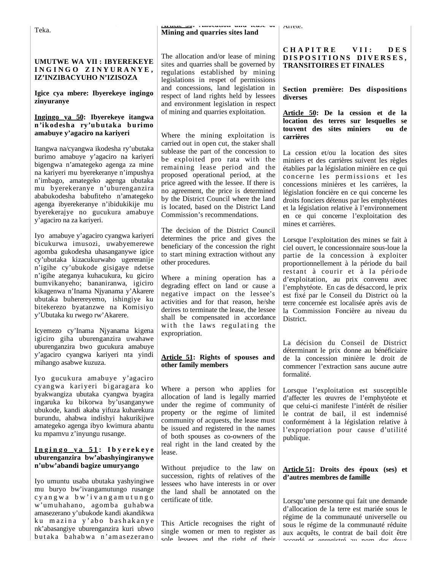Teka.

**Article 50: Allocation and lease of Mining and quarries sites land**

### **UMUTWE WA VII : IBYEREKEYE I N G I N G O Z I N Y U R A N Y E , IZ'INZIBACYUHO N'IZISOZA**

### **Igice cya mbere: Ibyerekeye ingingo zinyuranye**

### **Ingingo ya 50: Ibyerekeye itangwa n'ikodesha ry'ubutaka burimo amabuye y'agaciro na kariyeri**

Itangwa na/cyangwa ikodesha ry'ubutaka burimo amabuye y'agaciro na kariyeri bigengwa n'amategeko agenga za mine na kariyeri mu byerekeranye n'impushya n'imbago, amategeko agenga ubutaka mu byerekeranye n'uburenganzira ababukodesha babufiteho n'amategeko agenga ibyerekeranye n'ibidukikije mu byerekerajye no gucukura amabuye y'agaciro na za kariyeri.

Iyo amabuye y'agaciro cyangwa kariyeri bicukurwa imusozi, uwabyemerewe agomba gukodesha uhasanganywe igice cy'ubutaka kizacukurwaho ugereranije n'igihe cy'ubukode gisigaye ndetse n'igihe ateganya kuhacukura, ku giciro bumvikanyeho; bananiranwa, igiciro kikagenwa n'Inama Njyanama y'Akarere ubutaka buherereyemo, ishingiye ku bitekerezo byatanzwe na Komisiyo y'Ubutaka ku rwego rw'Akarere.

Icyemezo cy'Inama Njyanama kigena igiciro giha uburenganzira uwahawe uburenganzira bwo gucukura amabuye y'agaciro cyangwa kariyeri nta yindi mihango asabwe kuzuza.

Iyo gucukura amabuye y'agaciro cyangwa kariyeri bigaragara ko byakwangiza ubutaka cyangwa byagira ingaruka ku bikorwa by'usanganywe ubukode, kandi akaba yifuza kuharekura burundu, ahabwa indishyi hakurikijwe amategeko agenga ibyo kwimura abantu ku mpamvu z'inyungu rusange.

### **I n g i n g o y a 5 1 : I b y e r e k e y e uburenganzira bw'abashyingiranywe n'ubw'abandi bagize umuryango**

Iyo umuntu usaba ubutaka yashyingiwe mu buryo bw'ivangamutungo rusange c y a n g w a b w ' i v a n g a m u t u n g o w'umuhahano, agomba guhabwa amasezerano y'ubukode kandi akandikwa ku mazina y'abo bashakanye nk'abasangiye uburenganzira kuri ubwo butaka bahabwa n'amasezerano

The allocation and/or lease of mining sites and quarries shall be governed by regulations established by mining legislations in respet of permissions and concessions, land legislation in respect of land rights held by lessees and environment legislation in respect of mining and quarries exploitation.

Where the mining exploitation is carried out in open cut, the staker shall sublease the part of the concession to be exploited pro rata with the remaining lease period and the proposed operational period, at the price agreed with the lessee. If there is no agreement, the price is determined by the District Council where the land is located, based on the District Land Commission's recommendations.

The decision of the District Council determines the price and gives the beneficiary of the concession the right to start mining extraction without any other procedures.

Where a mining operation has a degrading effect on land or cause a negative impact on the lessee's activities and for that reason, he/she derires to terminate the lease, the lessee shall be compensated in accordance with the laws regulating the expropriation.

### **Article 51: Rights of spouses and other family members**

Where a person who applies for allocation of land is legally married under the regime of community of property or the regime of limited community of acquests, the lease must be issued and registered in the names of both spouses as co-owners of the real right in the land created by the lease.

Without prejudice to the law on succession, rights of relatives of the lessees who have interests in or over the land shall be annotated on the certificate of title.

This Article recognises the right of single women or men to register as sole lessees and the right of their

## **C H A P I T R E V I I : D E S DI S P O S I T I O NS DI VE RS E S , TRANSITOIRES ET FINALES**

Arrête.

**Section première: Des dispositions diverses**

**Article 50: De la cession et de la location des terres sur lesquelles se touvent des sites miniers ou de carrières**

La cession et/ou la location des sites miniers et des carrières suivent les règles établies par la législation minière en ce qui concerne les permissions et les concessions minières et les carrières, la législation foncière en ce qui concerne les droits fonciers détenus par les emphytéotes et la législation relative à l'environnement en ce qui concerne l'exploitation des mines et carrières.

Lorsque l'exploitation des mines se fait à ciel ouvert, le concessionnaire sous-loue la partie de la concession à exploiter proportionnellement à la période du bail restant à courir et à la période d'exploitation, au prix convenu avec l'emphytéote. En cas de désaccord, le prix est fixé par le Conseil du District où la terre concernée est localisée après avis de la Commission Foncière au niveau du District.

La décision du Conseil de District déterminant le prix donne au bénéficiaire de la concession minière le droit de commencer l'extraction sans aucune autre formalité.

Lorsque l'exploitation est susceptible d'affecter les œuvres de l'emphytéote et que celui-ci manifeste l'intérêt de résilier le contrat de bail, il est indemnisé conformément à la législation relative à l'expropriation pour cause d'utilité publique.

## **Article 51: Droits des époux (ses) et d'autres membres de famille**

Lorsqu'une personne qui fait une demande d'allocation de la terre est mariée sous le régime de la communauté universelle ou sous le régime de la communauté réduite aux acquêts, le contrat de bail doit être accordé et envoyéestré au nom des deux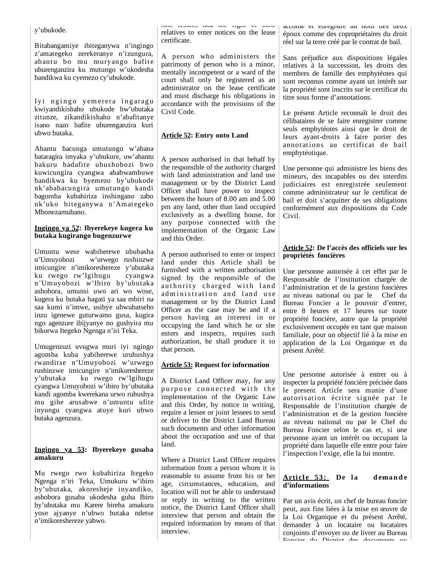y'ubukode.

Bitabangamiye ibiteganywa n'ingingo z'amategeko zerekeranye n'izungura, abantu bo mu muryango bafite uburenganzira ku mutungo w'ukodesha bandikwa ku cyemezo cy'ubukode.

Iyi ngingo yemerera ingaragu kwiyandikishaho ubukode bw'ubutaka zitunze, zikandikishaho n'abafitanye isano nazo bafite uburenganzira kuri ubwo butaka.

Abantu bacunga umutungo w'abana bataragira imyaka y'ubukure, uw'abantu bakuru badafite ubushobozi bwo kuwicungira cyangwa ababwambuwe bandikwa ku byemezo by'ubukode nk'ababacungira umutungo kandi bagomba kubahiriza inshingano zabo nk'uko biteganywa n'Amategeko Mbonezamubano.

### **Ingingo ya 52: Ibyerekeye kugera ku butaka kugirango bugenzurwe**

Umuntu wese wabiherewe ububasha n'Umuyobozi w'urwego rushinzwe imicungire n'imikoreshereze y'ubutaka ku rwego rw'Igihugu cyangwa n'Umuyobozi w'Ibiro by'ubutaka ashobora, umunsi uwo ari wo wose, kugera ku butaka hagati ya saa mbiri na saa kumi n'imwe, usibye ubwubatseho inzu igenewe guturwamo gusa, kugira ngo agenzure ibijyanye no gushyira mu bikorwa Itegeko Ngenga n'iri Teka.

Umugenzuzi uvugwa muri iyi ngingo agomba kuba yabiherewe uruhushya rwanditse n'Umuyobozi w'urwego rushinzwe imicungire n'imikoreshereze y'ubutaka ku rwego rw'Igihugu cyangwa Umuyobozi w'ibiro by'ubutaka kandi agomba kwerekana urwo ruhushya mu gihe arusabwe n'umuntu ufite inyungu cyangwa atuye kuri ubwo butaka agenzura.

## **Ingingo ya 53: Ibyerekeye gusaba amakuru**

Mu rwego rwo kubahiriza Itegeko Ngenga n'iri Teka, Umukuru w'ibiro by'ubutaka, akoresheje inyandiko, ashobora gusaba ukodesha guha Ibiro by'ubutaka mu Karere bireba amakuru yose ajyanye n'ubwo butaka ndetse n'imikoreshereze yabwo.

sole lessees and the right of their relatives to enter notices on the lease certificate.

A person who administers the patrimony of person who is a minor, mentally incompetent or a ward of the court shall only be registered as an administrator on the lease certificate and must discharge his obligations in accordance with the provisions of the Civil Code.

# **Article 52: Entry onto Land**

A person authorised in that behalf by the responsible of the authority charged with land administration and land use management or by the District Land Officer shall have power to inspect between the hours of 8.00 am and 5.00 pm any land, other than land occupied exclusively as a dwelling house, for any purpose connected with the implementation of the Organic Law and this Order.

A person authorised to enter or inspect land under this Article shall be furnished with a written authorisation signed by the responsible of the authority charged with land administration and land use management or by the District Land Officer as the case may be and if a person having an interest in or occupying the land which he or she enters and inspects, requires such authorization, he shall produce it to that person.

## **Article 53: Request for information**

A District Land Officer may, for any purpose connected with the implementation of the Organic Law and this Order, by notice in writing, require a lessee or joint lessees to send or deliver to the District Land Bureau such documents and other information about the occupation and use of that land.

Where a District Land Officer requires information from a person whom it is reasonable to assume from his or her age, circumstances, education, and location will not be able to understand or reply in writing to the written notice, the District Land Officer shall interview that person and obtain the required information by means of that interview.

accordé et emegistré au nom des deux époux comme des copropriétaires du droit réel sur la terre créé par le contrat de bail.

Sans préjudice aux dispositions légales relatives à la succession, les droits des membres de famille des emphytéotes qui sont reconnus comme ayant un intérêt sur la propriété sont inscrits sur le certificat du titre sous forme d'annotations.

Le présent Article reconnaît le droit des célibataires de se faire enregistrer comme seuls emphytéotes ainsi que le droit de leurs ayant-droits à faire porter des annotations au certificat de bail emphytéotique.

Une personne qui administre les biens des mineurs, des incapables ou des interdits judiciaires est enregistrée seulement comme administrateur sur le certificat de bail et doit s'acquitter de ses obligations conformément aux dispositions du Code Civil.

## **Article 52: De l'accès des officiels sur les propriétés foncières**

Une personne autorisée à cet effet par le Responsable de l'institution chargée de l'administration et de la gestion foncières au niveau national ou par le Chef du Bureau Foncier a le pouvoir d'entrer, entre 8 heures et 17 heures sur toute propriété foncière, autre que la propriété exclusivement occupée en tant que maison familiale, pour un objectif lié à la mise en application de la Loi Organique et du présent Arrêté.

Une personne autorisée à entrer ou à inspecter la propriété foncière précisée dans le present Article sera munie d'une autorisation écrite signée par le Responsable de l'institution chargée de l'administration et de la gestion foncière au niveau national ou par le Chef du Bureau Foncier selon le cas et, si une personne ayant un intérêt ou occupant la propriété dans laquelle elle entre pour faire l'inspection l'exige, elle la lui montre.

### Article 53: De la demande **d'informations**

Par un avis écrit, un chef de bureau foncier peut, aux fins liées à la mise en œuvre de la Loi Organique et du présent Arrêté, demander à un locataire ou locataires conjoints d'envoyer ou de livrer au Bureau Foncier du District des documents ou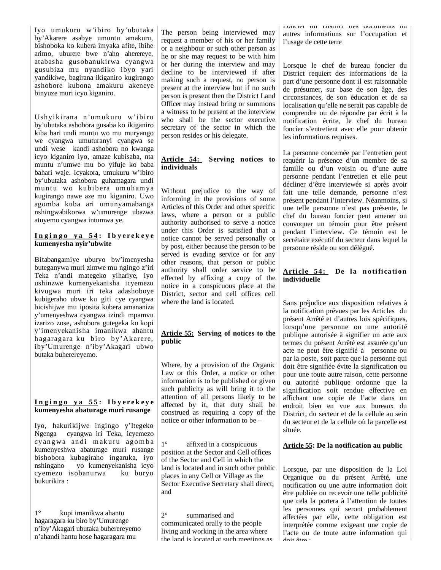Iyo umukuru w'ibiro by'ubutaka by'Akarere asabye umuntu amakuru, bishoboka ko kubera imyaka afite, ibihe arimo, uburere bwe n'aho aherereye, atabasha gusobanukirwa cyangwa gusubiza mu nyandiko ibyo yari yandikiwe, bagirana ikiganiro kugirango ashobore kubona amakuru akeneye binyuze muri icyo kiganiro.

Ushyikirana n'umukuru w'ibiro by'ubutaka ashobora gusaba ko ikiganiro kiba hari undi muntu wo mu muryango we cyangwa umuturanyi cyangwa se undi wese kandi ashobora no kwanga icyo kiganiro iyo, amaze kubisaba, nta muntu n'umwe mu bo yifuje ko baba bahari waje. Icyakora, umukuru w'ibiro by'ubutaka ashobora guhamagara undi muntu wo kubibera umuhamya kugirango nawe aze mu kiganiro. Uwo agomba kuba ari umunyamabanga nshingwabikorwa w'umurenge ubazwa atuyemo cyangwa intumwa ye.

## **I n g i n g o y a 5 4 : I b y e r e k e y e kumenyesha nyir'ubwite**

Bitabangamiye uburyo bw'imenyesha buteganywa muri zimwe mu ngingo z'iri Teka n'andi mategeko yihariye, iyo ushinzwe kumenyekanisha icyemezo kivugwa muri iri teka adashoboye kubigeraho ubwe ku giti cye cyangwa bicishijwe mu iposita kubera amananiza y'umenyeshwa cyangwa izindi mpamvu izarizo zose, ashobora gutegeka ko kopi y'imenyekanisha imanikwa ahantu hagaragara ku biro by'Akarere, iby'Umurenge n'iby'Akagari ubwo butaka buherereyemo.

### **I n g i n g o y a 5 5 : I b y e r e k e y e kumenyesha abaturage muri rusange**

Iyo, hakurikijwe ingingo y'Itegeko Ngenga cyangwa iri Teka, icyemezo cy angwa and i makuru agomba kumenyeshwa abaturage muri rusange bishobora kubagiraho ingaruka, iyo nshingano yo kumenyekanisha icyo cyemezo isobanurwa ku buryo bukurikira :

1° kopi imanikwa ahantu hagaragara ku biro by'Umurenge n'iby'Akagari ubutaka buherereyemo n'ahandi hantu hose hagaragara mu

The person being interviewed may request a member of his or her family or a neighbour or such other person as he or she may request to be with him or her during the interview and may decline to be interviewed if after making such a request, no person is present at the interview but if no such person is present then the District Land Officer may instead bring or summons a witness to be present at the interview who shall be the sector executive secretary of the sector in which the person resides or his delegate.

## **Article 54: Serving notices to individuals**

Without prejudice to the way of informing in the provisions of some Articles of this Order and other specific laws, where a person or a public authority authorised to serve a notice under this Order is satisfied that a notice cannot be served personally or by post, either because the person to be served is evading service or for any other reasons, that person or public authority shall order service to be effected by affixing a copy of the notice in a conspicuous place at the District, sector and cell offices cell where the land is located.

## **Article 55: Serving of notices to the public**

Where, by a provision of the Organic Law or this Order, a notice or other information is to be published or given such publicity as will bring it to the attention of all persons likely to be affected by it, that duty shall be construed as requiring a copy of the notice or other information to be –

1° affixed in a conspicuous position at the Sector and Cell offices of the Sector and Cell in which the land is located and in such other public places in any Cell or Village as the Sector Executive Secretary shall direct; and

2° summarised and communicated orally to the people living and working in the area where the land is located at such meetings as

Foncier du District des documents ou autres informations sur l'occupation et l'usage de cette terre

Lorsque le chef de bureau foncier du District requiert des informations de la part d'une personne dont il est raisonnable de présumer, sur base de son âge, des circonstances, de son éducation et de sa localisation qu'elle ne serait pas capable de comprendre ou de répondre par écrit à la notification écrite, le chef du bureau foncier s'entretient avec elle pour obtenir les informations requises.

La personne concernée par l'entretien peut requérir la présence d'un membre de sa famille ou d'un voisin ou d'une autre personne pendant l'entretien et elle peut décliner d'être interviewée si après avoir fait une telle demande, personne n'est présent pendant l'interview. Néanmoins, si une telle personne n'est pas présente, le chef du bureau foncier peut amener ou convoquer un témoin pour être présent pendant l'interview. Ce témoin est le secrétaire exécutif du secteur dans lequel la personne réside ou son délégué.

## Article 54: De la notification **individuelle**

Sans préjudice aux disposition relatives à la notification prévues par les Articles du présent Arrêté et d'autres lois spécifiques, lorsqu'une personne ou une autorité publique autorisée à signifier un acte aux termes du présent Arrêté est assurée qu'un acte ne peut être signifié à personne ou par la poste, soit parce que la personne qui doit être signifiée évite la signification ou pour une toute autre raison, cette personne ou autorité publique ordonne que la signification soit rendue effective en affichant une copie de l'acte dans un endroit bien en vue aux bureaux du District, du secteur et de la cellule au sein du secteur et de la cellule où la parcelle est située.

## **Article 55: De la notification au public**

Lorsque, par une disposition de la Loi Organique ou du présent Arrêté, une notification ou une autre information doit être publiée ou recevoir une telle publicité que cela la portera à l'attention de toutes les personnes qui seront probablement affectées par elle, cette obligation est interprétée comme exigeant une copie de l'acte ou de toute autre information qui  $A \cdot A + A + \cdots$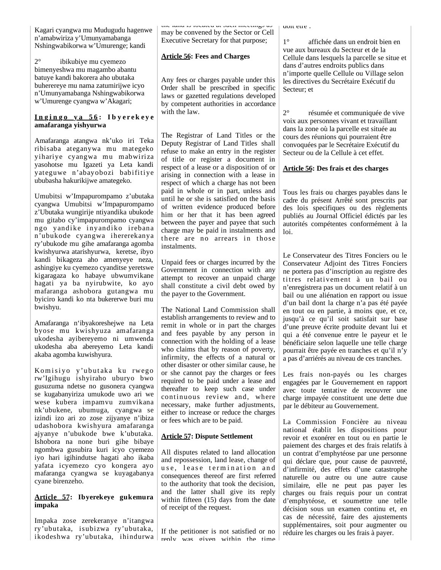Kagari cyangwa mu Mudugudu hagenwe n'amabwiriza y'Umunyamabanga Nshingwabikorwa w'Umurenge; kandi

2° ibikubiye mu cyemezo bimenyeshwa mu magambo abantu batuye kandi bakorera aho ubutaka buherereye mu nama zatumirijwe icyo n'Umunyamabanga Nshingwabikorwa w'Umurenge cyangwa w'Akagari;

### **I n g i n g o y a 5 6 : I b y e r e k e y e amafaranga yishyurwa**

Amafaranga atangwa nk'uko iri Teka ribisaba ateganywa mu mategeko yihariye cyangwa mu mabwiriza yasohotse mu Igazeti ya Leta kandi yateguwe n'abayobozi babifitiye ububasha hakurikijwe amategeko.

Umubitsi w'Impapurompamo z'ubutaka cyangwa Umubitsi w'Impapurompamo z'Ubutaka wungirije ntiyandika ubukode mu gitabo cy'impapurompamo cyangwa ngo yandike inyandiko irebana n'ubukode cyangwa ihererekanya ry'ubukode mu gihe amafaranga agomba kwishyurwa atarishyurwa, keretse, ibyo kandi bikageza aho amenyeye neza, ashingiye ku cyemezo cyanditse yeretswe kigaragaza ko habaye ubwumvikane hagati ya ba nyirubwite, ko ayo mafaranga ashobora gutangwa mu byiciro kandi ko nta bukererwe buri mu bwishyu.

Amafaranga n'ibyakoreshejwe na Leta byose mu kwishyuza amafaranga ukodesha ayibereyemo ni umwenda ukodesha aba abereyemo Leta kandi akaba agomba kuwishyura.

Komisiyo y'ubutaka ku rwego rw'Igihugu ishyiraho uburyo bwo gusuzuma ndetse no gusonera cyangwa se kugabanyiriza umukode uwo ari we wese kubera impamvu zumvikana nk'ubukene, ubumuga, cyangwa se izindi izo ari zo zose zijyanye n'ibiza udashobora kwishyura amafaranga ajyanye n'ubukode bwe k'ubutaka. Ishobora na none buri gihe bibaye ngombwa gusubira kuri icyo cyemezo iyo hari igihindutse hagati aho ikaba yafata icyemezo cyo kongera ayo mafaranga cyangwa se kuyagabanya cyane birenzeho.

## **Article 57: Ibyerekeye gukemura impaka**

Impaka zose zerekeranye n'itangwa ry'ubutaka, isubizwa ry'ubutaka, ikodeshwa ry'ubutaka, ihindurwa

the land is located at such meetings as may be convened by the Sector or Cell Executive Secretary for that purpose;

## **Article 56: Fees and Charges**

Any fees or charges payable under this Order shall be prescribed in specific laws or gazetted regulations developed by competent authorities in accordance with the law.

The Registrar of Land Titles or the Deputy Registrar of Land Titles shall refuse to make an entry in the register of title or register a document in respect of a lease or a disposition of or arising in connection with a lease in respect of which a charge has not been paid in whole or in part, unless and until he or she is satisfied on the basis of written evidence produced before him or her that it has been agreed between the payer and payee that such charge may be paid in instalments and there are no arrears in those instalments.

Unpaid fees or charges incurred by the Government in connection with any attempt to recover an unpaid charge shall constitute a civil debt owed by the payer to the Government.

The National Land Commission shall establish arrangements to review and to remit in whole or in part the charges and fees payable by any person in connection with the holding of a lease who claims that by reason of poverty, infirmity, the effects of a natural or other disaster or other similar cause, he or she cannot pay the charges or fees required to be paid under a lease and thereafter to keep such case under continuous review and, where necessary, make further adjustments, either to increase or reduce the charges or fees which are to be paid.

## **Article 57: Dispute Settlement**

All disputes related to land allocation and repossession, land lease, change of use, lease termination and consequences thereof are first referred to the authority that took the decision, and the latter shall give its reply within fifteen (15) days from the date of receipt of the request.

If the petitioner is not satisfied or no reply was given within the time doit ette.

1° affichée dans un endroit bien en vue aux bureaux du Secteur et de la Cellule dans lesquels la parcelle se situe et dans d'autres endroits publics dans n'importe quelle Cellule ou Village selon les directives du Secrétaire Exécutif du Secteur; et

2° résumée et communiquée de vive voix aux personnes vivant et travaillant dans la zone où la parcelle est située au cours des réunions qui pourraient être convoquées par le Secrétaire Exécutif du Secteur ou de la Cellule à cet effet.

## **Article 56: Des frais et des charges**

Tous les frais ou charges payables dans le cadre du présent Arrêté sont prescrits par des lois specifiques ou des règlements publiés au Journal Officiel édictés par les autorités compétentes conformément à la loi.

Le Conservateur des Titres Fonciers ou le Conservateur Adjoint des Titres Fonciers ne portera pas d'inscription au registre des titres relativement à un bail ou n'enregistrera pas un document relatif à un bail ou une aliénation en rapport ou issue d'un bail dont la charge n'a pas été payée en tout ou en partie, à moins que, et ce, jusqu'à ce qu'il soit satisfait sur base d'une preuve écrite produite devant lui et qui a été convenue entre le payeur et le bénéficiaire selon laquelle une telle charge pourrait être payée en tranches et qu'il n'y a pas d'arriérés au niveau de ces tranches.

Les frais non-payés ou les charges engagées par le Gouvernement en rapport avec toute tentative de recouvrer une charge impayée constituent une dette due par le débiteur au Gouvernement.

La Commission Foncière au niveau national établit les dispositions pour revoir et exonérer en tout ou en partie le paiement des charges et des frais relatifs à un contrat d'emphytéose par une personne qui déclare que, pour cause de pauvreté, d'infirmité, des effets d'une catastrophe naturelle ou autre ou une autre cause similaire, elle ne peut pas payer les charges ou frais requis pour un contrat d'emphytéose, et soumettre une telle décision sous un examen continu et, en cas de nécessité, faire des ajustements supplémentaires, soit pour augmenter ou réduire les charges ou les frais à payer.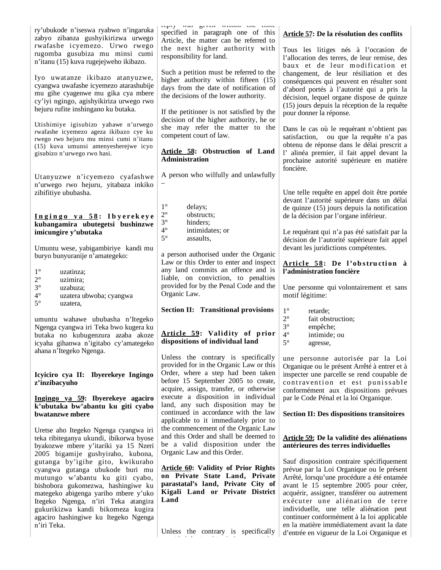| ry'ubukode n'iseswa ryabwo n'ingaruka<br>zabyo zibanza gushyikirizwa urwego                                                                                                                                                                                      | repry nas griva nauna une unie<br>specified in paragraph one of this<br>Article, the matter can be referred to                                                                           | Article 57: De la résolution des conflits                                                                                                                                                                                                                                                                    |  |  |  |
|------------------------------------------------------------------------------------------------------------------------------------------------------------------------------------------------------------------------------------------------------------------|------------------------------------------------------------------------------------------------------------------------------------------------------------------------------------------|--------------------------------------------------------------------------------------------------------------------------------------------------------------------------------------------------------------------------------------------------------------------------------------------------------------|--|--|--|
| rwafashe icyemezo. Urwo rwego<br>rugomba gusubiza mu minsi cumi<br>n'itanu (15) kuva rugejejweho ikibazo.                                                                                                                                                        | the next higher authority with<br>responsibility for land.                                                                                                                               | Tous les litiges nés à l'occasion de<br>l'allocation des terres, de leur remise, des<br>baux et de leur modification et                                                                                                                                                                                      |  |  |  |
| Iyo uwatanze ikibazo atanyuzwe,<br>cyangwa uwafashe icyemezo atarashubije<br>mu gihe cyagenwe mu gika cya mbere<br>cy'iyi ngingo, agishyikiriza urwego rwo<br>hejuru rufite inshingano ku butaka.                                                                | Such a petition must be referred to the<br>higher authority within fifteen (15)<br>days from the date of notification of<br>the decisions of the lower authority.                        | changement, de leur résiliation et des<br>conséquences qui peuvent en résulter sont<br>d'abord portés à l'autorité qui a pris la<br>décision, lequel organe dispose de quinze<br>(15) jours depuis la réception de la requête                                                                                |  |  |  |
| Utishimiye igisubizo yahawe n'urwego                                                                                                                                                                                                                             | If the petitioner is not satisfied by the<br>decision of the higher authority, he or<br>she may refer the matter to the                                                                  | pour donner la réponse.<br>Dans le cas où le requérant n'obtient pas                                                                                                                                                                                                                                         |  |  |  |
| rwafashe icyemezo ageza ikibazo cye ku<br>rwego rwo hejuru mu minsi cumi n'itanu<br>(15) kuva umunsi amenyesherejwe icyo                                                                                                                                         | competent court of law.                                                                                                                                                                  | satisfaction, ou que la requête n'a pas<br>obtenu de réponse dans le délai prescrit a                                                                                                                                                                                                                        |  |  |  |
| gisubizo n'urwego rwo hasi.                                                                                                                                                                                                                                      | Article 58: Obstruction of Land<br><b>Administration</b>                                                                                                                                 | l'alinéa premier, il fait appel devant la<br>prochaine autorité supérieure en matière<br>foncière.                                                                                                                                                                                                           |  |  |  |
| Utanyuzwe n'icyemezo cyafashwe<br>n'urwego rwo hejuru, yitabaza inkiko<br>zibifitiye ububasha.                                                                                                                                                                   | A person who wilfully and unlawfully                                                                                                                                                     | Une telle requête en appel doit être portée                                                                                                                                                                                                                                                                  |  |  |  |
| Ingingo ya 58: Ibyerekeye                                                                                                                                                                                                                                        | $1^{\circ}$<br>delays;<br>$2^{\circ}$<br>obstructs;                                                                                                                                      | devant l'autorité supérieure dans un délai<br>de quinze $(15)$ jours depuis la notification<br>de la décision par l'organe inférieur.                                                                                                                                                                        |  |  |  |
| kubangamira ubutegetsi bushinzwe<br>imicungire y'ubutaka                                                                                                                                                                                                         | $3^\circ$<br>hinders;<br>$4^{\circ}$<br>intimidates; or<br>$5^\circ$<br>assaults,                                                                                                        | Le requérant qui n'a pas été satisfait par la<br>décision de l'autorité supérieure fait appel                                                                                                                                                                                                                |  |  |  |
| Umuntu wese, yabigambiriye kandi mu<br>buryo bunyuranije n'amategeko:                                                                                                                                                                                            | a person authorised under the Organic<br>Law or this Order to enter and inspect<br>any land commits an offence and is                                                                    | devant les juridictions compétentes.<br>Article 58: De l'obstruction à<br>l'administration foncière                                                                                                                                                                                                          |  |  |  |
| $1^{\circ}$<br>uzatinza;<br>$2^{\circ}$<br>uzimira;                                                                                                                                                                                                              | liable, on conviction, to penalties                                                                                                                                                      |                                                                                                                                                                                                                                                                                                              |  |  |  |
| $3^{\circ}$<br>uzabuza;<br>$4^{\circ}$<br>uzatera ubwoba; cyangwa<br>$5^{\circ}$                                                                                                                                                                                 | provided for by the Penal Code and the<br>Organic Law.                                                                                                                                   | Une personne qui volontairement et sans<br>motif légitime:                                                                                                                                                                                                                                                   |  |  |  |
| uzatera.                                                                                                                                                                                                                                                         | <b>Section II: Transitional provisions</b>                                                                                                                                               | $1^{\circ}$<br>retarde;                                                                                                                                                                                                                                                                                      |  |  |  |
| umuntu wahawe ububasha n'Itegeko                                                                                                                                                                                                                                 |                                                                                                                                                                                          | $2^{\circ}$<br>fait obstruction;<br>$3^\circ$<br>empêche;                                                                                                                                                                                                                                                    |  |  |  |
| Ngenga cyangwa iri Teka bwo kugera ku<br>butaka no kubugenzura azaba akoze<br>icyaha gihanwa n'igitabo cy'amategeko<br>ahana n'Itegeko Ngenga.                                                                                                                   | Article 59: Validity of prior<br>dispositions of individual land                                                                                                                         | $4^{\circ}$<br>intimide; ou<br>$5^{\circ}$<br>agresse,                                                                                                                                                                                                                                                       |  |  |  |
|                                                                                                                                                                                                                                                                  | Unless the contrary is specifically<br>provided for in the Organic Law or this<br>Order, where a step had been taken                                                                     | une personne autorisée par la Loi<br>Organique ou le présent Arrêté à entrer et à                                                                                                                                                                                                                            |  |  |  |
| Icyiciro cya II: Ibyerekeye Ingingo<br>z'inzibacyuho                                                                                                                                                                                                             | before 15 September 2005 to create,<br>acquire, assign, transfer, or otherwise<br>execute a disposition in individual                                                                    | inspecter une parcelle se rend coupable de<br>contravention et est punissable<br>conformément aux dispositions prévues                                                                                                                                                                                       |  |  |  |
| Ingingo ya 59: Ibyerekeye agaciro<br>k'ubutaka bw'abantu ku giti cyabo<br>bwatanzwe mbere                                                                                                                                                                        | land, any such disposition may be<br>continued in accordance with the law                                                                                                                | par le Code Pénal et la loi Organique.<br><b>Section II: Des dispositions transitoires</b>                                                                                                                                                                                                                   |  |  |  |
| Uretse aho Itegeko Ngenga cyangwa iri<br>teka ribiteganya ukundi, ibikorwa byose<br>byakozwe mbere y'itariki ya 15 Nzeri<br>2005 bigamije gushyiraho, kubona,                                                                                                    | applicable to it immediately prior to<br>the commencement of the Organic Law<br>and this Order and shall be deemed to<br>be a valid disposition under the<br>Organic Law and this Order. | Article 59: De la validité des aliénations<br>antérieures des terres individuelles                                                                                                                                                                                                                           |  |  |  |
| gutanga by'igihe gito, kwikuraho<br>cyangwa gutanga ubukode buri mu<br>mutungo w'abantu ku giti cyabo,<br>bishobora gukomezwa, hashingiwe ku<br>mategeko abigenga yariho mbere y'uko<br>Itegeko Ngenga, n'iri Teka atangira<br>gukurikizwa kandi bikomeza kugira | <b>Article 60: Validity of Prior Rights</b><br>on Private State Land, Private<br>parastatal's land, Private City of<br>Kigali Land or Private District<br>Land                           | Sauf disposition contraire spécifiquement<br>prévue par la Loi Organique ou le présent<br>Arrêté, lorsqu'une procédure a été entamée<br>avant le 15 septembre 2005 pour créer,<br>acquérir, assigner, transférer ou autrement<br>exécuter une aliénation de terre<br>individuelle, une telle aliénation peut |  |  |  |
| agaciro hashingiwe ku Itegeko Ngenga<br>n'iri Teka.                                                                                                                                                                                                              | Unless the contrary is specifically                                                                                                                                                      | continuer conformément à la loi applicable<br>en la matière immédiatement avant la date<br>d'entrée en vigueur de la Loi Organique et                                                                                                                                                                        |  |  |  |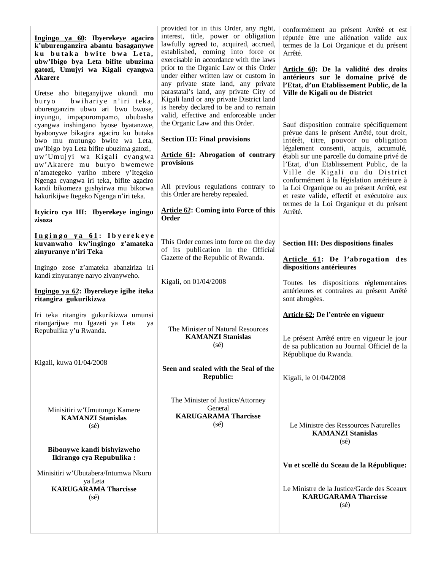| Ingingo ya 60: Ibyerekeye agaciro<br>k'uburenganzira abantu basaganywe<br>ku butaka bwite bwa Leta,<br>ubw'Ibigo bya Leta bifite ubuzima<br>gatozi, Umujyi wa Kigali cyangwa<br><b>Akarere</b><br>Uretse aho biteganyijwe ukundi mu<br>bwihariye n'iri teka,<br>buryo<br>uburenganzira ubwo ari bwo bwose,<br>inyungu, impapurompamo, ububasha<br>cyangwa inshingano byose byatanzwe,<br>byabonywe bikagira agaciro ku butaka<br>bwo mu mutungo bwite wa Leta,<br>uw'Ibigo bya Leta bifite ubuzima gatozi,<br>uw'Umujyi wa Kigali cyangwa<br>uw'Akarere mu buryo bwemewe<br>n'amategeko yariho mbere y'Itegeko<br>Ngenga cyangwa iri teka, bifite agaciro<br>kandi bikomeza gushyirwa mu bikorwa<br>hakurikijwe Itegeko Ngenga n'iri teka. | provided for in this Order, any right,<br>interest, title, power or obligation<br>lawfully agreed to, acquired, accrued,<br>established, coming into force or<br>exercisable in accordance with the laws<br>prior to the Organic Law or this Order<br>under either written law or custom in<br>any private state land, any private<br>parastatal's land, any private City of<br>Kigali land or any private District land<br>is hereby declared to be and to remain<br>valid, effective and enforceable under<br>the Organic Law and this Order.<br><b>Section III: Final provisions</b><br>Article 61: Abrogation of contrary<br>provisions<br>All previous regulations contrary to<br>this Order are hereby repealed. | conformément au présent Arrêté et est<br>réputée être une aliénation valide aux<br>termes de la Loi Organique et du présent<br>Arrêté.<br>Article 60: De la validité des droits<br>antérieurs sur le domaine privé de<br>l'Etat, d'un Etablissement Public, de la<br>Ville de Kigali ou de District<br>Sauf disposition contraire spécifiquement<br>prévue dans le présent Arrêté, tout droit,<br>intérêt, titre, pouvoir ou obligation<br>légalement consenti, acquis, accumulé,<br>établi sur une parcelle du domaine privé de<br>l'Etat, d'un Etablissement Public, de la<br>Ville de Kigali ou du District<br>conformément à la législation antérieure à<br>la Loi Organique ou au présent Arrêté, est<br>et reste valide, effectif et exécutoire aux |
|--------------------------------------------------------------------------------------------------------------------------------------------------------------------------------------------------------------------------------------------------------------------------------------------------------------------------------------------------------------------------------------------------------------------------------------------------------------------------------------------------------------------------------------------------------------------------------------------------------------------------------------------------------------------------------------------------------------------------------------------|------------------------------------------------------------------------------------------------------------------------------------------------------------------------------------------------------------------------------------------------------------------------------------------------------------------------------------------------------------------------------------------------------------------------------------------------------------------------------------------------------------------------------------------------------------------------------------------------------------------------------------------------------------------------------------------------------------------------|-----------------------------------------------------------------------------------------------------------------------------------------------------------------------------------------------------------------------------------------------------------------------------------------------------------------------------------------------------------------------------------------------------------------------------------------------------------------------------------------------------------------------------------------------------------------------------------------------------------------------------------------------------------------------------------------------------------------------------------------------------------|
| Icyiciro cya III: Ibyerekeye ingingo<br>zisoza                                                                                                                                                                                                                                                                                                                                                                                                                                                                                                                                                                                                                                                                                             | <b>Article 62: Coming into Force of this</b><br>Order                                                                                                                                                                                                                                                                                                                                                                                                                                                                                                                                                                                                                                                                  | termes de la Loi Organique et du présent<br>Arrêté.                                                                                                                                                                                                                                                                                                                                                                                                                                                                                                                                                                                                                                                                                                       |
| Ingingo ya 61: Ibyerekeye<br>kuvanwaho kw'ingingo z'amateka<br>zinyuranye n'iri Teka<br>Ingingo zose z'amateka abanziriza iri<br>kandi zinyuranye naryo zivanyweho.<br>Ingingo ya 62: Ibyerekeye igihe iteka<br>ritangira gukurikizwa<br>Iri teka ritangira gukurikizwa umunsi<br>ritangarijwe mu Igazeti ya Leta<br>ya<br>Repubulika y'u Rwanda.<br>Kigali, kuwa 01/04/2008                                                                                                                                                                                                                                                                                                                                                               | This Order comes into force on the day<br>of its publication in the Official<br>Gazette of the Republic of Rwanda.<br>Kigali, on 01/04/2008<br>The Minister of Natural Resources<br><b>KAMANZI Stanislas</b><br>$(s\acute{e})$<br>Seen and sealed with the Seal of the<br><b>Republic:</b>                                                                                                                                                                                                                                                                                                                                                                                                                             | <b>Section III: Des dispositions finales</b><br>Article 61: De l'abrogation des<br>dispositions antérieures<br>Toutes les dispositions réglementaires<br>antérieures et contraires au présent Arrêté<br>sont abrogées.<br>Article 62: De l'entrée en vigueur<br>Le présent Arrêté entre en vigueur le jour<br>de sa publication au Journal Officiel de la<br>République du Rwanda.<br>Kigali, le 01/04/2008                                                                                                                                                                                                                                                                                                                                               |
| Minisitiri w'Umutungo Kamere<br><b>KAMANZI Stanislas</b><br>(s <sub>e</sub> )<br>Bibonywe kandi bishyizweho<br>Ikirango cya Repubulika:<br>Minisitiri w'Ubutabera/Intumwa Nkuru<br>ya Leta<br><b>KARUGARAMA Tharcisse</b><br>$(s\acute{e})$                                                                                                                                                                                                                                                                                                                                                                                                                                                                                                | The Minister of Justice/Attorney<br>General<br><b>KARUGARAMA Tharcisse</b><br>$(s\acute{e})$                                                                                                                                                                                                                                                                                                                                                                                                                                                                                                                                                                                                                           | Le Ministre des Ressources Naturelles<br><b>KAMANZI Stanislas</b><br>$(s\acute{e})$<br>Vu et scellé du Sceau de la République:<br>Le Ministre de la Justice/Garde des Sceaux<br><b>KARUGARAMA Tharcisse</b><br>$(s\acute{e})$                                                                                                                                                                                                                                                                                                                                                                                                                                                                                                                             |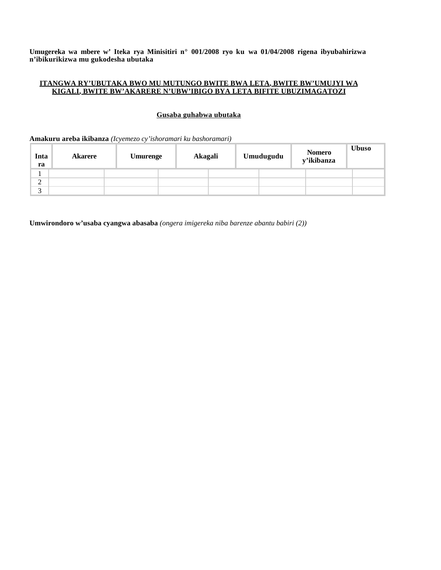**Umugereka wa mbere w' Iteka rya Minisitiri n° 001/2008 ryo ku wa 01/04/2008 rigena ibyubahirizwa n'ibikurikizwa mu gukodesha ubutaka**

### **ITANGWA RY'UBUTAKA BWO MU MUTUNGO BWITE BWA LETA, BWITE BW'UMUJYI WA KIGALI, BWITE BW'AKARERE N'UBW'IBIGO BYA LETA BIFITE UBUZIMAGATOZI**

# **Gusaba guhabwa ubutaka**

### **Amakuru areba ikibanza** *(Icyemezo cy'ishoramari ku bashoramari)*

| Inta<br>ra         | <b>Akarere</b> | <b>Umurenge</b> | Akagali | Umudugudu | Nomero<br>y'ikibanza | <b>Ubuso</b> |
|--------------------|----------------|-----------------|---------|-----------|----------------------|--------------|
|                    |                |                 |         |           |                      |              |
| $\mathcal{D}$<br>∠ |                |                 |         |           |                      |              |
| $\sim$<br>J        |                |                 |         |           |                      |              |

**Umwirondoro w'usaba cyangwa abasaba** *(ongera imigereka niba barenze abantu babiri (2))*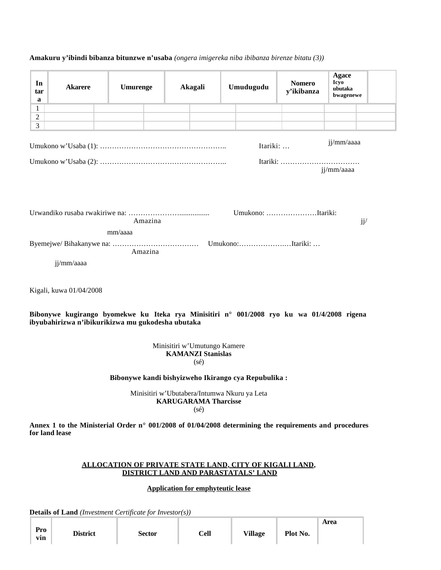| In<br>tar<br>a                                                                         | <b>Akarere</b>                                                                                                                                  | <b>Umurenge</b>                                               |         |  | Akagali                                                                    |  | Umudugudu                                           | <b>Nomero</b><br>y'ikibanza | <b>Agace</b><br><b>Icyo</b><br>ubutaka<br>bwagenewe |  |
|----------------------------------------------------------------------------------------|-------------------------------------------------------------------------------------------------------------------------------------------------|---------------------------------------------------------------|---------|--|----------------------------------------------------------------------------|--|-----------------------------------------------------|-----------------------------|-----------------------------------------------------|--|
| $\mathbf{1}$                                                                           |                                                                                                                                                 |                                                               |         |  |                                                                            |  |                                                     |                             |                                                     |  |
| $\overline{2}$<br>3                                                                    |                                                                                                                                                 |                                                               |         |  |                                                                            |  |                                                     |                             |                                                     |  |
| jj/mm/aaaa<br>Itariki:<br>jj/mm/aaaa<br>Umukono: Itariki:<br>jj/<br>Amazina<br>mm/aaaa |                                                                                                                                                 |                                                               |         |  |                                                                            |  |                                                     |                             |                                                     |  |
|                                                                                        |                                                                                                                                                 |                                                               |         |  |                                                                            |  |                                                     |                             |                                                     |  |
|                                                                                        | jj/mm/aaaa                                                                                                                                      |                                                               | Amazina |  |                                                                            |  |                                                     |                             |                                                     |  |
|                                                                                        |                                                                                                                                                 |                                                               |         |  |                                                                            |  |                                                     |                             |                                                     |  |
|                                                                                        | Kigali, kuwa 01/04/2008                                                                                                                         |                                                               |         |  |                                                                            |  |                                                     |                             |                                                     |  |
|                                                                                        | Bibonywe kugirango byomekwe ku Iteka rya Minisitiri n° 001/2008 ryo ku wa 01/4/2008 rigena<br>ibyubahirizwa n'ibikurikizwa mu gukodesha ubutaka |                                                               |         |  |                                                                            |  |                                                     |                             |                                                     |  |
|                                                                                        |                                                                                                                                                 |                                                               |         |  | Minisitiri w'Umutungo Kamere<br><b>KAMANZI Stanislas</b><br>$(s\acute{e})$ |  |                                                     |                             |                                                     |  |
|                                                                                        |                                                                                                                                                 |                                                               |         |  |                                                                            |  | Bibonywe kandi bishyizweho Ikirango cya Repubulika: |                             |                                                     |  |
|                                                                                        |                                                                                                                                                 |                                                               |         |  | <b>KARUGARAMA Tharcisse</b><br>$(s\acute{e})$                              |  | Minisitiri w'Ubutabera/Intumwa Nkuru ya Leta        |                             |                                                     |  |
|                                                                                        | Annex 1 to the Ministerial Order $n^{\circ}$ 001/2008 of 01/04/2008 determining the requirements and procedures<br>for land lease               |                                                               |         |  |                                                                            |  |                                                     |                             |                                                     |  |
|                                                                                        |                                                                                                                                                 | <b>ALLOCATION OF PRIVATE STATE LAND, CITY OF KIGALI LAND,</b> |         |  |                                                                            |  | DISTRICT LAND AND PARASTATALS' LAND                 |                             |                                                     |  |
|                                                                                        |                                                                                                                                                 |                                                               |         |  | <b>Application for emphyteutic lease</b>                                   |  |                                                     |                             |                                                     |  |

# **Amakuru y'ibindi bibanza bitunzwe n'usaba** *(ongera imigereka niba ibibanza birenze bitatu (3))*

**Details of Land** *(Investment Certificate for Investor(s))*

|            |                 |               |      |                |          | Area |
|------------|-----------------|---------------|------|----------------|----------|------|
| Pro<br>vin | <b>District</b> | <b>Sector</b> | Cell | <b>Village</b> | Plot No. |      |
|            |                 |               |      |                |          |      |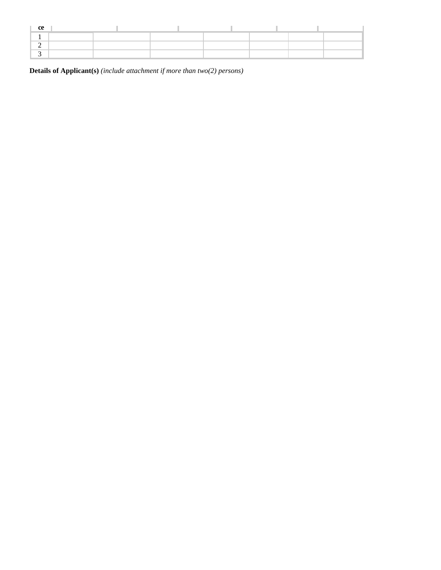| ce |  |  |  |  |
|----|--|--|--|--|
|    |  |  |  |  |
|    |  |  |  |  |
|    |  |  |  |  |

**Details of Applicant(s)** *(include attachment if more than two(2) persons)*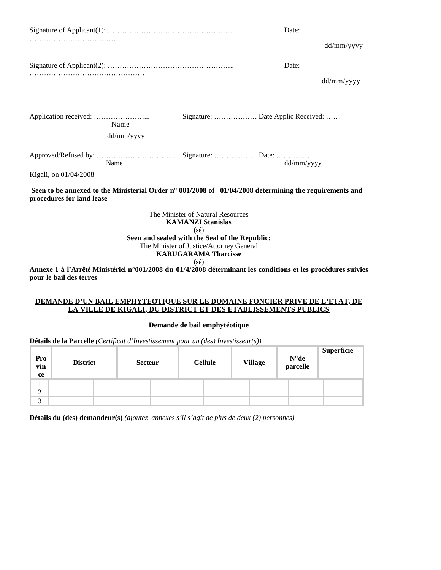|                                                                                                                                              |                                                                                 | Date:                             |  |  |  |
|----------------------------------------------------------------------------------------------------------------------------------------------|---------------------------------------------------------------------------------|-----------------------------------|--|--|--|
|                                                                                                                                              |                                                                                 | dd/mm/yyyy                        |  |  |  |
|                                                                                                                                              |                                                                                 | Date:                             |  |  |  |
|                                                                                                                                              |                                                                                 | dd/mm/yyyy                        |  |  |  |
| Name                                                                                                                                         |                                                                                 | Signature:  Date Applic Received: |  |  |  |
| dd/mm/yyyy                                                                                                                                   |                                                                                 |                                   |  |  |  |
| Name                                                                                                                                         |                                                                                 | dd/mm/yyyy                        |  |  |  |
| Kigali, on 01/04/2008                                                                                                                        |                                                                                 |                                   |  |  |  |
| Seen to be annexed to the Ministerial Order $n^{\circ}$ 001/2008 of 01/04/2008 determining the requirements and<br>procedures for land lease |                                                                                 |                                   |  |  |  |
|                                                                                                                                              | The Minister of Natural Resources<br><b>KAMANZI Stanislas</b><br>$(s\acute{e})$ |                                   |  |  |  |
|                                                                                                                                              | Seen and sealed with the Seal of the Republic:                                  |                                   |  |  |  |
|                                                                                                                                              | The Minister of Justice/Attorney General<br><b>KARUGARAMA Tharcisse</b>         |                                   |  |  |  |
| Annexe 1 à l'Arrêté Ministériel n°001/2008 du 01/4/2008 déterminant les conditions et les procédures suivies                                 | $(s\acute{e})$                                                                  |                                   |  |  |  |
|                                                                                                                                              |                                                                                 |                                   |  |  |  |

**Annexe 1 à l'Arrêté Ministériel n°001/2008 du 01/4/2008 déterminant les conditions et les procédures suivies pour le bail des terres**

#### **DEMANDE D'UN BAIL EMPHYTEOTIQUE SUR LE DOMAINE FONCIER PRIVE DE L'ETAT, DE LA VILLE DE KIGALI, DU DISTRICT ET DES ETABLISSEMENTS PUBLICS**

## **Demande de bail emphytéotique**

**Détails de la Parcelle** *(Certificat d'Investissement pour un (des) Investisseur(s))*

| Pro<br>vin<br>ce | <b>District</b> | <b>Secteur</b> | <b>Cellule</b> | <b>Village</b> | $N^{\circ}$ de<br>parcelle | Superficie |
|------------------|-----------------|----------------|----------------|----------------|----------------------------|------------|
|                  |                 |                |                |                |                            |            |
| $\overline{2}$   |                 |                |                |                |                            |            |
| 3                |                 |                |                |                |                            |            |

**Détails du (des) demandeur(s)** *(ajoutez annexes s'il s'agit de plus de deux (2) personnes)*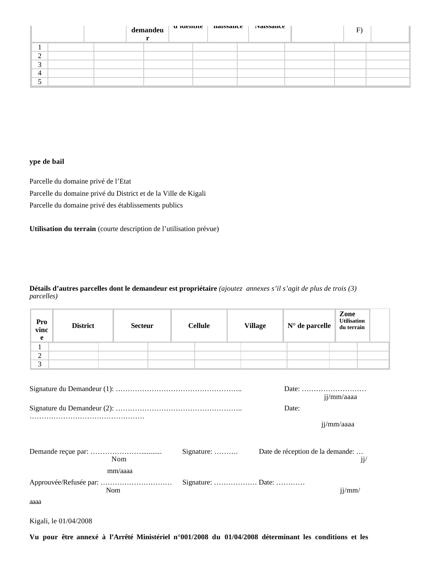|                |  |  | demandeu   u iuentite   naissance   raissance | $\mathbf{E}$ |  |
|----------------|--|--|-----------------------------------------------|--------------|--|
|                |  |  |                                               |              |  |
| $\bigcap$<br>∠ |  |  |                                               |              |  |
| $\sim$<br>◡    |  |  |                                               |              |  |
| $\overline{4}$ |  |  |                                               |              |  |
|                |  |  |                                               |              |  |

## **ype de bail**

Parcelle du domaine privé de l'Etat Parcelle du domaine privé du District et de la Ville de Kigali Parcelle du domaine privé des établissements publics

**Utilisation du terrain** (courte description de l'utilisation prévue)

## **Détails d'autres parcelles dont le demandeur est propriétaire** *(ajoutez annexes s'il s'agit de plus de trois (3) parcelles)*

| Pro<br>vinc<br>e                  | <b>District</b> | <b>Secteur</b> |  |  | <b>Cellule</b> | <b>Village</b> | $N^{\circ}$ de parcelle          | Zone<br><b>Utilisation</b><br>du terrain |     |
|-----------------------------------|-----------------|----------------|--|--|----------------|----------------|----------------------------------|------------------------------------------|-----|
| 1                                 |                 |                |  |  |                |                |                                  |                                          |     |
| 2                                 |                 |                |  |  |                |                |                                  |                                          |     |
| 3                                 |                 |                |  |  |                |                |                                  |                                          |     |
| jj/mm/aaaa<br>Date:<br>jj/mm/aaaa |                 |                |  |  |                |                |                                  |                                          |     |
|                                   |                 | Nom<br>mm/aaaa |  |  | Signature:     |                | Date de réception de la demande: |                                          | jj/ |
|                                   |                 | Nom            |  |  |                |                |                                  | jj/mm/                                   |     |
| aaaa                              |                 |                |  |  |                |                |                                  |                                          |     |

Kigali, le 01/04/2008

**Vu pour être annexé à l'Arrêté Ministériel n°001/2008 du 01/04/2008 déterminant les conditions et les**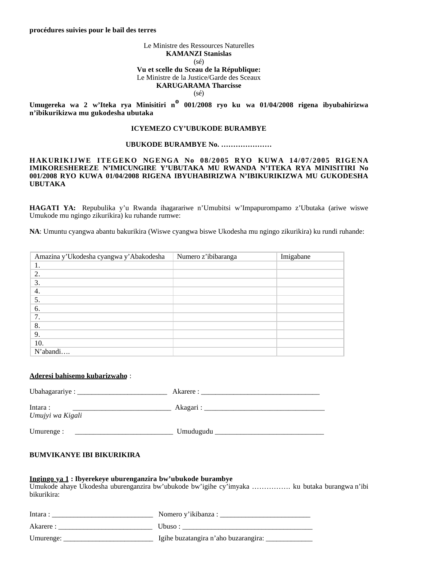#### Le Ministre des Ressources Naturelles **KAMANZI Stanislas** (sé) **Vu et scelle du Sceau de la République:** Le Ministre de la Justice/Garde des Sceaux **KARUGARAMA Tharcisse** (sé)

**Umugereka wa 2 w'Iteka rya Minisitiri no 001/2008 ryo ku wa 01/04/2008 rigena ibyubahirizwa n'ibikurikizwa mu gukodesha ubutaka**

### **ICYEMEZO CY'UBUKODE BURAMBYE**

#### **UBUKODE BURAMBYE No. …………………**

**HAKURIKIJWE ITEGEKO NGENGA No 08/2005 RYO KUWA 14/07/2005 RIGENA IMIKORESHEREZE N'IMICUNGIRE Y'UBUTAKA MU RWANDA N'ITEKA RYA MINISITIRI No 001/2008 RYO KUWA 01/04/2008 RIGENA IBYUHABIRIZWA N'IBIKURIKIZWA MU GUKODESHA UBUTAKA**

**HAGATI YA:** Repubulika y'u Rwanda ihagarariwe n'Umubitsi w'Impapurompamo z'Ubutaka (ariwe wiswe Umukode mu ngingo zikurikira) ku ruhande rumwe:

**NA**: Umuntu cyangwa abantu bakurikira (Wiswe cyangwa biswe Ukodesha mu ngingo zikurikira) ku rundi ruhande:

| Amazina y'Ukodesha cyangwa y'Abakodesha | Numero z'ibibaranga | Imigabane |
|-----------------------------------------|---------------------|-----------|
|                                         |                     |           |
| 2.                                      |                     |           |
| 3.                                      |                     |           |
| 4.                                      |                     |           |
| 5.                                      |                     |           |
| 6.                                      |                     |           |
| 7.                                      |                     |           |
| 8.                                      |                     |           |
| 9.                                      |                     |           |
| 10.                                     |                     |           |
| N'abandi                                |                     |           |

#### **Aderesi bahisemo kubarizwaho** :

| Ubahagarariye : _________   | Akarere :   |  |
|-----------------------------|-------------|--|
| Intara:<br>Umujyi wa Kigali | Akagari : _ |  |
|                             |             |  |

Umurenge : \_\_\_\_\_\_\_\_\_\_\_\_\_\_\_\_\_\_\_\_\_\_\_\_\_\_\_ Umudugudu \_\_\_\_\_\_\_\_\_\_\_\_\_\_\_\_\_\_\_\_\_\_\_\_\_\_\_\_\_\_

## **BUMVIKANYE IBI BIKURIKIRA**

#### **Ingingo ya 1 : Ibyerekeye uburenganzira bw'ubukode burambye**

Umukode ahaye Ukodesha uburenganzira bw'ubukode bw'igihe cy'imyaka ……………. ku butaka burangwa n'ibi bikurikira:

| Intara:   | Nomero y'ikibanza :                  |
|-----------|--------------------------------------|
| Akarere : | Ubuso:                               |
| Umurenge: | Igihe buzatangira n'aho buzarangira: |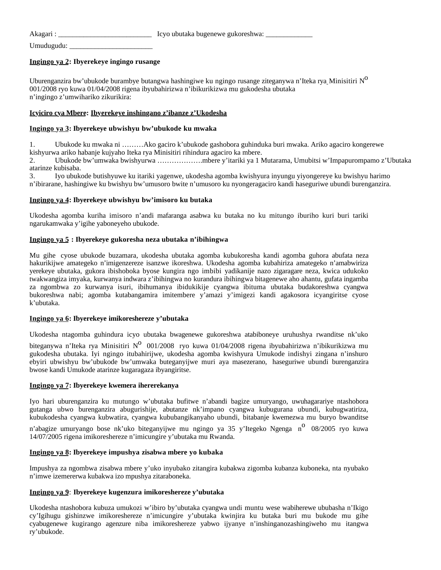| Akagari:   | Icyo ubutaka bugenewe gukoreshwa: |
|------------|-----------------------------------|
| Umudugudu: |                                   |

### **Ingingo ya 2: Ibyerekeye ingingo rusange**

Uburenganzira bw'ubukode burambye butangwa hashingiwe ku ngingo rusange ziteganywa n'Iteka rya\_Minisitiri N<sup>O</sup> 001/2008 ryo kuwa 01/04/2008 rigena ibyubahirizwa n'ibikurikizwa mu gukodesha ubutaka n'ingingo z'umwihariko zikurikira:

### **Icyiciro cya Mbere: Ibyerekeye inshingano z'ibanze z'Ukodesha**

### **Ingingo ya 3: Ibyerekeye ubwishyu bw'ubukode ku mwaka**

1. Ubukode ku mwaka ni ………Ako gaciro k'ubukode gashobora guhinduka buri mwaka. Ariko agaciro kongerewe kishyurwa ariko habanje kujyaho Iteka rya Minisitiri rihindura agaciro ka mbere.

2. Ubukode bw'umwaka bwishyurwa ……………….mbere y'itariki ya 1 Mutarama, Umubitsi w'Impapurompamo z'Ubutaka atarinze kubisaba.

3. Iyo ubukode butishyuwe ku itariki yagenwe, ukodesha agomba kwishyura inyungu yiyongereye ku bwishyu harimo n'ibirarane, hashingiwe ku bwishyu bw'umusoro bwite n'umusoro ku nyongeragaciro kandi haseguriwe ubundi burenganzira.

### **Ingingo ya 4: Ibyerekeye ubwishyu bw'imisoro ku butaka**

Ukodesha agomba kuriha imisoro n'andi mafaranga asabwa ku butaka no ku mitungo iburiho kuri buri tariki ngarukamwaka y'igihe yaboneyeho ubukode.

### **Ingingo ya 5 : Ibyerekeye gukoresha neza ubutaka n'ibihingwa**

Mu gihe cyose ubukode buzamara, ukodesha ubutaka agomba kubukoresha kandi agomba guhora abufata neza hakurikijwe amategeko n'imigenzereze isanzwe ikoreshwa. Ukodesha agomba kubahiriza amategeko n'amabwiriza yerekeye ubutaka, gukora ibishoboka byose kungira ngo imbibi yadikanije nazo zigaragare neza, kwica udukoko twakwangiza imyaka, kurwanya indwara z'ibihingwa no kurandura ibihingwa bitagenewe aho ahantu, gufata ingamba za ngombwa zo kurwanya isuri, ibihumanya ibidukikije cyangwa ibituma ubutaka budakoreshwa cyangwa bukoreshwa nabi; agomba kutabangamira imitembere y'amazi y'imigezi kandi agakosora icyangiritse cyose k'ubutaka.

#### **Ingingo ya 6: Ibyerekeye imikoreshereze y'ubutaka**

Ukodesha ntagomba guhindura icyo ubutaka bwagenewe gukoreshwa atabiboneye uruhushya rwanditse nk'uko

biteganywa n'Iteka rya Minisitiri N<sup>o</sup> 001/2008 ryo kuwa 01/04/2008 rigena ibyubahirizwa n'ibikurikizwa mu gukodesha ubutaka. Iyi ngingo itubahirijwe, ukodesha agomba kwishyura Umukode indishyi zingana n'inshuro ebyiri ubwishyu bw'ubukode bw'umwaka buteganyijwe muri aya masezerano, haseguriwe ubundi burenganzira bwose kandi Umukode atarinze kugaragaza ibyangiritse.

#### **Ingingo ya 7: Ibyerekeye kwemera ihererekanya**

Iyo hari uburenganzira ku mutungo w'ubutaka bufitwe n'abandi bagize umuryango, uwuhagarariye ntashobora gutanga ubwo burenganzira abugurishije, abutanze nk'impano cyangwa kubugurana ubundi, kubugwatiriza, kubukodesha cyangwa kubwatira, cyangwa kububangikanyaho ubundi, bitabanje kwemezwa mu buryo bwanditse

n'abagize umuryango bose nk'uko biteganyijwe mu ngingo ya 35 y'Itegeko Ngenga n<sup>o</sup> 08/2005 ryo kuwa 14/07/2005 rigena imikoreshereze n'imicungire y'ubutaka mu Rwanda.

#### **Ingingo ya 8: Ibyerekeye impushya zisabwa mbere yo kubaka**

Impushya za ngombwa zisabwa mbere y'uko inyubako zitangira kubakwa zigomba kubanza kuboneka, nta nyubako n'imwe izemererwa kubakwa izo mpushya zitaraboneka.

#### **Ingingo ya 9**: **Ibyerekeye kugenzura imikoreshereze y'ubutaka**

Ukodesha ntashobora kubuza umukozi w'ibiro by'ubutaka cyangwa undi muntu wese wabiherewe ububasha n'Ikigo cy'Igihugu gishinzwe imikoreshereze n'imicungire y'ubutaka kwinjira ku butaka buri mu bukode mu gihe cyabugenewe kugirango agenzure niba imikoreshereze yabwo ijyanye n'inshinganozashingiweho mu itangwa ry'ubukode.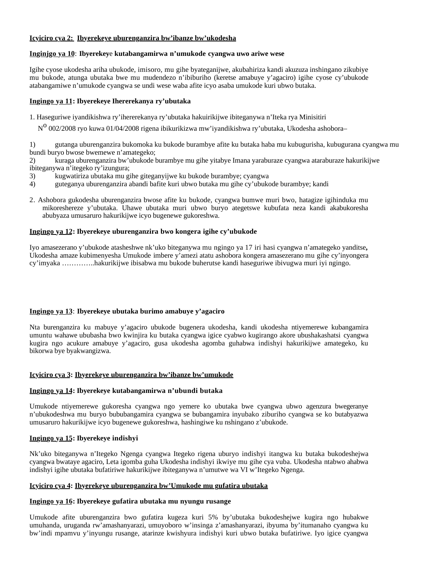# **Icyiciro cya 2: Ibyerekeye uburenganzira bw'ibanze bw'ukodesha**

# **Inginjgo ya 10**: **Ibyerekey**e **kutabangamirwa n'umukode cyangwa uwo ariwe wese**

Igihe cyose ukodesha ariha ubukode, imisoro, mu gihe byateganijwe, akubahiriza kandi akuzuza inshingano zikubiye mu bukode, atunga ubutaka bwe mu mudendezo n'ibiburiho (keretse amabuye y'agaciro) igihe cyose cy'ubukode atabangamiwe n'umukode cyangwa se undi wese waba afite icyo asaba umukode kuri ubwo butaka.

# **Ingingo ya 11: Ibyerekeye Ihererekanya ry'ubutaka**

1. Haseguriwe iyandikishwa ry'ihererekanya ry'ubutaka hakuirikijwe ibiteganywa n'Iteka rya Minisitiri

N<sup>o</sup> 002/2008 ryo kuwa 01/04/2008 rigena ibikurikizwa mw'iyandikishwa ry'ubutaka, Ukodesha ashobora-

1) gutanga uburenganzira bukomoka ku bukode burambye afite ku butaka haba mu kubugurisha, kubugurana cyangwa mu bundi buryo bwose bwemewe n'amategeko;

2) kuraga uburenganzira bw'ubukode burambye mu gihe yitabye Imana yaraburaze cyangwa ataraburaze hakurikijwe ibiteganywa n'itegeko ry'izungura;

- 3) kugwatiriza ubutaka mu gihe giteganyijwe ku bukode burambye; cyangwa
- 4) guteganya uburenganzira abandi bafite kuri ubwo butaka mu gihe cy'ubukode burambye; kandi
- 2. Ashobora gukodesha uburenganzira bwose afite ku bukode, cyangwa bumwe muri bwo, hatagize igihinduka mu mikoreshereze y'ubutaka. Uhawe ubutaka muri ubwo buryo ategetswe kubufata neza kandi akabukoresha abubyaza umusaruro hakurikijwe icyo bugenewe gukoreshwa.

# **Ingingo ya 12: Ibyerekeye uburenganzira bwo kongera igihe cy'ubukode**

Iyo amasezerano y'ubukode atasheshwe nk'uko biteganywa mu ngingo ya 17 iri hasi cyangwa n'amategeko yanditse**,**  Ukodesha amaze kubimenyesha Umukode imbere y'amezi atatu ashobora kongera amasezerano mu gihe cy'inyongera cy'imyaka …………..hakurikijwe ibisabwa mu bukode buherutse kandi haseguriwe ibivugwa muri iyi ngingo.

# **Ingingo ya 13**: **Ibyerekeye ubutaka burimo amabuye y'agaciro**

Nta burenganzira ku mabuye y'agaciro ubukode bugenera ukodesha, kandi ukodesha ntiyemerewe kubangamira umuntu wahawe ububasha bwo kwinjira ku butaka cyangwa igice cyabwo kugirango akore ubushakashatsi cyangwa kugira ngo acukure amabuye y'agaciro, gusa ukodesha agomba guhabwa indishyi hakurikijwe amategeko, ku bikorwa bye byakwangizwa.

# **Icyiciro cya 3: Ibyerekeye uburenganzira bw'ibanze bw'umukode**

# **Ingingo ya 14: Ibyerekeye kutabangamirwa n'ubundi butaka**

Umukode ntiyemerewe gukoresha cyangwa ngo yemere ko ubutaka bwe cyangwa ubwo agenzura bwegeranye n'ubukodeshwa mu buryo bububangamira cyangwa se bubangamira inyubako ziburiho cyangwa se ko butabyazwa umusaruro hakurikijwe icyo bugenewe gukoreshwa, hashingiwe ku nshingano z'ubukode.

# **Ingingo ya 15: Ibyerekeye indishyi**

Nk'uko biteganywa n'Itegeko Ngenga cyangwa Itegeko rigena uburyo indishyi itangwa ku butaka bukodeshejwa cyangwa bwataye agaciro, Leta igomba guha Ukodesha indishyi ikwiye mu gihe cya vuba. Ukodesha ntabwo ahabwa indishyi igihe ubutaka bufatiriwe hakurikijwe ibiteganywa n'umutwe wa VI w'Itegeko Ngenga.

# **Icyiciro cya 4: Ibyerekeye uburenganzira bw'Umukode mu gufatira ubutaka**

# **Ingingo ya 16: Ibyerekeye gufatira ubutaka mu nyungu rusange**

Umukode afite uburenganzira bwo gufatira kugeza kuri 5% by'ubutaka bukodeshejwe kugira ngo hubakwe umuhanda, uruganda rw'amashanyarazi, umuyoboro w'insinga z'amashanyarazi, ibyuma by'itumanaho cyangwa ku bw'indi mpamvu y'inyungu rusange, atarinze kwishyura indishyi kuri ubwo butaka bufatiriwe. Iyo igice cyangwa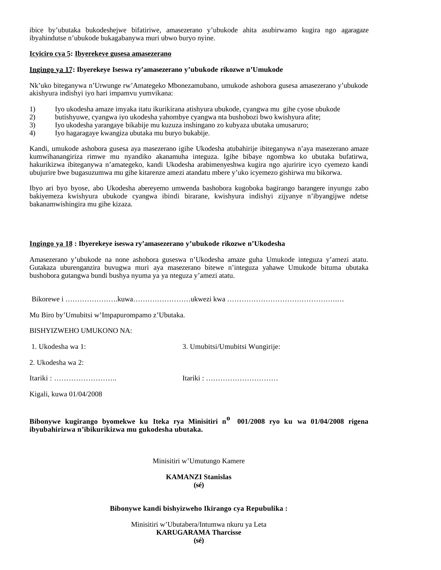ibice by'ubutaka bukodeshejwe bifatiriwe, amasezerano y'ubukode ahita asubirwamo kugira ngo agaragaze ibyahindutse n'ubukode bukagabanywa muri ubwo buryo nyine.

## **Icyiciro cya 5: Ibyerekeye gusesa amasezerano**

#### **Ingingo ya 17: Ibyerekeye Iseswa ry'amasezerano y'ubukode rikozwe n'Umukode**

Nk'uko biteganywa n'Urwunge rw'Amategeko Mbonezamubano, umukode ashobora gusesa amasezerano y'ubukode akishyura indishyi iyo hari impamvu yumvikana:

- 1) Iyo ukodesha amaze imyaka itatu ikurikirana atishyura ubukode, cyangwa mu gihe cyose ubukode
- 2) butishyuwe, cyangwa iyo ukodesha yahombye cyangwa nta bushobozi bwo kwishyura afite;
- 3) Iyo ukodesha yarangaye bikabije mu kuzuza inshingano zo kubyaza ubutaka umusaruro;
- 4) Iyo hagaragaye kwangiza ubutaka mu buryo bukabije.

Kandi, umukode ashobora gusesa aya masezerano igihe Ukodesha atubahirije ibiteganywa n'aya masezerano amaze kumwihanangiriza rimwe mu nyandiko akanamuha integuza. Igihe bibaye ngombwa ko ubutaka bufatirwa, hakurikizwa ibiteganywa n'amategeko, kandi Ukodesha arabimenyeshwa kugira ngo ajuririre icyo cyemezo kandi ubujurire bwe bugasuzumwa mu gihe kitarenze amezi atandatu mbere y'uko icyemezo gishirwa mu bikorwa.

Ibyo ari byo byose, abo Ukodesha abereyemo umwenda bashobora kugoboka bagirango barangere inyungu zabo bakiyemeza kwishyura ubukode cyangwa ibindi birarane, kwishyura indishyi zijyanye n'ibyangijwe ndetse bakanamwishingira mu gihe kizaza.

## **Ingingo ya 18 : Ibyerekeye iseswa ry'amasezerano y'ubukode rikozwe n'Ukodesha**

Amasezerano y'ubukode na none ashobora guseswa n'Ukodesha amaze guha Umukode integuza y'amezi atatu. Gutakaza uburenganzira buvugwa muri aya masezerano bitewe n'integuza yahawe Umukode bituma ubutaka bushobora gutangwa bundi bushya nyuma ya ya nteguza y'amezi atatu.

Bikorewe i ………………….kuwa……………………ukwezi kwa ……………………………………….…

Mu Biro by'Umubitsi w'Impapurompamo z'Ubutaka.

# BISHYIZWEHO UMUKONO NA:

1. Ukodesha wa 1: 3. Umubitsi/Umubitsi Wungirije:

2. Ukodesha wa 2:

Itariki : …………………….. Itariki : …………………………

Kigali, kuwa 01/04/2008

**Bibonywe kugirango byomekwe ku Iteka rya Minisitiri no 001/2008 ryo ku wa 01/04/2008 rigena ibyubahirizwa n'ibikurikizwa mu gukodesha ubutaka.**

Minisitiri w'Umutungo Kamere

**KAMANZI Stanislas (sé)**

#### **Bibonywe kandi bishyizweho Ikirango cya Repubulika :**

Minisitiri w'Ubutabera/Intumwa nkuru ya Leta **KARUGARAMA Tharcisse (sé)**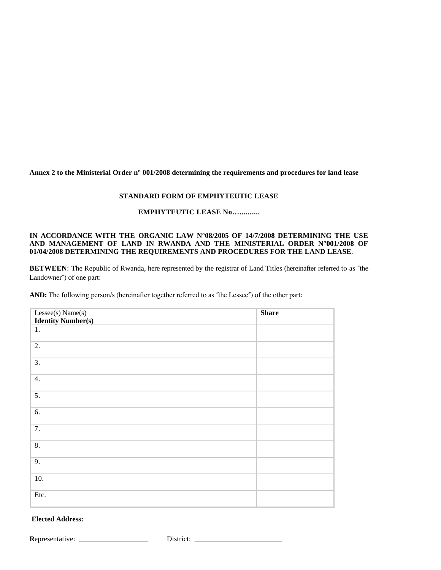**Annex 2 to the Ministerial Order n° 001/2008 determining the requirements and procedures for land lease**

## **STANDARD FORM OF EMPHYTEUTIC LEASE**

# **EMPHYTEUTIC LEASE No…..........**

## **IN ACCORDANCE WITH THE ORGANIC LAW N°08/2005 OF 14/7/2008 DETERMINING THE USE AND MANAGEMENT OF LAND IN RWANDA AND THE MINISTERIAL ORDER N°001/2008 OF 01/04/2008 DETERMINING THE REQUIREMENTS AND PROCEDURES FOR THE LAND LEASE**.

**BETWEEN**: The Republic of Rwanda, here represented by the registrar of Land Titles (hereinafter referred to as ˝the Landowner˝) of one part:

**AND:** The following person/s (hereinafter together referred to as ˝the Lessee˝) of the other part:

| Lessee(s) Name(s)         | <b>Share</b> |
|---------------------------|--------------|
| <b>Identity Number(s)</b> |              |
| 1.                        |              |
| 2.                        |              |
| 3.                        |              |
| 4.                        |              |
| 5.                        |              |
| 6.                        |              |
| 7.                        |              |
| 8.                        |              |
| 9.                        |              |
| 10.                       |              |
| Etc.                      |              |

# **Elected Address:**

**R**epresentative: \_\_\_\_\_\_\_\_\_\_\_\_\_\_\_\_\_\_\_ District: \_\_\_\_\_\_\_\_\_\_\_\_\_\_\_\_\_\_\_\_\_\_\_\_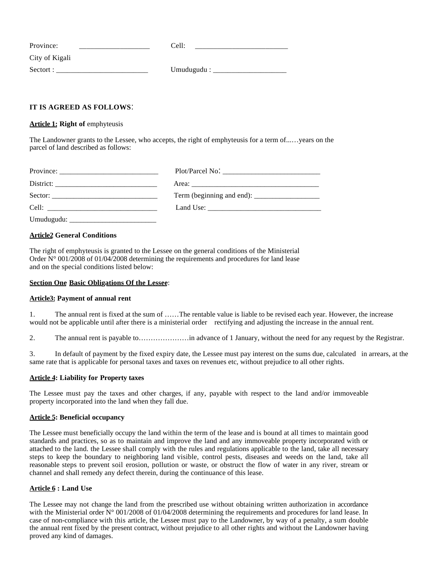| Province:      | Cell:      |  |
|----------------|------------|--|
| City of Kigali |            |  |
| Sectort:       | Umudugudu: |  |

# **IT IS AGREED AS FOLLOWS**-

Article 1: Right of emphyteusis

The Landowner grants to the Lessee, who accepts, the right of emphyteusis for a term of...…years on the parcel of land described as follows:

| $Province: ____________$ |                         |
|--------------------------|-------------------------|
| $Distribt: \_$           |                         |
|                          |                         |
|                          | Land Use: $\frac{1}{2}$ |
| Umudugudu:               |                         |

## **Article2 General Conditions**

The right of emphyteusis is granted to the Lessee on the general conditions of the Ministerial Order  $N^{\circ}$  001/2008 of 01/04/2008 determining the requirements and procedures for land lease and on the special conditions listed below:

#### **Section One Basic Obligations Of the Lessee**:

#### **Article3: Payment of annual rent**

1. The annual rent is fixed at the sum of ……The rentable value is liable to be revised each year. However, the increase would not be applicable until after there is a ministerial order rectifying and adjusting the increase in the annual rent.

2. The annual rent is payable to…………………in advance of 1 January, without the need for any request by the Registrar.

3. In default of payment by the fixed expiry date, the Lessee must pay interest on the sums due, calculated in arrears, at the same rate that is applicable for personal taxes and taxes on revenues etc, without prejudice to all other rights.

#### **Article 4: Liability for Property taxes**

The Lessee must pay the taxes and other charges, if any, payable with respect to the land and/or immoveable property incorporated into the land when they fall due.

#### **Article 5: Beneficial occupancy**

The Lessee must beneficially occupy the land within the term of the lease and is bound at all times to maintain good standards and practices, so as to maintain and improve the land and any immoveable property incorporated with or attached to the land. the Lessee shall comply with the rules and regulations applicable to the land, take all necessary steps to keep the boundary to neighboring land visible, control pests, diseases and weeds on the land, take all reasonable steps to prevent soil erosion, pollution or waste, or obstruct the flow of water in any river, stream or channel and shall remedy any defect therein, during the continuance of this lease.

#### **Article 6 : Land Use**

The Lessee may not change the land from the prescribed use without obtaining written authorization in accordance with the Ministerial order N° 001/2008 of 01/04/2008 determining the requirements and procedures for land lease. In case of non-compliance with this article, the Lessee must pay to the Landowner, by way of a penalty, a sum double the annual rent fixed by the present contract, without prejudice to all other rights and without the Landowner having proved any kind of damages.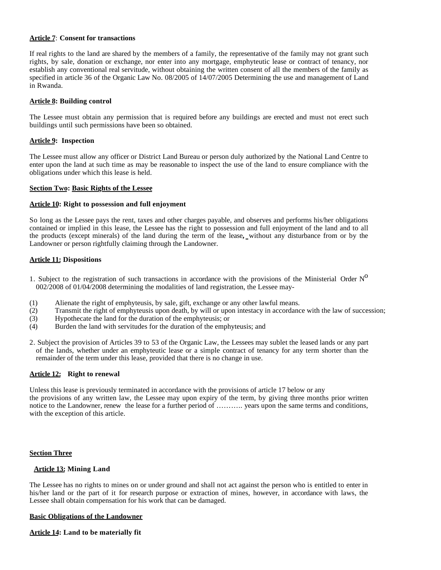#### **Article 7**: **Consent for transactions**

If real rights to the land are shared by the members of a family, the representative of the family may not grant such rights, by sale, donation or exchange, nor enter into any mortgage, emphyteutic lease or contract of tenancy, nor establish any conventional real servitude, without obtaining the written consent of all the members of the family as specified in article 36 of the Organic Law No. 08/2005 of 14/07/2005 Determining the use and management of Land in Rwanda.

## **Article 8: Building control**

The Lessee must obtain any permission that is required before any buildings are erected and must not erect such buildings until such permissions have been so obtained.

## **Article 9: Inspection**

The Lessee must allow any officer or District Land Bureau or person duly authorized by the National Land Centre to enter upon the land at such time as may be reasonable to inspect the use of the land to ensure compliance with the obligations under which this lease is held.

## **Section Two: Basic Rights of the Lessee**

## **Article 10: Right to possession and full enjoyment**

So long as the Lessee pays the rent, taxes and other charges payable, and observes and performs his/her obligations contained or implied in this lease, the Lessee has the right to possession and full enjoyment of the land and to all the products (except minerals) of the land during the term of the lease**,** without any disturbance from or by the Landowner or person rightfully claiming through the Landowner.

## **Article 11: Dispositions**

- 1. Subject to the registration of such transactions in accordance with the provisions of the Ministerial Order  $N^0$ 002/2008 of 01/04/2008 determining the modalities of land registration, the Lessee may-
- (1) Alienate the right of emphyteusis, by sale, gift, exchange or any other lawful means.
- (2) Transmit the right of emphyteusis upon death, by will or upon intestacy in accordance with the law of succession;
- (3) Hypothecate the land for the duration of the emphyteusis; or
- (4) Burden the land with servitudes for the duration of the emphyteusis; and
- 2. Subject the provision of Articles 39 to 53 of the Organic Law, the Lessees may sublet the leased lands or any part of the lands, whether under an emphyteutic lease or a simple contract of tenancy for any term shorter than the remainder of the term under this lease, provided that there is no change in use.

# **Article 12: Right to renewal**

Unless this lease is previously terminated in accordance with the provisions of article 17 below or any the provisions of any written law, the Lessee may upon expiry of the term, by giving three months prior written notice to the Landowner, renew the lease for a further period of ……….. years upon the same terms and conditions, with the exception of this article.

#### **Section Three**

## **Article 13: Mining Land**

The Lessee has no rights to mines on or under ground and shall not act against the person who is entitled to enter in his/her land or the part of it for research purpose or extraction of mines, however, in accordance with laws, the Lessee shall obtain compensation for his work that can be damaged.

#### **Basic Obligations of the Landowner**

**Article 14: Land to be materially fit**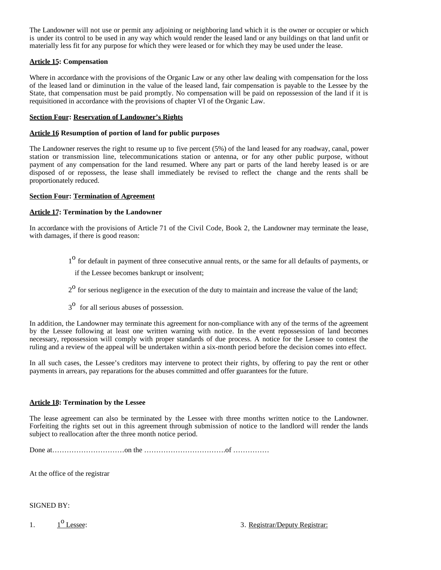The Landowner will not use or permit any adjoining or neighboring land which it is the owner or occupier or which is under its control to be used in any way which would render the leased land or any buildings on that land unfit or materially less fit for any purpose for which they were leased or for which they may be used under the lease.

# **Article 15: Compensation**

Where in accordance with the provisions of the Organic Law or any other law dealing with compensation for the loss of the leased land or diminution in the value of the leased land, fair compensation is payable to the Lessee by the State, that compensation must be paid promptly. No compensation will be paid on repossession of the land if it is requisitioned in accordance with the provisions of chapter VI of the Organic Law.

# **Section Four: Reservation of Landowner's Rights**

# **Article 16 Resumption of portion of land for public purposes**

The Landowner reserves the right to resume up to five percent (5%) of the land leased for any roadway, canal, power station or transmission line, telecommunications station or antenna, or for any other public purpose, without payment of any compensation for the land resumed. Where any part or parts of the land hereby leased is or are disposed of or repossess, the lease shall immediately be revised to reflect the change and the rents shall be proportionately reduced.

# **Section Four: Termination of Agreement**

# **Article 17: Termination by the Landowner**

In accordance with the provisions of Article 71 of the Civil Code, Book 2, the Landowner may terminate the lease, with damages, if there is good reason:

<sup>1</sup> for default in payment of three consecutive annual rents, or the same for all defaults of payments, or

if the Lessee becomes bankrupt or insolvent;

- $2<sup>0</sup>$  for serious negligence in the execution of the duty to maintain and increase the value of the land;
- 3<sup>o</sup> for all serious abuses of possession.

In addition, the Landowner may terminate this agreement for non-compliance with any of the terms of the agreement by the Lessee following at least one written warning with notice. In the event repossession of land becomes necessary, repossession will comply with proper standards of due process. A notice for the Lessee to contest the ruling and a review of the appeal will be undertaken within a six-month period before the decision comes into effect.

In all such cases, the Lessee's creditors may intervene to protect their rights, by offering to pay the rent or other payments in arrears, pay reparations for the abuses committed and offer guarantees for the future.

# **Article 18: Termination by the Lessee**

The lease agreement can also be terminated by the Lessee with three months written notice to the Landowner. Forfeiting the rights set out in this agreement through submission of notice to the landlord will render the lands subject to reallocation after the three month notice period.

Done at…………………………on the …………………………….of ……………

At the office of the registrar

# SIGNED BY:

1. 1  $1^{\rm o}$  Lessee:

3. Registrar/Deputy Registrar: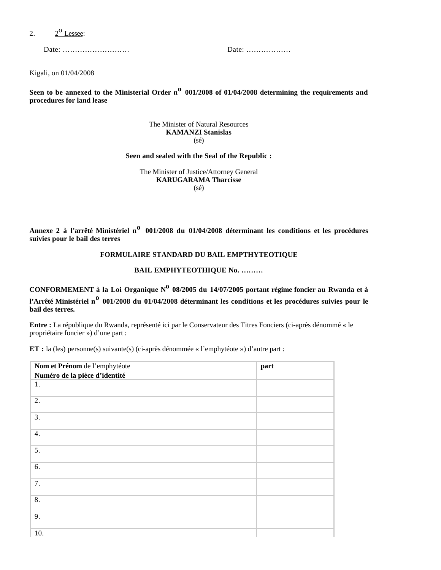#### $2.$  $2^{\rm o}$  Lessee:

Date: ……………………… Date: ………………

Kigali, on 01/04/2008

**Seen to be annexed to the Ministerial Order no 001/2008 of 01/04/2008 determining the requirements and procedures for land lease**

#### The Minister of Natural Resources **KAMANZI Stanislas** (sé)

#### **Seen and sealed with the Seal of the Republic :**

The Minister of Justice/Attorney General **KARUGARAMA Tharcisse** (sé)

**Annexe 2 à l'arrêté Ministériel no 001/2008 du 01/04/2008 déterminant les conditions et les procédures suivies pour le bail des terres**

#### **FORMULAIRE STANDARD DU BAIL EMPTHYTEOTIQUE**

# **BAIL EMPHYTEOTHIQUE No. ………**

CONFORMEMENT à la Loi Organique N<sup>o</sup> 08/2005 du 14/07/2005 portant régime foncier au Rwanda et à **l'Arrêté Ministériel no 001/2008 du 01/04/2008 déterminant les conditions et les procédures suivies pour le bail des terres.**

**Entre :** La république du Rwanda, représenté ici par le Conservateur des Titres Fonciers (ci-après dénommé « le propriétaire foncier ») d'une part :

**ET :** la (les) personne(s) suivante(s) (ci-après dénommée « l'emphytéote ») d'autre part :

| Nom et Prénom de l'emphytéote | part |
|-------------------------------|------|
| Numéro de la pièce d'identité |      |
| 1.                            |      |
| 2.                            |      |
| 3.                            |      |
| 4.                            |      |
| 5.                            |      |
| 6.                            |      |
| 7.                            |      |
| 8.                            |      |
| 9.                            |      |
| 10.                           |      |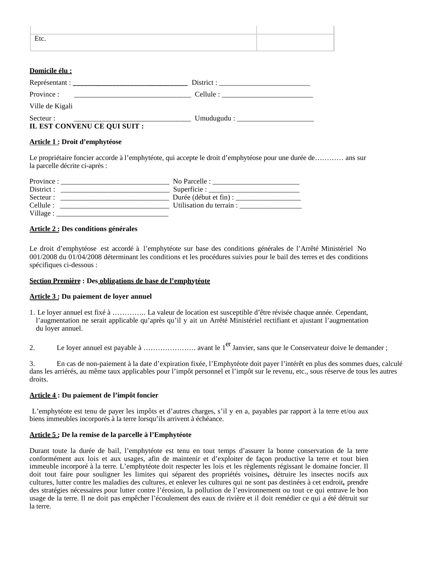| Etc. |  |
|------|--|
|      |  |

# **Domicile élu :**

| Repreesentant:                            |                           |  |
|-------------------------------------------|---------------------------|--|
| Province:                                 |                           |  |
| Ville de Kigali                           |                           |  |
| Secteur :<br>IL EST CONVENU CE QUI SUIT : | Umudugudu : $\frac{1}{2}$ |  |

# **Article 1 : Droit d'emphytéose**

Le propriétaire foncier accorde à l'emphytéote, qui accepte le droit d'emphytéose pour une durée de………… ans sur la parcelle décrite ci-après :

| Province : | No Parcelle :            |
|------------|--------------------------|
| District : | Superficie : $\_\_$      |
| Secteur :  | Durée (début et fin) :   |
| Cellule :  | Utilisation du terrain : |
| Village :  |                          |

## **Article 2 : Des conditions générales**

Le droit d'emphytéose est accordé à l'emphytéote sur base des conditions générales de l'Arrêté Ministériel No 001/2008 du 01/04/2008 déterminant les conditions et les procédures suivies pour le bail des terres et des conditions spécifiques ci-dessous :

## **Section Première : Des obligations de base de l'emphytéote**

# **Article 3 : Du paiement de loyer annuel**

- 1. Le loyer annuel est fixé à ………….. La valeur de location est susceptible d'être révisée chaque année. Cependant, l'augmentation ne serait applicable qu'après qu'il y ait un Arrêté Ministériel rectifiant et ajustant l'augmentation du loyer annuel.
- 2. Le loyer annuel est payable à ……………………… avant le 1<sup>er</sup> Janvier, sans que le Conservateur doive le demander ;

3. En cas de non-paiement à la date d'expiration fixée, l'Emphytéote doit payer l'intérêt en plus des sommes dues, calculé dans les arriérés, au même taux applicables pour l'impôt personnel et l'impôt sur le revenu, etc., sous réserve de tous les autres droits.

# **Article 4 : Du paiement de l'impôt foncier**

 L'emphytéote est tenu de payer les impôts et d'autres charges, s'il y en a, payables par rapport à la terre et/ou aux biens immeubles incorporés à la terre lorsqu'ils arrivent à échéance.

# **Article 5 : De la remise de la parcelle à l'Emphytéote**

Durant toute la durée de bail, l'emphytéote est tenu en tout temps d'assurer la bonne conservation de la terre conformément aux lois et aux usages, afin de maintenir et d'exploiter de façon productive la terre et tout bien immeuble incorporé à la terre. L'emphytéote doit respecter les lois et les règlements régissant le domaine foncier. Il doit tout faire pour souligner les limites qui séparent des propriétés voisines**,** détruire les insectes nocifs aux cultures, lutter contre les maladies des cultures, et enlever les cultures qui ne sont pas destinées à cet endroit**,** prendre des stratégies nécessaires pour lutter contre l'érosion, la pollution de l'environnement ou tout ce qui entrave le bon usage de la terre. Il ne doit pas empêcher l'écoulement des eaux de rivière et il doit remédier ce qui a été détruit sur la terre.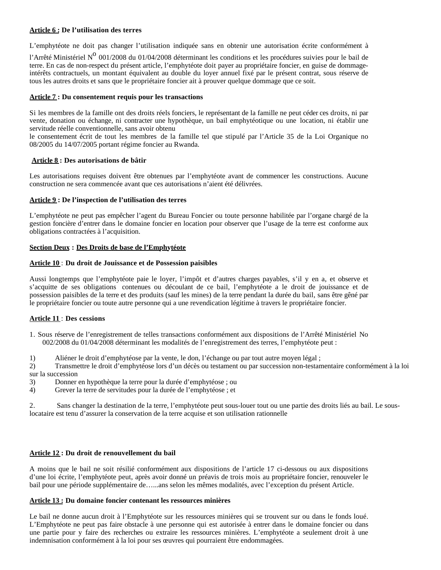# **Article 6 : De l'utilisation des terres**

L'emphytéote ne doit pas changer l'utilisation indiquée sans en obtenir une autorisation écrite conformément à

l'Arrêté Ministériel Nº 001/2008 du 01/04/2008 déterminant les conditions et les procédures suivies pour le bail de terre. En cas de non-respect du présent article, l'emphytéote doit payer au propriétaire foncier, en guise de dommageintérêts contractuels, un montant équivalent au double du loyer annuel fixé par le présent contrat, sous réserve de tous les autres droits et sans que le propriétaire foncier ait à prouver quelque dommage que ce soit.

# **Article 7 : Du consentement requis pour les transactions**

Si les membres de la famille ont des droits réels fonciers, le représentant de la famille ne peut céder ces droits, ni par vente, donation ou échange, ni contracter une hypothèque, un bail emphytéotique ou une location, ni établir une servitude réelle conventionnelle, sans avoir obtenu

le consentement écrit de tout les membres de la famille tel que stipulé par l'Article 35 de la Loi Organique no 08/2005 du 14/07/2005 portant régime foncier au Rwanda.

# **Article 8 : Des autorisations de bâtir**

Les autorisations requises doivent être obtenues par l'emphytéote avant de commencer les constructions. Aucune construction ne sera commencée avant que ces autorisations n'aient été délivrées.

# **Article 9 : De l'inspection de l'utilisation des terres**

L'emphytéote ne peut pas empêcher l'agent du Bureau Foncier ou toute personne habilitée par l'organe chargé de la gestion foncière d'entrer dans le domaine foncier en location pour observer que l'usage de la terre est conforme aux obligations contractées à l'acquisition.

# **Section Deux : Des Droits de base de l'Emphytéote**

# **Article 10** : **Du droit de Jouissance et de Possession paisibles**

Aussi longtemps que l'emphytéote paie le loyer, l'impôt et d'autres charges payables, s'il y en a, et observe et s'acquitte de ses obligations contenues ou découlant de ce bail, l'emphytéote a le droit de jouissance et de possession paisibles de la terre et des produits (sauf les mines) de la terre pendant la durée du bail, sans être gêné par le propriétaire foncier ou toute autre personne qui a une revendication légitime à travers le propriétaire foncier.

# **Article 11** : **Des cessions**

- 1. Sous réserve de l'enregistrement de telles transactions conformément aux dispositions de l'Arrêté Ministériel No 002/2008 du 01/04/2008 déterminant les modalités de l'enregistrement des terres, l'emphytéote peut :
- 1) Aliéner le droit d'emphytéose par la vente, le don, l'échange ou par tout autre moyen légal ;

2) Transmettre le droit d'emphytéose lors d'un décès ou testament ou par succession non-testamentaire conformément à la loi sur la succession

- 3) Donner en hypothèque la terre pour la durée d'emphytéose ; ou
- 4) Grever la terre de servitudes pour la durée de l'emphytéose ; et

2. Sans changer la destination de la terre, l'emphytéote peut sous-louer tout ou une partie des droits liés au bail. Le souslocataire est tenu d'assurer la conservation de la terre acquise et son utilisation rationnelle

# **Article 12 : Du droit de renouvellement du bail**

A moins que le bail ne soit résilié conformément aux dispositions de l'article 17 ci-dessous ou aux dispositions d'une loi écrite, l'emphytéote peut, après avoir donné un préavis de trois mois au propriétaire foncier, renouveler le bail pour une période supplémentaire de…...ans selon les mêmes modalités, avec l'exception du présent Article.

# **Article 13 : Du domaine foncier contenant les ressources minières**

Le bail ne donne aucun droit à l'Emphytéote sur les ressources minières qui se trouvent sur ou dans le fonds loué. L'Emphytéote ne peut pas faire obstacle à une personne qui est autorisée à entrer dans le domaine foncier ou dans une partie pour y faire des recherches ou extraire les ressources minières. L'emphytéote a seulement droit à une indemnisation conformément à la loi pour ses œuvres qui pourraient être endommagées.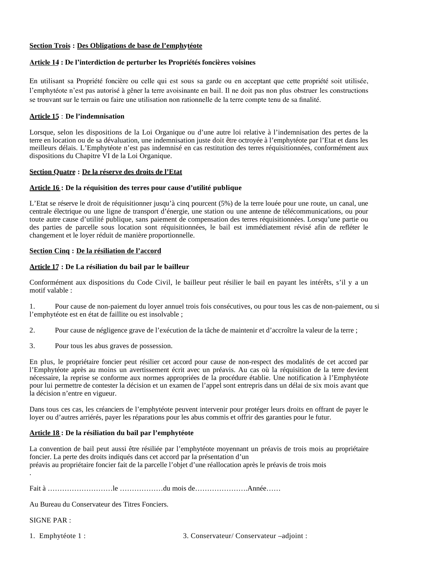# **Section Trois : Des Obligations de base de l'emphytéote**

#### **Article 14 : De l'interdiction de perturber les Propriétés foncières voisines**

En utilisant sa Propriété foncière ou celle qui est sous sa garde ou en acceptant que cette propriété soit utilisée, l'emphytéote n'est pas autorisé à gêner la terre avoisinante en bail. Il ne doit pas non plus obstruer les constructions se trouvant sur le terrain ou faire une utilisation non rationnelle de la terre compte tenu de sa finalité.

# **Article 15** : **De l'indemnisation**

Lorsque, selon les dispositions de la Loi Organique ou d'une autre loi relative à l'indemnisation des pertes de la terre en location ou de sa dévaluation, une indemnisation juste doit être octroyée à l'emphytéote par l'Etat et dans les meilleurs délais. L'Emphytéote n'est pas indemnisé en cas restitution des terres réquisitionnées, conformément aux dispositions du Chapitre VI de la Loi Organique.

## **Section Quatre : De la réserve des droits de l'Etat**

## **Article 16 : De la réquisition des terres pour cause d'utilité publique**

L'Etat se réserve le droit de réquisitionner jusqu'à cinq pourcent (5%) de la terre louée pour une route, un canal, une centrale électrique ou une ligne de transport d'énergie, une station ou une antenne de télécommunications, ou pour toute autre cause d'utilité publique, sans paiement de compensation des terres réquisitionnées. Lorsqu'une partie ou des parties de parcelle sous location sont réquisitionnées, le bail est immédiatement révisé afin de refléter le changement et le loyer réduit de manière proportionnelle.

# **Section Cinq : De la résiliation de l'accord**

## **Article 17 : De La résiliation du bail par le bailleur**

Conformément aux dispositions du Code Civil, le bailleur peut résilier le bail en payant les intérêts, s'il y a un motif valable :

1. Pour cause de non-paiement du loyer annuel trois fois consécutives, ou pour tous les cas de non-paiement, ou si l'emphytéote est en état de faillite ou est insolvable ;

- 2. Pour cause de négligence grave de l'exécution de la tâche de maintenir et d'accroître la valeur de la terre ;
- 3. Pour tous les abus graves de possession.

En plus, le propriétaire foncier peut résilier cet accord pour cause de non-respect des modalités de cet accord par l'Emphytéote après au moins un avertissement écrit avec un préavis. Au cas où la réquisition de la terre devient nécessaire, la reprise se conforme aux normes appropriées de la procédure établie. Une notification à l'Emphytéote pour lui permettre de contester la décision et un examen de l'appel sont entrepris dans un délai de six mois avant que la décision n'entre en vigueur.

Dans tous ces cas, les créanciers de l'emphytéote peuvent intervenir pour protéger leurs droits en offrant de payer le loyer ou d'autres arriérés, payer les réparations pour les abus commis et offrir des garanties pour le futur.

# **Article 18 : De la résiliation du bail par l'emphytéote**

La convention de bail peut aussi être résiliée par l'emphytéote moyennant un préavis de trois mois au propriétaire foncier. La perte des droits indiqués dans cet accord par la présentation d'un préavis au propriétaire foncier fait de la parcelle l'objet d'une réallocation après le préavis de trois mois .

Fait à ………………………le ………………du mois de………………….Année……

Au Bureau du Conservateur des Titres Fonciers.

SIGNE PAR :

1. Emphytéote 1 : 3. Conservateur/ Conservateur –adjoint :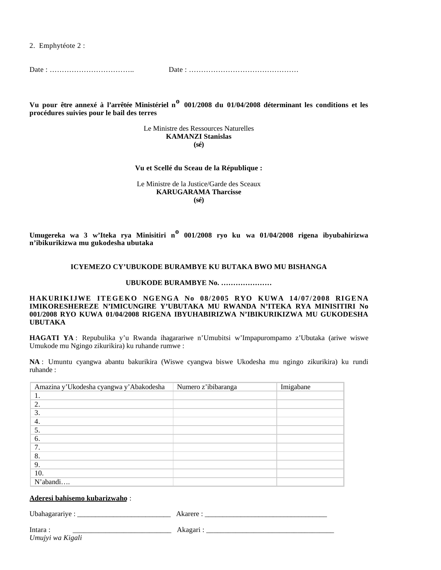2. Emphytéote 2 :

Date : …………………………….. Date : ………………………………………

**Vu pour être annexé à l'arrêtée Ministériel no 001/2008 du 01/04/2008 déterminant les conditions et les procédures suivies pour le bail des terres** 

> Le Ministre des Ressources Naturelles **KAMANZI Stanislas (sé)**

**Vu et Scellé du Sceau de la République :**

Le Ministre de la Justice/Garde des Sceaux **KARUGARAMA Tharcisse (sé)**

**Umugereka wa 3 w'Iteka rya Minisitiri no 001/2008 ryo ku wa 01/04/2008 rigena ibyubahirizwa n'ibikurikizwa mu gukodesha ubutaka**

#### **ICYEMEZO CY'UBUKODE BURAMBYE KU BUTAKA BWO MU BISHANGA**

**UBUKODE BURAMBYE No. …………………**

**HAKURIKLIWE ITEGEKO NGENGA No 08/2005 RYO KUWA 14/07/2008 RIGENA IMIKORESHEREZE N'IMICUNGIRE Y'UBUTAKA MU RWANDA N'ITEKA RYA MINISITIRI No 001/2008 RYO KUWA 01/04/2008 RIGENA IBYUHABIRIZWA N'IBIKURIKIZWA MU GUKODESHA UBUTAKA**

**HAGATI YA** : Repubulika y'u Rwanda ihagarariwe n'Umubitsi w'Impapurompamo z'Ubutaka (ariwe wiswe Umukode mu Ngingo zikurikira) ku ruhande rumwe :

**NA** : Umuntu cyangwa abantu bakurikira (Wiswe cyangwa biswe Ukodesha mu ngingo zikurikira) ku rundi ruhande :

| Amazina y'Ukodesha cyangwa y'Abakodesha | Numero z'ibibaranga | Imigabane |
|-----------------------------------------|---------------------|-----------|
| 1.                                      |                     |           |
| 2.                                      |                     |           |
| 3.                                      |                     |           |
| 4.                                      |                     |           |
| 5.                                      |                     |           |
| 6.                                      |                     |           |
| 7.                                      |                     |           |
| 8.                                      |                     |           |
| 9.                                      |                     |           |
| 10.                                     |                     |           |
| N'abandi                                |                     |           |

#### **Aderesi bahisemo kubarizwaho** :

Ubahagarariye : \_\_\_\_\_\_\_\_\_\_\_\_\_\_\_\_\_\_\_\_\_\_\_\_\_\_ Akarere : \_\_\_\_\_\_\_\_\_\_\_\_\_\_\_\_\_\_\_\_\_\_\_\_\_\_\_\_\_\_\_\_\_\_

Intara : \_\_\_\_\_\_\_\_\_\_\_\_\_\_\_\_\_\_\_\_\_\_\_\_\_\_\_ Akagari : \_\_\_\_\_\_\_\_\_\_\_\_\_\_\_\_\_\_\_\_\_\_\_\_\_\_\_\_\_\_\_\_\_\_\_ *Umujyi wa Kigali*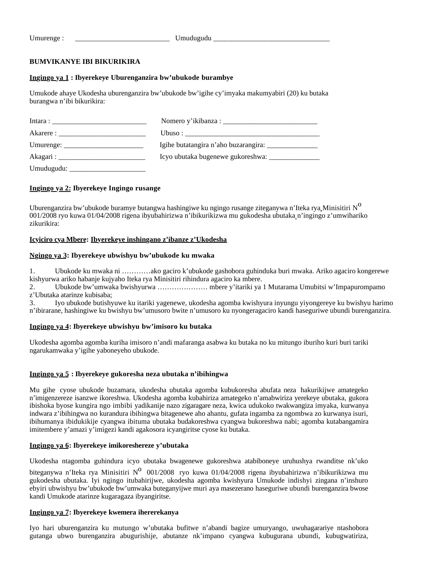Umurenge : \_\_\_\_\_\_\_\_\_\_\_\_\_\_\_\_\_\_\_\_\_\_\_\_\_\_ Umudugudu \_\_\_\_\_\_\_\_\_\_\_\_\_\_\_\_\_\_\_\_\_\_\_\_\_\_\_\_\_\_\_\_

# **BUMVIKANYE IBI BIKURIKIRA**

# **Ingingo ya 1 : Ibyerekeye Uburenganzira bw'ubukode burambye**

Umukode ahaye Ukodesha uburenganzira bw'ubukode bw'igihe cy'imyaka makumyabiri (20) ku butaka burangwa n'ibi bikurikira:

| Umurenge: $\frac{1}{\sqrt{1-\frac{1}{2}} \cdot \frac{1}{2}}$ |  |
|--------------------------------------------------------------|--|
|                                                              |  |
|                                                              |  |

# **Ingingo ya 2: Ibyerekeye Ingingo rusange**

Uburenganzira bw'ubukode buramye butangwa hashingiwe ku ngingo rusange ziteganywa n'Iteka rya Minisitiri N<sup>O</sup> 001/2008 ryo kuwa 01/04/2008 rigena ibyubahirizwa n'ibikurikizwa mu gukodesha ubutaka n'ingingo z'umwihariko zikurikira:

# **Icyiciro cya Mbere: Ibyerekeye inshingano z'ibanze z'Ukodesha**

# **Ngingo ya 3: Ibyerekeye ubwishyu bw'ubukode ku mwaka**

1. Ubukode ku mwaka ni …………ako gaciro k'ubukode gashobora guhinduka buri mwaka. Ariko agaciro kongerewe kishyurwa ariko habanje kujyaho Iteka rya Minisitiri rihindura agaciro ka mbere.

2. Ubukode bw'umwaka bwishyurwa ………………… mbere y'itariki ya 1 Mutarama Umubitsi w'Impapurompamo z'Ubutaka atarinze kubisaba;

3. Iyo ubukode butishyuwe ku itariki yagenewe, ukodesha agomba kwishyura inyungu yiyongereye ku bwishyu harimo n'ibirarane, hashingiwe ku bwishyu bw'umusoro bwite n'umusoro ku nyongeragaciro kandi haseguriwe ubundi burenganzira.

# **Ingingo ya 4: Ibyerekeye ubwishyu bw'imisoro ku butaka**

Ukodesha agomba agomba kuriha imisoro n'andi mafaranga asabwa ku butaka no ku mitungo iburiho kuri buri tariki ngarukamwaka y'igihe yaboneyeho ubukode.

# **Ingingo ya 5 : Ibyerekeye gukoresha neza ubutaka n'ibihingwa**

Mu gihe cyose ubukode buzamara, ukodesha ubutaka agomba kubukoresha abufata neza hakurikijwe amategeko n'imigenzereze isanzwe ikoreshwa. Ukodesha agomba kubahiriza amategeko n'amabwiriza yerekeye ubutaka, gukora ibishoka byose kungira ngo imbibi yadikanije nazo zigaragare neza, kwica udukoko twakwangiza imyaka, kurwanya indwara z'ibihingwa no kurandura ibihingwa bitagenewe aho ahantu, gufata ingamba za ngombwa zo kurwanya isuri, ibihumanya ibidukikije cyangwa ibituma ubutaka budakoreshwa cyangwa bukoreshwa nabi; agomba kutabangamira imitembere y'amazi y'imigezi kandi agakosora icyangiritse cyose ku butaka.

# **Ingingo ya 6: Ibyerekeye imikoreshereze y'ubutaka**

Ukodesha ntagomba guhindura icyo ubutaka bwagenewe gukoreshwa atabiboneye uruhushya rwanditse nk'uko

biteganywa n'Iteka rya Minisitiri N<sup>o</sup> 001/2008 ryo kuwa 01/04/2008 rigena ibyubahirizwa n'ibikurikizwa mu gukodesha ubutaka. Iyi ngingo itubahirijwe, ukodesha agomba kwishyura Umukode indishyi zingana n'inshuro ebyiri ubwishyu bw'ubukode bw'umwaka buteganyijwe muri aya masezerano haseguriwe ubundi burenganzira bwose kandi Umukode atarinze kugaragaza ibyangiritse.

# **Ingingo ya 7: Ibyerekeye kwemera ihererekanya**

Iyo hari uburenganzira ku mutungo w'ubutaka bufitwe n'abandi bagize umuryango, uwuhagarariye ntashobora gutanga ubwo burenganzira abugurishije, abutanze nk'impano cyangwa kubugurana ubundi, kubugwatiriza,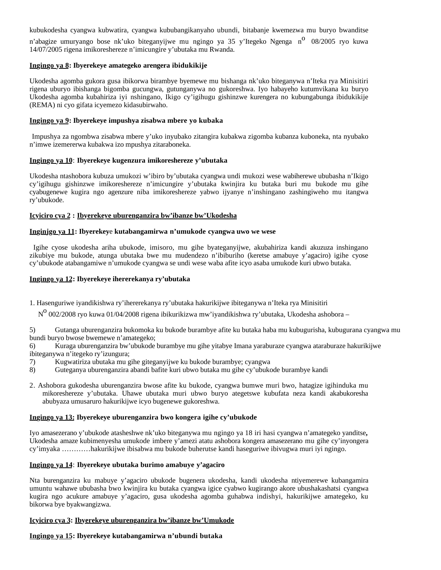kubukodesha cyangwa kubwatira, cyangwa kububangikanyaho ubundi, bitabanje kwemezwa mu buryo bwanditse

n'abagize umuryango bose nk'uko biteganyijwe mu ngingo ya 35 y'Itegeko Ngenga n<sup>o</sup> 08/2005 ryo kuwa 14/07/2005 rigena imikoreshereze n'imicungire y'ubutaka mu Rwanda.

# **Ingingo ya 8: Ibyerekeye amategeko arengera ibidukikije**

Ukodesha agomba gukora gusa ibikorwa birambye byemewe mu bishanga nk'uko biteganywa n'Iteka rya Minisitiri rigena uburyo ibishanga bigomba gucungwa, gutunganywa no gukoreshwa. Iyo habayeho kutumvikana ku buryo Ukodesha agomba kubahiriza iyi nshingano, Ikigo cy'igihugu gishinzwe kurengera no kubungabunga ibidukikije (REMA) ni cyo gifata icyemezo kidasubirwaho.

## **Ingingo ya 9: Ibyerekeye impushya zisabwa mbere yo kubaka**

Impushya za ngombwa zisabwa mbere y'uko inyubako zitangira kubakwa zigomba kubanza kuboneka, nta nyubako n'imwe izemererwa kubakwa izo mpushya zitaraboneka.

## **Ingingo ya 10**: **Ibyerekeye kugenzura imikoreshereze y'ubutaka**

Ukodesha ntashobora kubuza umukozi w'ibiro by'ubutaka cyangwa undi mukozi wese wabiherewe ububasha n'Ikigo cy'igihugu gishinzwe imikoreshereze n'imicungire y'ubutaka kwinjira ku butaka buri mu bukode mu gihe cyabugenewe kugira ngo agenzure niba imikoreshereze yabwo ijyanye n'inshingano zashingiweho mu itangwa ry'ubukode.

## **Icyiciro cya 2 : Ibyerekeye uburenganzira bw'ibanze bw'Ukodesha**

## **Inginjgo ya 11: Ibyerekey**e **kutabangamirwa n'umukode cyangwa uwo we wese**

 Igihe cyose ukodesha ariha ubukode, imisoro, mu gihe byateganyijwe, akubahiriza kandi akuzuza inshingano zikubiye mu bukode, atunga ubutaka bwe mu mudendezo n'ibiburiho (keretse amabuye y'agaciro) igihe cyose cy'ubukode atabangamiwe n'umukode cyangwa se undi wese waba afite icyo asaba umukode kuri ubwo butaka.

## **Ingingo ya 12: Ibyerekeye ihererekanya ry'ubutaka**

1. Hasenguriwe iyandikishwa ry'ihererekanya ry'ubutaka hakurikijwe ibiteganywa n'Iteka rya Minisitiri

 $N^0$  002/2008 ryo kuwa 01/04/2008 rigena ibikurikizwa mw'iyandikishwa ry'ubutaka, Ukodesha ashobora –

5) Gutanga uburenganzira bukomoka ku bukode burambye afite ku butaka haba mu kubugurisha, kubugurana cyangwa mu bundi buryo bwose bwemewe n'amategeko;

6) Kuraga uburenganzira bw'ubukode burambye mu gihe yitabye Imana yaraburaze cyangwa ataraburaze hakurikijwe ibiteganywa n'itegeko ry'izungura;

- 7) Kugwatiriza ubutaka mu gihe giteganyijwe ku bukode burambye; cyangwa
- 8) Guteganya uburenganzira abandi bafite kuri ubwo butaka mu gihe cy'ubukode burambye kandi
- 2. Ashobora gukodesha uburenganzira bwose afite ku bukode, cyangwa bumwe muri bwo, hatagize igihinduka mu mikoreshereze y'ubutaka. Uhawe ubutaka muri ubwo buryo ategetswe kubufata neza kandi akabukoresha abubyaza umusaruro hakurikijwe icyo bugenewe gukoreshwa.

#### **Ingingo ya 13: Ibyerekeye uburenganzira bwo kongera igihe cy'ubukode**

Iyo amasezerano y'ubukode atasheshwe nk'uko biteganywa mu ngingo ya 18 iri hasi cyangwa n'amategeko yanditse**,**  Ukodesha amaze kubimenyesha umukode imbere y'amezi atatu ashobora kongera amasezerano mu gihe cy'inyongera cy'imyaka …………hakurikijwe ibisabwa mu bukode buherutse kandi haseguriwe ibivugwa muri iyi ngingo.

# **Ingingo ya 14**: **Ibyerekeye ubutaka burimo amabuye y'agaciro**

Nta burenganzira ku mabuye y'agaciro ubukode bugenera ukodesha, kandi ukodesha ntiyemerewe kubangamira umuntu wahawe ububasha bwo kwinjira ku butaka cyangwa igice cyabwo kugirango akore ubushakashatsi cyangwa kugira ngo acukure amabuye y'agaciro, gusa ukodesha agomba guhabwa indishyi, hakurikijwe amategeko, ku bikorwa bye byakwangizwa.

# **Icyiciro cya 3: Ibyerekeye uburenganzira bw'ibanze bw'Umukode**

# **Ingingo ya 15: Ibyerekeye kutabangamirwa n'ubundi butaka**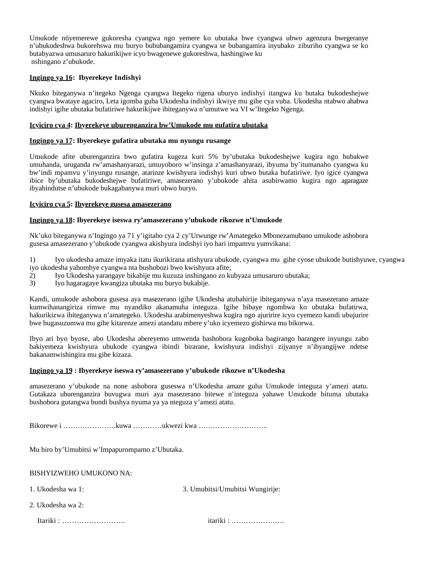Umukode ntiyemerewe gukoresha cyangwa ngo yemere ko ubutaka bwe cyangwa ubwo agenzura bwegeranye n'ubukodeshwa bukorehswa mu buryo bububangamira cyangwa se bubangamira inyubako ziburiho cyangwa se ko butabyazwa umusaruro hakurikijwe icyo bwagenewe gukoreshwa, hashingiwe ku nshingano z'ubukode.

# **Ingingo ya 16: Ibyerekeye Indishyi**

Nkuko biteganywa n'itegeko Ngenga cyangwa Itegeko rigena uburyo indishyi itangwa ku butaka bukodeshejwe cyangwa bwataye agaciro, Leta igomba guha Ukodesha indishyi ikwiye mu gihe cya vuba. Ukodesha ntabwo ahabwa indishyi igihe ubutaka bufatiriwe hakurikijwe ibiteganywa n'umutwe wa VI w'Itegeko Ngenga.

# **Icyiciro cya 4: Ibyerekeye uburenganzira bw'Umukode mu gufatira ubutaka**

# **Ingingo ya 17: Ibyerekeye gufatira ubutaka mu nyungu rusange**

Umukode afite uburenganzira bwo gufatira kugeza kuri 5% by'ubutaka bukodeshejwe kugira ngo hubakwe umuhanda, uruganda rw'amashanyarazi, umuyoboro w'insinga z'amashanyarazi, ibyuma by'itumanaho cyangwa ku bw'indi mpamvu y'inyungu rusange, atarinze kwishyura indishyi kuri ubwo butaka bufatiriwe. Iyo igice cyangwa ibice by'ubutaka bukodeshejwe bufatiriwe, amasezerano y'ubukode ahita asubirwamo kugira ngo agaragaze ibyahindutse n'ubukode bukagabanywa muri ubwo buryo.

## **Icyiciro cya 5: Ibyerekeye gusesa amasezerano**

## **Ingingo ya 18: Ibyerekeye iseswa ry'amasezerano y'ubukode rikozwe n'Umukode**

Nk'uko biteganywa n'Ingingo ya 71 y'igitabo cya 2 cy'Urwunge rw'Amategeko Mbonezamubano umukode ashobora gusesa amasezerano y'ubukode cyangwa akishyura indishyi iyo hari impamvu yumvikana:

1) Iyo ukodesha amaze imyaka itatu ikurikirana atishyura ubukode, cyangwa mu gihe cyose ubukode butishyuwe, cyangwa iyo ukodesha yahombye cyangwa nta bushobozi bwo kwishyura afite;

- 2) Iyo Ukodesha yarangaye bikabije mu kuzuza inshingano zo kubyaza umusaruro ubutaka;
- 3) Iyo hagaragaye kwangiza ubutaka mu buryo bukabije.

Kandi, umukode ashobora gusesa aya masezerano igihe Ukodesha atubahirije ibiteganywa n'aya masezerano amaze kumwihanangiriza rimwe mu nyandiko akanamuha integuza. Igihe bibaye ngombwa ko ubutaka bufatirwa, hakurikizwa ibiteganywa n'amategeko. Ukodesha arabimenyeshwa kugira ngo ajuririre icyo cyemezo kandi ubujurire bwe bugasuzumwa mu gihe kitarenze amezi atandatu mbere y'uko icyemezo gishirwa mu bikorwa.

Ibyo ari byo byose, abo Ukodesha abereyemo umwenda bashobora kugoboka bagirango barangere inyungu zabo bakiyemeza kwishyura ubukode cyangwa ibindi birarane, kwishyura indishyi zijyanye n'ibyangijwe ndetse bakanamwishingira mu gihe kizaza.

#### **Ingingo ya 19 : Ibyerekeye iseswa ry'amasezerano y'ubukode rikozwe n'Ukodesha**

amasezerano y'ubukode na none ashobora guseswa n'Ukodesha amaze guha Umukode integuza y'amezi atatu. Gutakaza uburenganzira buvugwa muri aya masezerano bitewe n'integuza yahawe Umukode bituma ubutaka bushobora gutangwa bundi bushya nyuma ya ya nteguza y'amezi atatu.

Bikorewe i ………………….kuwa …………ukwezi kwa ………………………..

Mu biro by'Umubitsi w'Impapurompamo z'Ubutaka.

#### BISHYIZWEHO UMUKONO NA:

- 
- 1. Ukodesha wa 1: 3. Umubitsi/Umubitsi Wungirije:
- 2. Ukodesha wa 2:

Itariki : …………………….. itariki : ………………….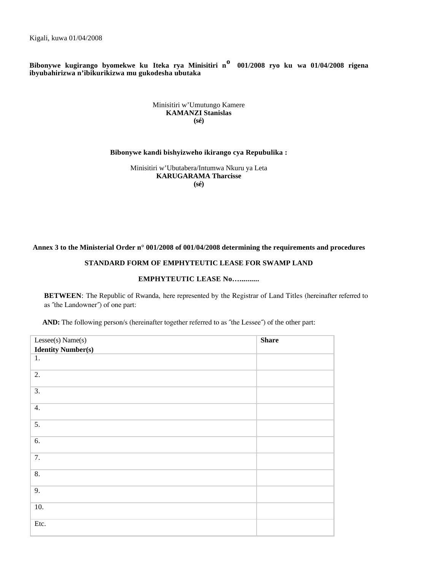Kigali, kuwa 01/04/2008

**Bibonywe kugirango byomekwe ku Iteka rya Minisitiri no 001/2008 ryo ku wa 01/04/2008 rigena ibyubahirizwa n'ibikurikizwa mu gukodesha ubutaka**

#### Minisitiri w'Umutungo Kamere **KAMANZI Stanislas (sé)**

#### **Bibonywe kandi bishyizweho ikirango cya Repubulika :**

Minisitiri w'Ubutabera/Intumwa Nkuru ya Leta **KARUGARAMA Tharcisse (sé)**

## **Annex 3 to the Ministerial Order n° 001/2008 of 001/04/2008 determining the requirements and procedures**

# **STANDARD FORM OF EMPHYTEUTIC LEASE FOR SWAMP LAND**

# **EMPHYTEUTIC LEASE No…..........**

**BETWEEN**: The Republic of Rwanda, here represented by the Registrar of Land Titles (hereinafter referred to as ˝the Landowner˝) of one part:

**AND:** The following person/s (hereinafter together referred to as ˝the Lessee˝) of the other part:

| Lessee(s) Name(s)         | <b>Share</b> |
|---------------------------|--------------|
| <b>Identity Number(s)</b> |              |
| 1.                        |              |
| 2.                        |              |
| $\overline{3}$ .          |              |
| 4.                        |              |
| 5.                        |              |
| 6.                        |              |
| 7.                        |              |
| 8.                        |              |
| 9.                        |              |
| 10.                       |              |
| Etc.                      |              |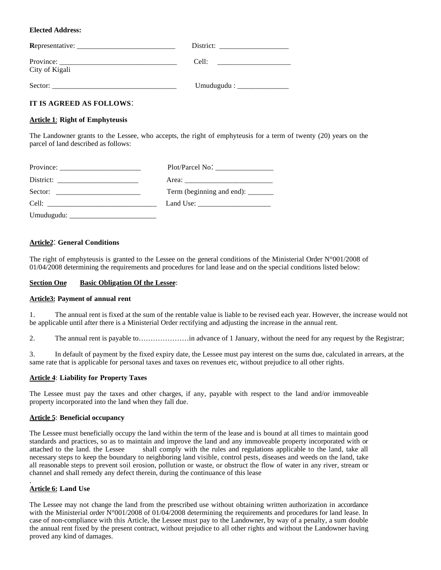# **Elected Address:**

| Representative:             | District:          |
|-----------------------------|--------------------|
| Province:<br>City of Kigali | Cell:              |
| Sector:                     | Umudugudu : $\_\_$ |

# **IT IS AGREED AS FOLLOWS**-

## **Article 1**: **Right of Emphyteusis**

The Landowner grants to the Lessee, who accepts, the right of emphyteusis for a term of twenty (20) years on the parcel of land described as follows:

| $Province: \_$ |                                    |
|----------------|------------------------------------|
|                |                                    |
|                | Term (beginning and end): ________ |
|                | Land Use: $\frac{1}{2}$            |
| Umudugudu:     |                                    |

# **Article2**- **General Conditions**

The right of emphyteusis is granted to the Lessee on the general conditions of the Ministerial Order  $N^{\circ}001/2008$  of 01/04/2008 determining the requirements and procedures for land lease and on the special conditions listed below:

#### **Section One Basic Obligation Of the Lessee**:

#### **Article3: Payment of annual rent**

1. The annual rent is fixed at the sum of the rentable value is liable to be revised each year. However, the increase would not be applicable until after there is a Ministerial Order rectifying and adjusting the increase in the annual rent.

2. The annual rent is payable to…………………in advance of 1 January, without the need for any request by the Registrar;

3. In default of payment by the fixed expiry date, the Lessee must pay interest on the sums due, calculated in arrears, at the same rate that is applicable for personal taxes and taxes on revenues etc, without prejudice to all other rights.

# **Article 4**: **Liability for Property Taxes**

The Lessee must pay the taxes and other charges, if any, payable with respect to the land and/or immoveable property incorporated into the land when they fall due.

#### **Article 5**: **Beneficial occupancy**

The Lessee must beneficially occupy the land within the term of the lease and is bound at all times to maintain good standards and practices, so as to maintain and improve the land and any immoveable property incorporated with or attached to the land. the Lessee shall comply with the rules and regulations applicable to the land, take all necessary steps to keep the boundary to neighboring land visible, control pests, diseases and weeds on the land, take all reasonable steps to prevent soil erosion, pollution or waste, or obstruct the flow of water in any river, stream or channel and shall remedy any defect therein, during the continuance of this lease

#### . **Article 6: Land Use**

The Lessee may not change the land from the prescribed use without obtaining written authorization in accordance with the Ministerial order N°001/2008 of 01/04/2008 determining the requirements and procedures for land lease. In case of non-compliance with this Article, the Lessee must pay to the Landowner, by way of a penalty, a sum double the annual rent fixed by the present contract, without prejudice to all other rights and without the Landowner having proved any kind of damages.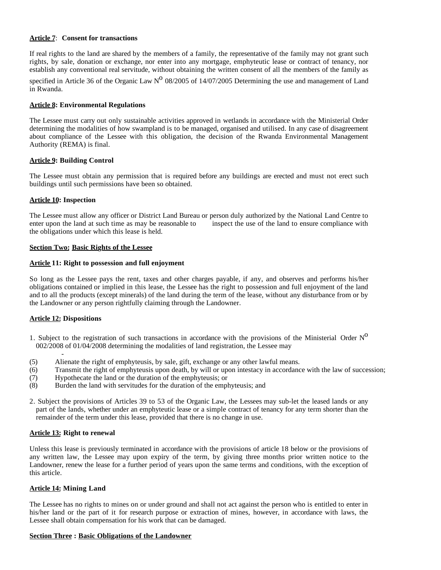#### **Article 7**: **Consent for transactions**

If real rights to the land are shared by the members of a family, the representative of the family may not grant such rights, by sale, donation or exchange, nor enter into any mortgage, emphyteutic lease or contract of tenancy, nor establish any conventional real servitude, without obtaining the written consent of all the members of the family as

specified in Article 36 of the Organic Law  $N^O$  08/2005 of 14/07/2005 Determining the use and management of Land in Rwanda.

#### **Article 8: Environmental Regulations**

The Lessee must carry out only sustainable activities approved in wetlands in accordance with the Ministerial Order determining the modalities of how swampland is to be managed, organised and utilised. In any case of disagreement about compliance of the Lessee with this obligation, the decision of the Rwanda Environmental Management Authority (REMA) is final.

## **Article 9: Building Control**

The Lessee must obtain any permission that is required before any buildings are erected and must not erect such buildings until such permissions have been so obtained.

## **Article 10: Inspection**

The Lessee must allow any officer or District Land Bureau or person duly authorized by the National Land Centre to enter upon the land at such time as may be reasonable to inspect the use of the land to ensure compliance with the obligations under which this lease is held.

## **Section Two: Basic Rights of the Lessee**

#### **Article 11: Right to possession and full enjoyment**

So long as the Lessee pays the rent, taxes and other charges payable, if any, and observes and performs his/her obligations contained or implied in this lease, the Lessee has the right to possession and full enjoyment of the land and to all the products (except minerals) of the land during the term of the lease, without any disturbance from or by the Landowner or any person rightfully claiming through the Landowner.

# **Article 12: Dispositions**

- 1. Subject to the registration of such transactions in accordance with the provisions of the Ministerial Order  $N^O$ 002/2008 of 01/04/2008 determining the modalities of land registration, the Lessee may
- $\sim$   $\sim$   $\sim$   $\sim$ (5) Alienate the right of emphyteusis, by sale, gift, exchange or any other lawful means.
- (6) Transmit the right of emphyteusis upon death, by will or upon intestacy in accordance with the law of succession;
- (7) Hypothecate the land or the duration of the emphyteusis; or
- (8) Burden the land with servitudes for the duration of the emphyteusis; and
- 2. Subject the provisions of Articles 39 to 53 of the Organic Law, the Lessees may sub-let the leased lands or any part of the lands, whether under an emphyteutic lease or a simple contract of tenancy for any term shorter than the remainder of the term under this lease, provided that there is no change in use.

#### **Article 13: Right to renewal**

Unless this lease is previously terminated in accordance with the provisions of article 18 below or the provisions of any written law, the Lessee may upon expiry of the term, by giving three months prior written notice to the Landowner, renew the lease for a further period of years upon the same terms and conditions, with the exception of this article.

#### **Article 14: Mining Land**

The Lessee has no rights to mines on or under ground and shall not act against the person who is entitled to enter in his/her land or the part of it for research purpose or extraction of mines, however, in accordance with laws, the Lessee shall obtain compensation for his work that can be damaged.

#### **Section Three : Basic Obligations of the Landowner**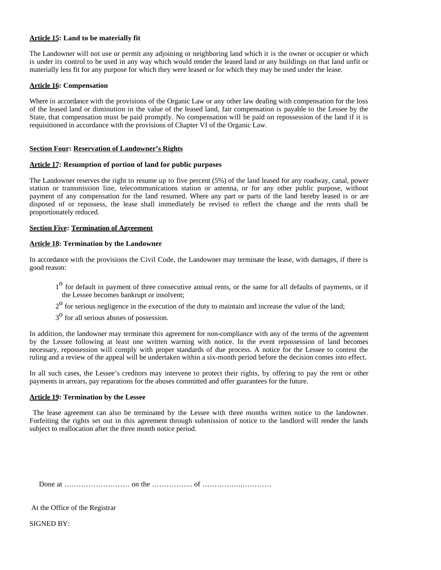# **Article 15: Land to be materially fit**

The Landowner will not use or permit any adjoining or neighboring land which it is the owner or occupier or which is under its control to be used in any way which would render the leased land or any buildings on that land unfit or materially less fit for any purpose for which they were leased or for which they may be used under the lease.

#### **Article 16: Compensation**

Where in accordance with the provisions of the Organic Law or any other law dealing with compensation for the loss of the leased land or diminution in the value of the leased land, fair compensation is payable to the Lessee by the State, that compensation must be paid promptly. No compensation will be paid on repossession of the land if it is requisitioned in accordance with the provisions of Chapter VI of the Organic Law.

## **Section Four: Reservation of Landowner's Rights**

# **Article 17: Resumption of portion of land for public purposes**

The Landowner reserves the right to resume up to five percent (5%) of the land leased for any roadway, canal, power station or transmission line, telecommunications station or antenna, or for any other public purpose, without payment of any compensation for the land resumed. Where any part or parts of the land hereby leased is or are disposed of or repossess, the lease shall immediately be revised to reflect the change and the rents shall be proportionately reduced.

## **Section Five: Termination of Agreement**

## **Article 18: Termination by the Landowner**

In accordance with the provisions the Civil Code, the Landowner may terminate the lease, with damages, if there is good reason:

- <sup>10</sup> for default in payment of three consecutive annual rents, or the same for all defaults of payments, or if the Lessee becomes bankrupt or insolvent;
- $2<sup>o</sup>$  for serious negligence in the execution of the duty to maintain and increase the value of the land;
- $3<sup>o</sup>$  for all serious abuses of possession.

In addition, the landowner may terminate this agreement for non-compliance with any of the terms of the agreement by the Lessee following at least one written warning with notice. In the event repossession of land becomes necessary, repossession will comply with proper standards of due process. A notice for the Lessee to contest the ruling and a review of the appeal will be undertaken within a six-month period before the decision comes into effect.

In all such cases, the Lessee's creditors may intervene to protect their rights, by offering to pay the rent or other payments in arrears, pay reparations for the abuses committed and offer guarantees for the future.

#### **Article 19: Termination by the Lessee**

The lease agreement can also be terminated by the Lessee with three months written notice to the landowner. Forfeiting the rights set out in this agreement through submission of notice to the landlord will render the lands subject to reallocation after the three month notice period.

Done at ……………………… on the …………….. of ……………..…………

At the Office of the Registrar

SIGNED BY: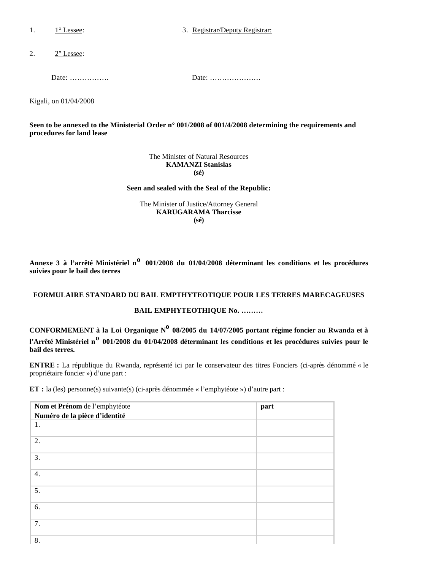1. 1<sup>o</sup> Lessee: 3. Registrar/Deputy Registrar:

2.  $2^{\circ}$  Lessee:

Date: ……………. Date: …………………

Kigali, on 01/04/2008

**Seen to be annexed to the Ministerial Order n° 001/2008 of 001/4/2008 determining the requirements and procedures for land lease**

> The Minister of Natural Resources **KAMANZI Stanislas (sé)**

#### **Seen and sealed with the Seal of the Republic:**

The Minister of Justice/Attorney General **KARUGARAMA Tharcisse (sé)**

**Annexe 3 à l'arrêté Ministériel no 001/2008 du 01/04/2008 déterminant les conditions et les procédures suivies pour le bail des terres**

# **FORMULAIRE STANDARD DU BAIL EMPTHYTEOTIQUE POUR LES TERRES MARECAGEUSES**

# **BAIL EMPHYTEOTHIQUE No. ………**

CONFORMEMENT à la Loi Organique N<sup>o</sup> 08/2005 du 14/07/2005 portant régime foncier au Rwanda et à **l'Arrêté Ministériel no 001/2008 du 01/04/2008 déterminant les conditions et les procédures suivies pour le bail des terres.**

**ENTRE :** La république du Rwanda, représenté ici par le conservateur des titres Fonciers (ci-après dénommé « le propriétaire foncier ») d'une part :

**ET :** la (les) personne(s) suivante(s) (ci-après dénommée « l'emphytéote ») d'autre part :

| Nom et Prénom de l'emphytéote | part |
|-------------------------------|------|
| Numéro de la pièce d'identité |      |
| 1.                            |      |
| 2.                            |      |
| 3.                            |      |
| 4.                            |      |
| 5.                            |      |
| 6.                            |      |
| 7.                            |      |
| 8.                            |      |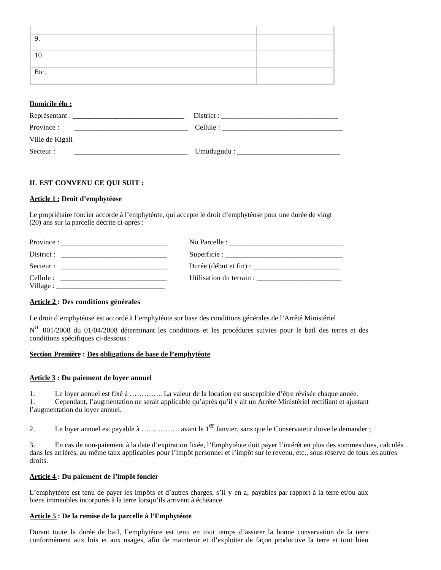| 9.   |  |
|------|--|
|      |  |
| 10.  |  |
|      |  |
| Etc. |  |
|      |  |

# **Domicile élu :**

| Représentant :  | District : |
|-----------------|------------|
| Province :      | Cellule :  |
| Ville de Kigali |            |
| Secteur :       | Umudugudu: |

# **IL EST CONVENU CE QUI SUIT :**

## **Article 1 : Droit d'emphytéose**

Le propriétaire foncier accorde à l'emphytéote, qui accepte le droit d'emphytéose pour une durée de vingt (20) ans sur la parcelle décrite ci-après :

| District :<br><u> 1980 - Jan Barbarat, manazarta da ant</u> era (h. 1920).<br>1901 - Jan Barbarat, manazarta da antzera (h. 1920). |                          |
|------------------------------------------------------------------------------------------------------------------------------------|--------------------------|
| Secteur :                                                                                                                          |                          |
| Cellule :<br>Village :                                                                                                             | Utilisation du terrain : |

# **Article 2 : Des conditions générales**

Le droit d'emphytéose est accordé à l'emphytéote sur base des conditions générales de l'Arrêté Ministériel

N<sup>o</sup> 001/2008 du 01/04/2008 déterminant les conditions et les procédures suivies pour le bail des terres et des conditions spécifiques ci-dessous :

# **Section Première : Des obligations de base de l'emphytéote**

#### **Article 3 : Du paiement de loyer annuel**

1. Le loyer annuel est fixé à ………….. La valeur de la location est susceptible d'être révisée chaque année. 1. Cependant, l'augmentation ne serait applicable qu'après qu'il y ait un Arrêté Ministériel rectifiant et ajustant l'augmentation du loyer annuel.

2. Le loyer annuel est payable à ……………. avant le  $1<sup>er</sup>$  Janvier, sans que le Conservateur doive le demander ;

3. En cas de non-paiement à la date d'expiration fixée, l'Emphytéote doit payer l'intérêt en plus des sommes dues, calculés dans les arriérés, au même taux applicables pour l'impôt personnel et l'impôt sur le revenu, etc., sous réserve de tous les autres droits.

## **Article 4 : Du paiement de l'impôt foncier**

L'emphytéote est tenu de payer les impôts et d'autres charges, s'il y en a, payables par rapport à la terre et/ou aux biens immeubles incorporés à la terre lorsqu'ils arrivent à échéance.

# **Article 5 : De la remise de la parcelle à l'Emphytéote**

Durant toute la durée de bail, l'emphytéote est tenu en tout temps d'assurer la bonne conservation de la terre conformément aux lois et aux usages, afin de maintenir et d'exploiter de façon productive la terre et tout bien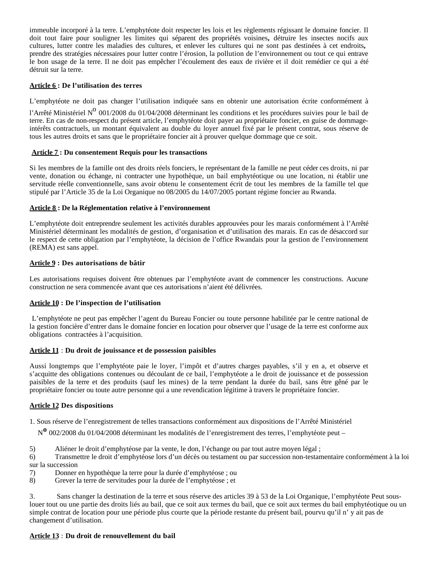immeuble incorporé à la terre. L'emphytéote doit respecter les lois et les règlements régissant le domaine foncier. Il doit tout faire pour souligner les limites qui séparent des propriétés voisines**,** détruire les insectes nocifs aux cultures, lutter contre les maladies des cultures, et enlever les cultures qui ne sont pas destinées à cet endroits**,**  prendre des stratégies nécessaires pour lutter contre l'érosion, la pollution de l'environnement ou tout ce qui entrave le bon usage de la terre. Il ne doit pas empêcher l'écoulement des eaux de rivière et il doit remédier ce qui a été détruit sur la terre.

# **Article 6 : De l'utilisation des terres**

L'emphytéote ne doit pas changer l'utilisation indiquée sans en obtenir une autorisation écrite conformément à

l'Arrêté Ministériel N<sup>o</sup> 001/2008 du 01/04/2008 déterminant les conditions et les procédures suivies pour le bail de terre. En cas de non-respect du présent article, l'emphytéote doit payer au propriétaire foncier, en guise de dommageintérêts contractuels, un montant équivalent au double du loyer annuel fixé par le présent contrat, sous réserve de tous les autres droits et sans que le propriétaire foncier ait à prouver quelque dommage que ce soit.

# **Article 7 : Du consentement Requis pour les transactions**

Si les membres de la famille ont des droits réels fonciers, le représentant de la famille ne peut céder ces droits, ni par vente, donation ou échange, ni contracter une hypothèque, un bail emphytéotique ou une location, ni établir une servitude réelle conventionnelle, sans avoir obtenu le consentement écrit de tout les membres de la famille tel que stipulé par l'Article 35 de la Loi Organique no 08/2005 du 14/07/2005 portant régime foncier au Rwanda.

# **Article 8 : De la Réglementation relative à l'environnement**

L'emphytéote doit entreprendre seulement les activités durables approuvées pour les marais conformément à l'Arrêté Ministériel déterminant les modalités de gestion, d'organisation et d'utilisation des marais. En cas de désaccord sur le respect de cette obligation par l'emphytéote, la décision de l'office Rwandais pour la gestion de l'environnement (REMA) est sans appel.

## **Article 9 : Des autorisations de bâtir**

Les autorisations requises doivent être obtenues par l'emphytéote avant de commencer les constructions. Aucune construction ne sera commencée avant que ces autorisations n'aient été délivrées.

# **Article 10 : De l'inspection de l'utilisation**

L'emphytéote ne peut pas empêcher l'agent du Bureau Foncier ou toute personne habilitée par le centre national de la gestion foncière d'entrer dans le domaine foncier en location pour observer que l'usage de la terre est conforme aux obligations contractées à l'acquisition.

#### **Article 11** : **Du droit de jouissance et de possession paisibles**

Aussi longtemps que l'emphytéote paie le loyer, l'impôt et d'autres charges payables, s'il y en a, et observe et s'acquitte des obligations contenues ou découlant de ce bail, l'emphytéote a le droit de jouissance et de possession paisibles de la terre et des produits (sauf les mines) de la terre pendant la durée du bail, sans être gêné par le propriétaire foncier ou toute autre personne qui a une revendication légitime à travers le propriétaire foncier.

# **Article 12 Des dispositions**

1. Sous réserve de l'enregistrement de telles transactions conformément aux dispositions de l'Arrêté Ministériel

<sup>N</sup>**<sup>o</sup>** 002/2008 du 01/04/2008 déterminant les modalités de l'enregistrement des terres, l'emphytéote peut –

- 5) Aliéner le droit d'emphytéose par la vente, le don, l'échange ou par tout autre moyen légal ;
- 6) Transmettre le droit d'emphytéose lors d'un décès ou testament ou par succession non-testamentaire conformément à la loi sur la succession
- 7) Donner en hypothèque la terre pour la durée d'emphytéose ; ou
- 8) Grever la terre de servitudes pour la durée de l'emphytéose ; et

3. Sans changer la destination de la terre et sous réserve des articles 39 à 53 de la Loi Organique, l'emphytéote Peut souslouer tout ou une partie des droits liés au bail, que ce soit aux termes du bail, que ce soit aux termes du bail emphytéotique ou un simple contrat de location pour une période plus courte que la période restante du présent bail, pourvu qu'il n' y ait pas de changement d'utilisation.

# **Article 13** : **Du droit de renouvellement du bail**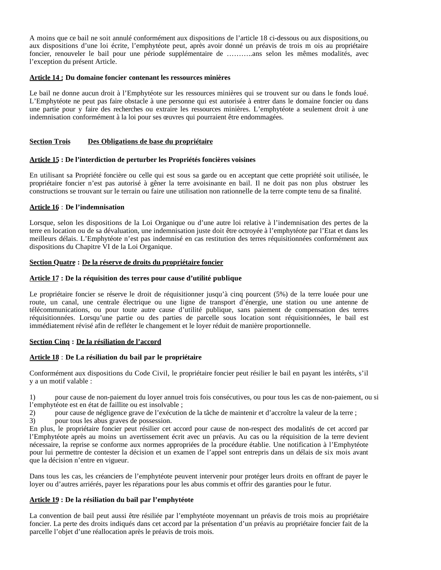A moins que ce bail ne soit annulé conformément aux dispositions de l'article 18 ci-dessous ou aux dispositions ou aux dispositions d'une loi écrite, l'emphytéote peut, après avoir donné un préavis de trois m ois au propriétaire foncier, renouveler le bail pour une période supplémentaire de ………..ans selon les mêmes modalités, avec l'exception du présent Article.

## **Article 14 : Du domaine foncier contenant les ressources minières**

Le bail ne donne aucun droit à l'Emphytéote sur les ressources minières qui se trouvent sur ou dans le fonds loué. L'Emphytéote ne peut pas faire obstacle à une personne qui est autorisée à entrer dans le domaine foncier ou dans une partie pour y faire des recherches ou extraire les ressources minières. L'emphytéote a seulement droit à une indemnisation conformément à la loi pour ses œuvres qui pourraient être endommagées.

# **Section Trois Des Obligations de base du propriétaire**

## **Article 15 : De l'interdiction de perturber les Propriétés foncières voisines**

En utilisant sa Propriété foncière ou celle qui est sous sa garde ou en acceptant que cette propriété soit utilisée, le propriétaire foncier n'est pas autorisé à gêner la terre avoisinante en bail. Il ne doit pas non plus obstruer les constructions se trouvant sur le terrain ou faire une utilisation non rationnelle de la terre compte tenu de sa finalité.

## **Article 16** : **De l'indemnisation**

Lorsque, selon les dispositions de la Loi Organique ou d'une autre loi relative à l'indemnisation des pertes de la terre en location ou de sa dévaluation, une indemnisation juste doit être octroyée à l'emphytéote par l'Etat et dans les meilleurs délais. L'Emphytéote n'est pas indemnisé en cas restitution des terres réquisitionnées conformément aux dispositions du Chapitre VI de la Loi Organique.

#### **Section Quatre : De la réserve de droits du propriétaire foncier**

## **Article 17 : De la réquisition des terres pour cause d'utilité publique**

Le propriétaire foncier se réserve le droit de réquisitionner jusqu'à cinq pourcent (5%) de la terre louée pour une route, un canal, une centrale électrique ou une ligne de transport d'énergie, une station ou une antenne de télécommunications, ou pour toute autre cause d'utilité publique, sans paiement de compensation des terres réquisitionnées. Lorsqu'une partie ou des parties de parcelle sous location sont réquisitionnées, le bail est immédiatement révisé afin de refléter le changement et le loyer réduit de manière proportionnelle.

#### **Section Cinq : De la résiliation de l'accord**

#### **Article 18** : **De La résiliation du bail par le propriétaire**

Conformément aux dispositions du Code Civil, le propriétaire foncier peut résilier le bail en payant les intérêts, s'il y a un motif valable :

1) pour cause de non-paiement du loyer annuel trois fois consécutives, ou pour tous les cas de non-paiement, ou si l'emphytéote est en état de faillite ou est insolvable ;

2) pour cause de négligence grave de l'exécution de la tâche de maintenir et d'accroître la valeur de la terre ;

3) pour tous les abus graves de possession.

En plus, le propriétaire foncier peut résilier cet accord pour cause de non-respect des modalités de cet accord par l'Emphytéote après au moins un avertissement écrit avec un préavis. Au cas ou la réquisition de la terre devient nécessaire, la reprise se conforme aux normes appropriées de la procédure établie. Une notification à l'Emphytéote pour lui permettre de contester la décision et un examen de l'appel sont entrepris dans un délais de six mois avant que la décision n'entre en vigueur.

Dans tous les cas, les créanciers de l'emphytéote peuvent intervenir pour protéger leurs droits en offrant de payer le loyer ou d'autres arriérés, payer les réparations pour les abus commis et offrir des garanties pour le futur.

#### **Article 19 : De la résiliation du bail par l'emphytéote**

La convention de bail peut aussi être résiliée par l'emphytéote moyennant un préavis de trois mois au propriétaire foncier. La perte des droits indiqués dans cet accord par la présentation d'un préavis au propriétaire foncier fait de la parcelle l'objet d'une réallocation après le préavis de trois mois.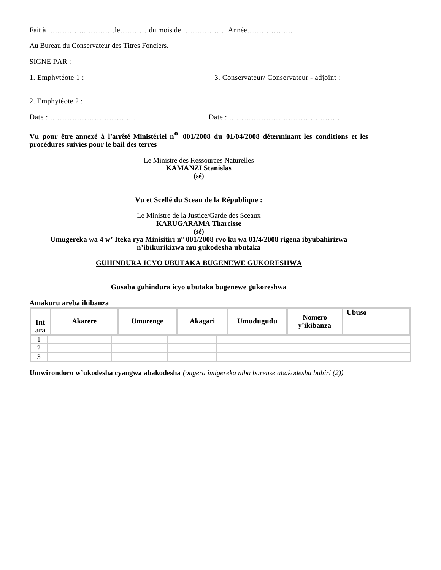Fait à …………….…………le…………du mois de ……………….Année………………. Au Bureau du Conservateur des Titres Fonciers. SIGNE PAR : 1. Emphytéote 1 : 3. Conservateur/ Conservateur - adjoint :

2. Emphytéote 2 :

Date : …………………………….. Date : ………………………………………

**Vu pour être annexé à l'arrêté Ministériel no 001/2008 du 01/04/2008 déterminant les conditions et les procédures suivies pour le bail des terres** 

> Le Ministre des Ressources Naturelles **KAMANZI Stanislas (sé)**

# **Vu et Scellé du Sceau de la République :**

Le Ministre de la Justice/Garde des Sceaux **KARUGARAMA Tharcisse (sé)**

**Umugereka wa 4 w' Iteka rya Minisitiri n° 001/2008 ryo ku wa 01/4/2008 rigena ibyubahirizwa n'ibikurikizwa mu gukodesha ubutaka**

# **GUHINDURA ICYO UBUTAKA BUGENEWE GUKORESHWA**

# **Gusaba guhindura icyo ubutaka bugenewe gukoreshwa**

**Amakuru areba ikibanza** 

| Int<br>ara  | <b>Akarere</b> | <b>Umurenge</b> | Akagari | Umudugudu | <b>Nomero</b><br>y'ikibanza | <b>Ubuso</b> |
|-------------|----------------|-----------------|---------|-----------|-----------------------------|--------------|
|             |                |                 |         |           |                             |              |
| $\sim$<br>∠ |                |                 |         |           |                             |              |
| $\sim$      |                |                 |         |           |                             |              |

**Umwirondoro w'ukodesha cyangwa abakodesha** *(ongera imigereka niba barenze abakodesha babiri (2))*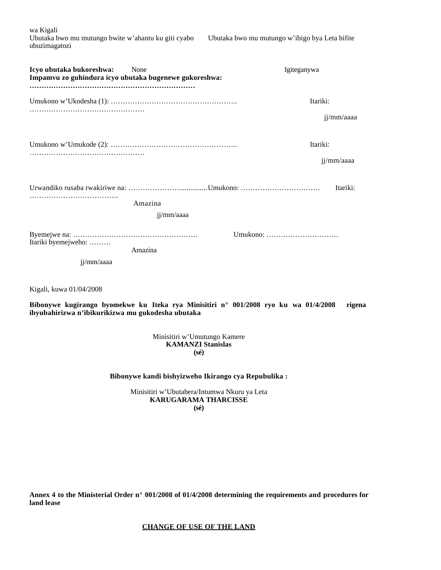wa Kigali Ubutaka bwo mu mutungo bwite w'abantu ku giti cyabo Ubutaka bwo mu mutungo w'ibigo bya Leta bifite ubuzimagatozi

| Icyo ubutaka bukoreshwa:<br>Impamvu zo guhindura icyo ubutaka bugenewe gukoreshwa: | None                  | Igiteganywa            |
|------------------------------------------------------------------------------------|-----------------------|------------------------|
|                                                                                    |                       | Itariki:<br>jj/mm/aaaa |
|                                                                                    |                       | Itariki:<br>jj/mm/aaaa |
|                                                                                    | Amazina<br>jj/mm/aaaa | Itariki:               |
| Itariki byemejweho:<br>ji/mm/aaaa                                                  | Amazina               | Umukono:               |

Kigali, kuwa 01/04/2008

**Bibonywe kugirango byomekwe ku Iteka rya Minisitiri n° 001/2008 ryo ku wa 01/4/2008 rigena ibyubahirizwa n'ibikurikizwa mu gukodesha ubutaka**

> Minisitiri w'Umutungo Kamere **KAMANZI Stanislas (sé)**

## **Bibonywe kandi bishyizweho Ikirango cya Repubulika :**

Minisitiri w'Ubutabera/Intumwa Nkuru ya Leta **KARUGARAMA THARCISSE (sé)**

**Annex 4 to the Ministerial Order n° 001/2008 of 01/4/2008 determining the requirements and procedures for land lease**

**CHANGE OF USE OF THE LAND**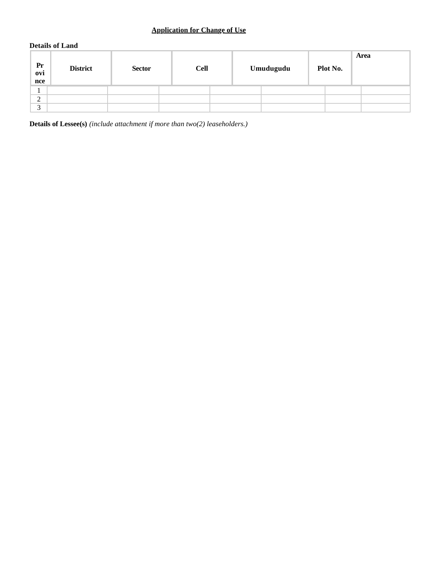# **Application for Change of Use**

# **Details of Land**

| Pr<br>ovi<br>nce | <b>District</b> | <b>Sector</b> | <b>Cell</b> | Umudugudu | Plot No. | Area |
|------------------|-----------------|---------------|-------------|-----------|----------|------|
|                  |                 |               |             |           |          |      |
| $\sim$<br>∠      |                 |               |             |           |          |      |
| $\sim$           |                 |               |             |           |          |      |

**Details of Lessee(s)** *(include attachment if more than two(2) leaseholders.)*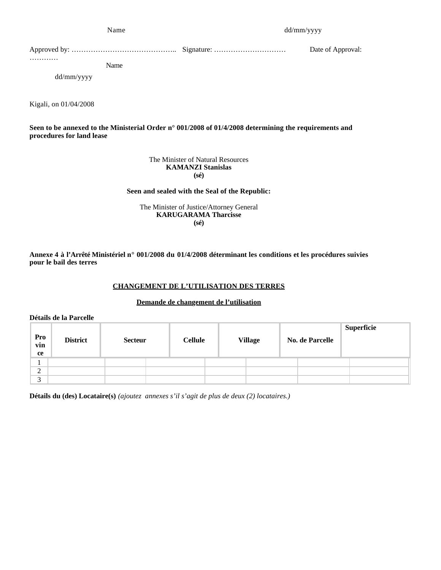| Name                    | dd/mm/yyyy |                   |  |  |
|-------------------------|------------|-------------------|--|--|
|                         |            | Date of Approval: |  |  |
| .<br>Name<br>dd/mm/yyyy |            |                   |  |  |
|                         |            |                   |  |  |

**Seen to be annexed to the Ministerial Order n° 001/2008 of 01/4/2008 determining the requirements and procedures for land lease**

> The Minister of Natural Resources **KAMANZI Stanislas (sé)**

#### **Seen and sealed with the Seal of the Republic:**

The Minister of Justice/Attorney General **KARUGARAMA Tharcisse (sé)**

**Annexe 4 à l'Arrêté Ministériel n° 001/2008 du 01/4/2008 déterminant les conditions et les procédures suivies pour le bail des terres**

# **CHANGEMENT DE L'UTILISATION DES TERRES**

## **Demande de changement de l'utilisation**

**Détails de la Parcelle** 

Kigali, on 01/04/2008

| Pro<br>vin<br>ce | <b>District</b> | <b>Secteur</b> | <b>Cellule</b> | <b>Village</b> | <b>No. de Parcelle</b> | Superficie |
|------------------|-----------------|----------------|----------------|----------------|------------------------|------------|
|                  |                 |                |                |                |                        |            |
| $\sim$<br>∠      |                 |                |                |                |                        |            |
| $\sim$<br>◡      |                 |                |                |                |                        |            |

**Détails du (des) Locataire(s)** *(ajoutez annexes s'il s'agit de plus de deux (2) locataires.)*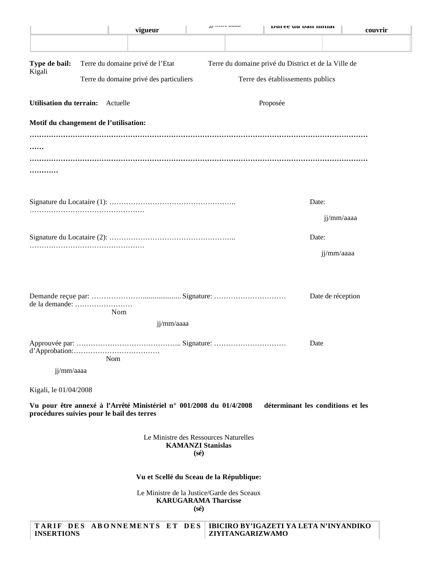|                                            |          | vigueur                                                             |                                               | J. <i>mars</i> mun | Duree uu van muuar                                   |                   | couvrir |
|--------------------------------------------|----------|---------------------------------------------------------------------|-----------------------------------------------|--------------------|------------------------------------------------------|-------------------|---------|
|                                            |          |                                                                     |                                               |                    |                                                      |                   |         |
| Type de bail:                              |          | Terre du domaine privé de l'Etat                                    |                                               |                    | Terre du domaine privé du District et de la Ville de |                   |         |
| Kigali                                     |          | Terre du domaine privé des particuliers                             |                                               |                    | Terre des établissements publics                     |                   |         |
| <b>Utilisation du terrain:</b>             | Actuelle |                                                                     |                                               |                    | Proposée                                             |                   |         |
| Motif du changement de l'utilisation:      |          |                                                                     |                                               |                    |                                                      |                   |         |
|                                            |          |                                                                     |                                               |                    |                                                      |                   |         |
|                                            |          |                                                                     |                                               |                    |                                                      |                   |         |
|                                            |          |                                                                     |                                               |                    |                                                      |                   |         |
|                                            |          |                                                                     |                                               |                    |                                                      | Date:             |         |
|                                            |          |                                                                     |                                               |                    |                                                      | jj/mm/aaaa        |         |
|                                            |          |                                                                     |                                               |                    |                                                      | Date:             |         |
|                                            |          |                                                                     |                                               |                    |                                                      | jj/mm/aaaa        |         |
|                                            |          |                                                                     |                                               |                    |                                                      |                   |         |
|                                            |          |                                                                     |                                               |                    |                                                      | Date de réception |         |
| de la demande:                             | Nom      |                                                                     |                                               |                    |                                                      |                   |         |
|                                            |          | jj/mm/aaaa                                                          |                                               |                    |                                                      |                   |         |
|                                            |          |                                                                     |                                               |                    |                                                      | Date              |         |
| jj/mm/aaaa                                 | Nom      |                                                                     |                                               |                    |                                                      |                   |         |
|                                            |          |                                                                     |                                               |                    |                                                      |                   |         |
| Kigali, le 01/04/2008                      |          |                                                                     |                                               |                    |                                                      |                   |         |
| procédures suivies pour le bail des terres |          | Vu pour être annexé à l'Arrêté Ministériel n° 001/2008 du 01/4/2008 |                                               |                    | déterminant les conditions et les                    |                   |         |
|                                            |          | Le Ministre des Ressources Naturelles                               | <b>KAMANZI Stanislas</b><br>$(s\acute{e})$    |                    |                                                      |                   |         |
|                                            |          | Vu et Scellé du Sceau de la République:                             |                                               |                    |                                                      |                   |         |
|                                            |          | Le Ministre de la Justice/Garde des Sceaux                          | <b>KARUGARAMA Tharcisse</b><br>$(s\acute{e})$ |                    |                                                      |                   |         |
| <b>INSERTIONS</b>                          |          | TARIF DES ABONNEMENTS ET DES                                        |                                               | ZIYITANGARIZWAMO   | IBICIRO BY'IGAZETI YA LETA N'INYANDIKO               |                   |         |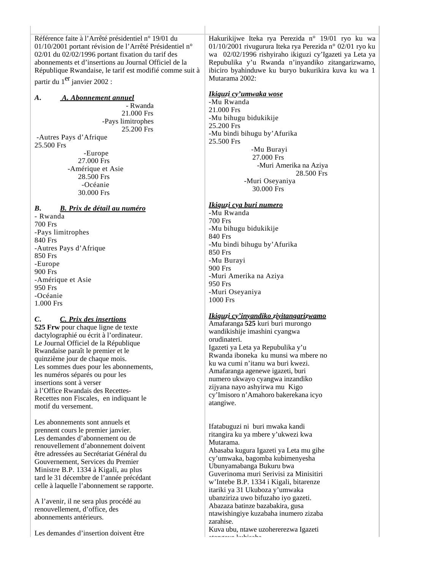Référence faite à l'Arrêté présidentiel n° 19/01 du 01/10/2001 portant révision de l'Arrêté Présidentiel n° 02/01 du 02/02/1996 portant fixation du tarif des abonnements et d'insertions au Journal Officiel de la République Rwandaise, le tarif est modifié comme suit à partir du 1<sup>er</sup> janvier 2002 :

# *A. A. Abonnement annuel*

- Rwanda 21.000 Frs -Pays limitrophes 25.200 Frs

 -Autres Pays d'Afrique 25.500 Frs -Europe 27.000 Frs -Amérique et Asie 28.500 Frs -Océanie

30.000 Frs

# *B. B. Prix de détail au numéro*

- Rwanda 700 Frs -Pays limitrophes 840 Frs -Autres Pays d'Afrique 850 Frs -Europe 900 Frs -Amérique et Asie 950 Frs -Océanie 1.000 Frs

# *C. C. Prix des insertions*

**525 Frw** pour chaque ligne de texte dactylographié ou écrit à l'ordinateur. Le Journal Officiel de la République Rwandaise paraît le premier et le quinzième jour de chaque mois. Les sommes dues pour les abonnements, les numéros séparés ou pour les insertions sont à verser à l'Office Rwandais des Recettes-Recettes non Fiscales, en indiquant le motif du versement.

Les abonnements sont annuels et prennent cours le premier janvier. Les demandes d'abonnement ou de renouvellement d'abonnement doivent être adressées au Secrétariat Général du Gouvernement, Services du Premier Ministre B.P. 1334 à Kigali, au plus tard le 31 décembre de l'année précédant celle à laquelle l'abonnement se rapporte.

A l'avenir, il ne sera plus procédé au renouvellement, d'office, des abonnements antérieurs.

Les demandes d'insertion doivent être

Hakurikijwe Iteka rya Perezida n° 19/01 ryo ku wa 01/10/2001 rivugurura Iteka rya Perezida n° 02/01 ryo ku wa 02/02/1996 rishyiraho ikiguzi cy'Igazeti ya Leta ya Repubulika y'u Rwanda n'inyandiko zitangarizwamo, ibiciro byahinduwe ku buryo bukurikira kuva ku wa 1 Mutarama 2002:

## *Ikiguzi cy'umwaka wose*

-Mu Rwanda 21.000 Frs -Mu bihugu bidukikije 25.200 Frs -Mu bindi bihugu by'Afurika 25.500 Frs -Mu Burayi 27.000 Frs -Muri Amerika na Aziya 28.500 Frs -Muri Oseyaniya

30.000 Frs

#### *Ikiguzi cya buri numero* -Mu Rwanda 700 Frs -Mu bihugu bidukikije 840 Frs -Mu bindi bihugu by'Afurika 850 Frs -Mu Burayi 900 Frs -Muri Amerika na Aziya 950 Frs -Muri Oseyaniya 1000 Frs

# *Ikiguzi cy'inyandiko ziyitangarizwamo*

Amafaranga **525** kuri buri murongo wandikishije imashini cyangwa orudinateri. Igazeti ya Leta ya Repubulika y'u Rwanda iboneka ku munsi wa mbere no ku wa cumi n'itanu wa buri kwezi. Amafaranga agenewe igazeti, buri numero ukwayo cyangwa inzandiko zijyana nayo ashyirwa mu Kigo cy'Imisoro n'Amahoro bakerekana icyo atangiwe.

Ifatabuguzi ni buri mwaka kandi ritangira ku ya mbere y'ukwezi kwa Mutarama.

Abasaba kugura Igazeti ya Leta mu gihe cy'umwaka, bagomba kubimenyesha Ubunyamabanga Bukuru bwa Guverinoma muri Serivisi za Minisitiri w'Intebe B.P. 1334 i Kigali, bitarenze itariki ya 31 Ukuboza y'umwaka ubanziriza uwo bifuzaho iyo gazeti. Abazaza batinze bazabakira, gusa ntawishingiye kuzabaha inumero zizaba zarahise.

Kuva ubu, ntawe uzohererezwa Igazeti atongeye kubisaba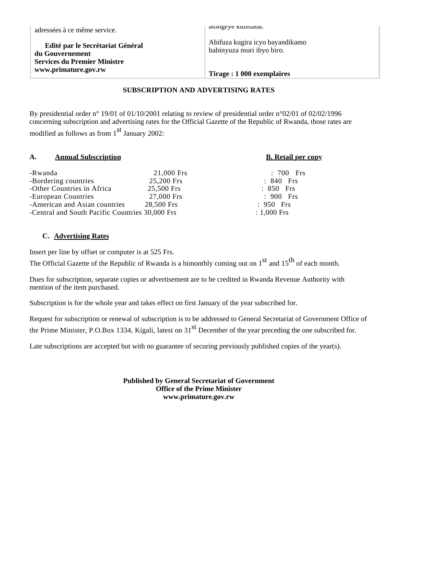**Edité par le Secrétariat Général du Gouvernement Services du Premier Ministre www.primature.gov.rw**

atongeye kubisaba.

Abifuza kugira icyo bayandikamo babinyuza muri ibyo biro.

#### **Tirage : 1 000 exemplaires**

# **SUBSCRIPTION AND ADVERTISING RATES**

By presidential order n° 19/01 of 01/10/2001 relating to review of presidential order n°02/01 of 02/02/1996 concerning subscription and advertising rates for the Official Gazette of the Republic of Rwanda, those rates are modified as follows as from  $1<sup>st</sup>$  January 2002:

#### **A. Annual Subscription B. Retail per copy**

| -Rwanda                                         | 21,000 Frs | $: 700$ Frs   |
|-------------------------------------------------|------------|---------------|
| -Bordering countries                            | 25,200 Frs | $: 840$ Frs   |
| -Other Countries in Africa                      | 25.500 Frs | $: 850$ Frs   |
| -European Countries                             | 27.000 Frs | $: 900$ Frs   |
| -American and Asian countries                   | 28.500 Frs | $: 950$ Frs   |
| -Central and South Pacific Countries 30,000 Frs |            | $: 1,000$ Frs |
|                                                 |            |               |

## **C. Advertising Rates**

Insert per line by offset or computer is at 525 Frs.

The Official Gazette of the Republic of Rwanda is a bimonthly coming out on  $1<sup>st</sup>$  and  $15<sup>th</sup>$  of each month.

Dues for subscription, separate copies or advertisement are to be credited in Rwanda Revenue Authority with mention of the item purchased.

Subscription is for the whole year and takes effect on first January of the year subscribed for.

Request for subscription or renewal of subscription is to be addressed to General Secretariat of Government Office of the Prime Minister, P.O.Box 1334, Kigali, latest on  $31<sup>st</sup>$  December of the year preceding the one subscribed for.

Late subscriptions are accepted but with no guarantee of securing previously published copies of the year(s).

**Published by General Secretariat of Government Office of the Prime Minister www.primature.gov.rw**